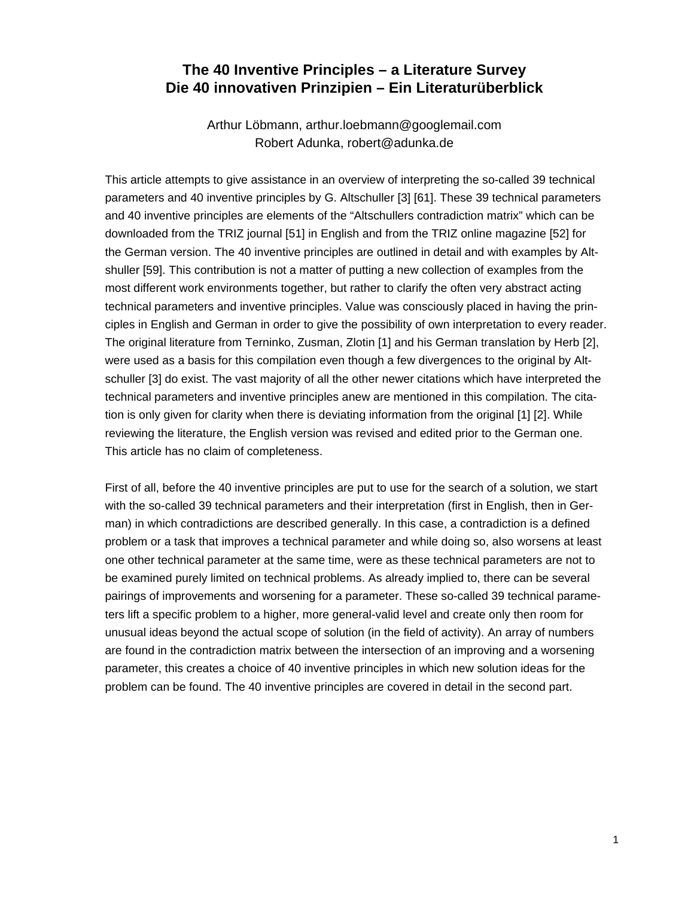## **The 40 Inventive Principles – a Literature Survey Die 40 innovativen Prinzipien – Ein Literaturüberblick**

Arthur Löbmann, arthur.loebmann@googlemail.com Robert Adunka, robert@adunka.de

This article attempts to give assistance in an overview of interpreting the so-called 39 technical parameters and 40 inventive principles by G. Altschuller [3] [61]. These 39 technical parameters and 40 inventive principles are elements of the "Altschullers contradiction matrix" which can be downloaded from the TRIZ journal [51] in English and from the TRIZ online magazine [52] for the German version. The 40 inventive principles are outlined in detail and with examples by Altshuller [59]. This contribution is not a matter of putting a new collection of examples from the most different work environments together, but rather to clarify the often very abstract acting technical parameters and inventive principles. Value was consciously placed in having the principles in English and German in order to give the possibility of own interpretation to every reader. The original literature from Terninko, Zusman, Zlotin [1] and his German translation by Herb [2], were used as a basis for this compilation even though a few divergences to the original by Altschuller [3] do exist. The vast majority of all the other newer citations which have interpreted the technical parameters and inventive principles anew are mentioned in this compilation. The citation is only given for clarity when there is deviating information from the original [1] [2]. While reviewing the literature, the English version was revised and edited prior to the German one. This article has no claim of completeness.

First of all, before the 40 inventive principles are put to use for the search of a solution, we start with the so-called 39 technical parameters and their interpretation (first in English, then in German) in which contradictions are described generally. In this case, a contradiction is a defined problem or a task that improves a technical parameter and while doing so, also worsens at least one other technical parameter at the same time, were as these technical parameters are not to be examined purely limited on technical problems. As already implied to, there can be several pairings of improvements and worsening for a parameter. These so-called 39 technical parameters lift a specific problem to a higher, more general-valid level and create only then room for unusual ideas beyond the actual scope of solution (in the field of activity). An array of numbers are found in the contradiction matrix between the intersection of an improving and a worsening parameter, this creates a choice of 40 inventive principles in which new solution ideas for the problem can be found. The 40 inventive principles are covered in detail in the second part.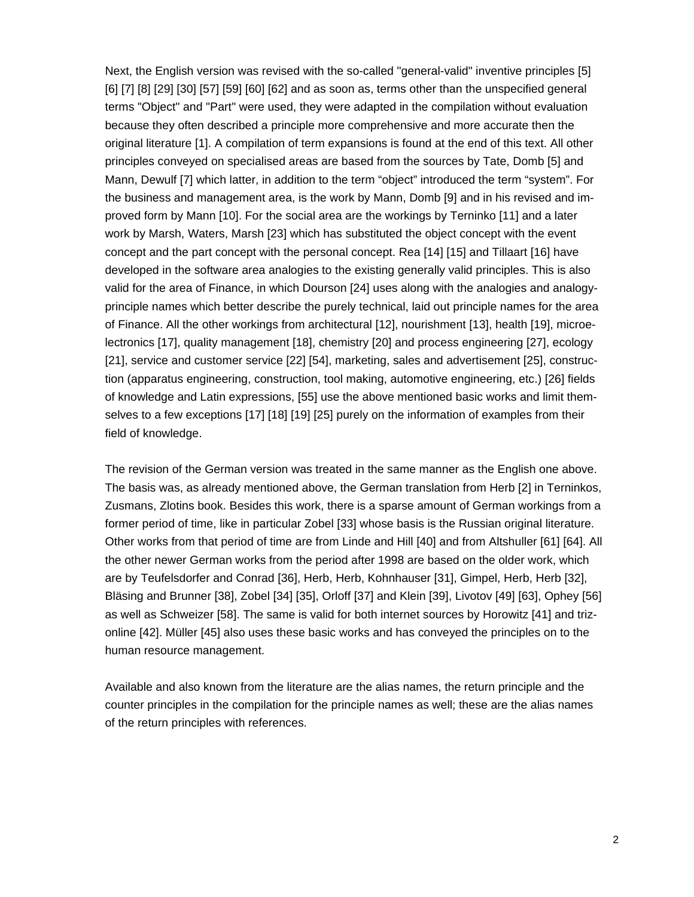Next, the English version was revised with the so-called "general-valid" inventive principles [5] [6] [7] [8] [29] [30] [57] [59] [60] [62] and as soon as, terms other than the unspecified general terms "Object" and "Part" were used, they were adapted in the compilation without evaluation because they often described a principle more comprehensive and more accurate then the original literature [1]. A compilation of term expansions is found at the end of this text. All other principles conveyed on specialised areas are based from the sources by Tate, Domb [5] and Mann, Dewulf [7] which latter, in addition to the term "object" introduced the term "system". For the business and management area, is the work by Mann, Domb [9] and in his revised and improved form by Mann [10]. For the social area are the workings by Terninko [11] and a later work by Marsh, Waters, Marsh [23] which has substituted the object concept with the event concept and the part concept with the personal concept. Rea [14] [15] and Tillaart [16] have developed in the software area analogies to the existing generally valid principles. This is also valid for the area of Finance, in which Dourson [24] uses along with the analogies and analogyprinciple names which better describe the purely technical, laid out principle names for the area of Finance. All the other workings from architectural [12], nourishment [13], health [19], microelectronics [17], quality management [18], chemistry [20] and process engineering [27], ecology [21], service and customer service [22] [54], marketing, sales and advertisement [25], construction (apparatus engineering, construction, tool making, automotive engineering, etc.) [26] fields of knowledge and Latin expressions, [55] use the above mentioned basic works and limit themselves to a few exceptions [17] [18] [19] [25] purely on the information of examples from their field of knowledge.

The revision of the German version was treated in the same manner as the English one above. The basis was, as already mentioned above, the German translation from Herb [2] in Terninkos, Zusmans, Zlotins book. Besides this work, there is a sparse amount of German workings from a former period of time, like in particular Zobel [33] whose basis is the Russian original literature. Other works from that period of time are from Linde and Hill [40] and from Altshuller [61] [64]. All the other newer German works from the period after 1998 are based on the older work, which are by Teufelsdorfer and Conrad [36], Herb, Herb, Kohnhauser [31], Gimpel, Herb, Herb [32], Bläsing and Brunner [38], Zobel [34] [35], Orloff [37] and Klein [39], Livotov [49] [63], Ophey [56] as well as Schweizer [58]. The same is valid for both internet sources by Horowitz [41] and trizonline [42]. Müller [45] also uses these basic works and has conveyed the principles on to the human resource management.

Available and also known from the literature are the alias names, the return principle and the counter principles in the compilation for the principle names as well; these are the alias names of the return principles with references.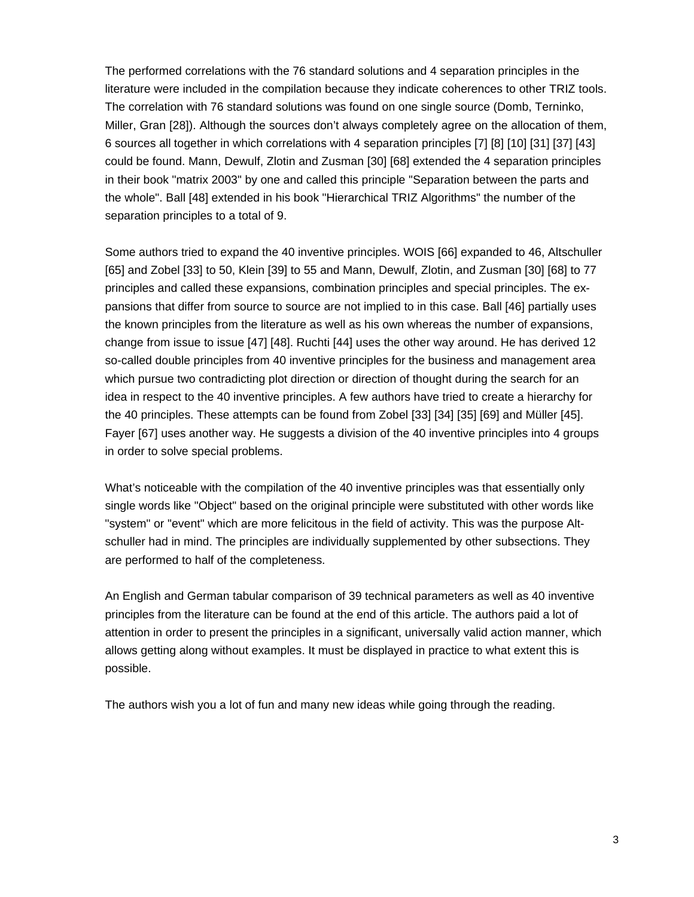The performed correlations with the 76 standard solutions and 4 separation principles in the literature were included in the compilation because they indicate coherences to other TRIZ tools. The correlation with 76 standard solutions was found on one single source (Domb, Terninko, Miller, Gran [28]). Although the sources don't always completely agree on the allocation of them, 6 sources all together in which correlations with 4 separation principles [7] [8] [10] [31] [37] [43] could be found. Mann, Dewulf, Zlotin and Zusman [30] [68] extended the 4 separation principles in their book "matrix 2003" by one and called this principle "Separation between the parts and the whole". Ball [48] extended in his book "Hierarchical TRIZ Algorithms" the number of the separation principles to a total of 9.

Some authors tried to expand the 40 inventive principles. WOIS [66] expanded to 46, Altschuller [65] and Zobel [33] to 50, Klein [39] to 55 and Mann, Dewulf, Zlotin, and Zusman [30] [68] to 77 principles and called these expansions, combination principles and special principles. The expansions that differ from source to source are not implied to in this case. Ball [46] partially uses the known principles from the literature as well as his own whereas the number of expansions, change from issue to issue [47] [48]. Ruchti [44] uses the other way around. He has derived 12 so-called double principles from 40 inventive principles for the business and management area which pursue two contradicting plot direction or direction of thought during the search for an idea in respect to the 40 inventive principles. A few authors have tried to create a hierarchy for the 40 principles. These attempts can be found from Zobel [33] [34] [35] [69] and Müller [45]. Fayer [67] uses another way. He suggests a division of the 40 inventive principles into 4 groups in order to solve special problems.

What's noticeable with the compilation of the 40 inventive principles was that essentially only single words like "Object" based on the original principle were substituted with other words like "system" or "event" which are more felicitous in the field of activity. This was the purpose Altschuller had in mind. The principles are individually supplemented by other subsections. They are performed to half of the completeness.

An English and German tabular comparison of 39 technical parameters as well as 40 inventive principles from the literature can be found at the end of this article. The authors paid a lot of attention in order to present the principles in a significant, universally valid action manner, which allows getting along without examples. It must be displayed in practice to what extent this is possible.

The authors wish you a lot of fun and many new ideas while going through the reading.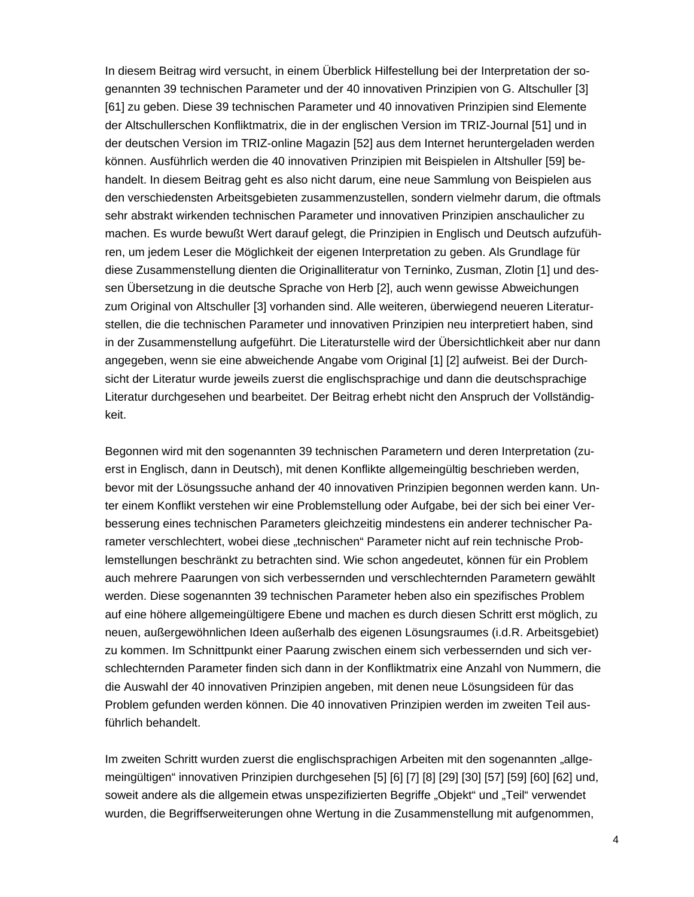In diesem Beitrag wird versucht, in einem Überblick Hilfestellung bei der Interpretation der sogenannten 39 technischen Parameter und der 40 innovativen Prinzipien von G. Altschuller [3] [61] zu geben. Diese 39 technischen Parameter und 40 innovativen Prinzipien sind Elemente der Altschullerschen Konfliktmatrix, die in der englischen Version im TRIZ-Journal [51] und in der deutschen Version im TRIZ-online Magazin [52] aus dem Internet heruntergeladen werden können. Ausführlich werden die 40 innovativen Prinzipien mit Beispielen in Altshuller [59] behandelt. In diesem Beitrag geht es also nicht darum, eine neue Sammlung von Beispielen aus den verschiedensten Arbeitsgebieten zusammenzustellen, sondern vielmehr darum, die oftmals sehr abstrakt wirkenden technischen Parameter und innovativen Prinzipien anschaulicher zu machen. Es wurde bewußt Wert darauf gelegt, die Prinzipien in Englisch und Deutsch aufzuführen, um jedem Leser die Möglichkeit der eigenen Interpretation zu geben. Als Grundlage für diese Zusammenstellung dienten die Originalliteratur von Terninko, Zusman, Zlotin [1] und dessen Übersetzung in die deutsche Sprache von Herb [2], auch wenn gewisse Abweichungen zum Original von Altschuller [3] vorhanden sind. Alle weiteren, überwiegend neueren Literaturstellen, die die technischen Parameter und innovativen Prinzipien neu interpretiert haben, sind in der Zusammenstellung aufgeführt. Die Literaturstelle wird der Übersichtlichkeit aber nur dann angegeben, wenn sie eine abweichende Angabe vom Original [1] [2] aufweist. Bei der Durchsicht der Literatur wurde jeweils zuerst die englischsprachige und dann die deutschsprachige Literatur durchgesehen und bearbeitet. Der Beitrag erhebt nicht den Anspruch der Vollständigkeit.

Begonnen wird mit den sogenannten 39 technischen Parametern und deren Interpretation (zuerst in Englisch, dann in Deutsch), mit denen Konflikte allgemeingültig beschrieben werden, bevor mit der Lösungssuche anhand der 40 innovativen Prinzipien begonnen werden kann. Unter einem Konflikt verstehen wir eine Problemstellung oder Aufgabe, bei der sich bei einer Verbesserung eines technischen Parameters gleichzeitig mindestens ein anderer technischer Parameter verschlechtert, wobei diese "technischen" Parameter nicht auf rein technische Problemstellungen beschränkt zu betrachten sind. Wie schon angedeutet, können für ein Problem auch mehrere Paarungen von sich verbessernden und verschlechternden Parametern gewählt werden. Diese sogenannten 39 technischen Parameter heben also ein spezifisches Problem auf eine höhere allgemeingültigere Ebene und machen es durch diesen Schritt erst möglich, zu neuen, außergewöhnlichen Ideen außerhalb des eigenen Lösungsraumes (i.d.R. Arbeitsgebiet) zu kommen. Im Schnittpunkt einer Paarung zwischen einem sich verbessernden und sich verschlechternden Parameter finden sich dann in der Konfliktmatrix eine Anzahl von Nummern, die die Auswahl der 40 innovativen Prinzipien angeben, mit denen neue Lösungsideen für das Problem gefunden werden können. Die 40 innovativen Prinzipien werden im zweiten Teil ausführlich behandelt.

Im zweiten Schritt wurden zuerst die englischsprachigen Arbeiten mit den sogenannten "allgemeingültigen" innovativen Prinzipien durchgesehen [5] [6] [7] [8] [29] [30] [57] [59] [60] [62] und, soweit andere als die allgemein etwas unspezifizierten Begriffe "Objekt" und "Teil" verwendet wurden, die Begriffserweiterungen ohne Wertung in die Zusammenstellung mit aufgenommen,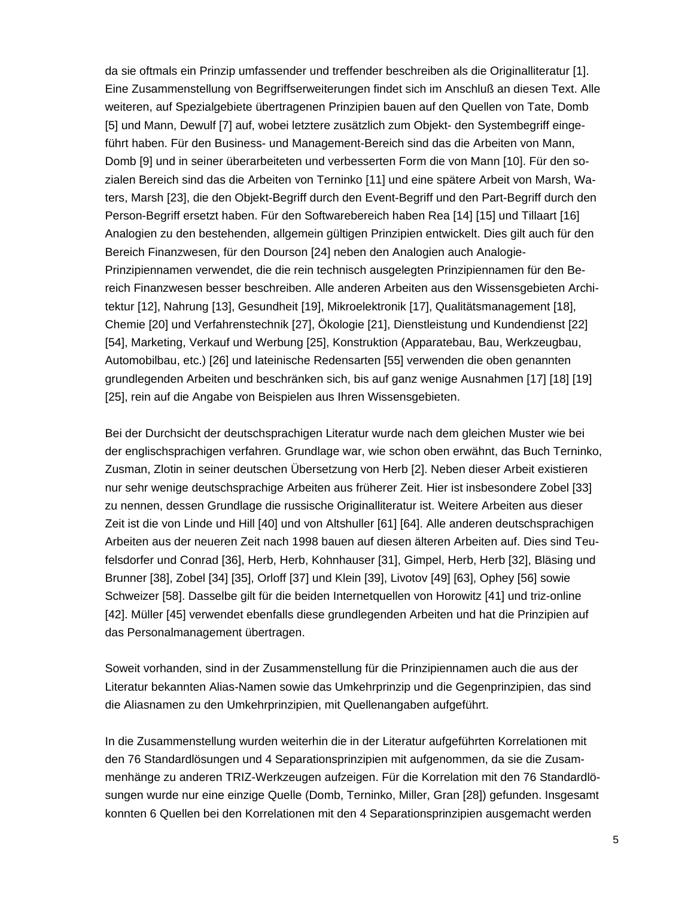da sie oftmals ein Prinzip umfassender und treffender beschreiben als die Originalliteratur [1]. Eine Zusammenstellung von Begriffserweiterungen findet sich im Anschluß an diesen Text. Alle weiteren, auf Spezialgebiete übertragenen Prinzipien bauen auf den Quellen von Tate, Domb [5] und Mann, Dewulf [7] auf, wobei letztere zusätzlich zum Objekt- den Systembegriff eingeführt haben. Für den Business- und Management-Bereich sind das die Arbeiten von Mann, Domb [9] und in seiner überarbeiteten und verbesserten Form die von Mann [10]. Für den sozialen Bereich sind das die Arbeiten von Terninko [11] und eine spätere Arbeit von Marsh, Waters, Marsh [23], die den Objekt-Begriff durch den Event-Begriff und den Part-Begriff durch den Person-Begriff ersetzt haben. Für den Softwarebereich haben Rea [14] [15] und Tillaart [16] Analogien zu den bestehenden, allgemein gültigen Prinzipien entwickelt. Dies gilt auch für den Bereich Finanzwesen, für den Dourson [24] neben den Analogien auch Analogie-Prinzipiennamen verwendet, die die rein technisch ausgelegten Prinzipiennamen für den Bereich Finanzwesen besser beschreiben. Alle anderen Arbeiten aus den Wissensgebieten Architektur [12], Nahrung [13], Gesundheit [19], Mikroelektronik [17], Qualitätsmanagement [18], Chemie [20] und Verfahrenstechnik [27], Ökologie [21], Dienstleistung und Kundendienst [22] [54], Marketing, Verkauf und Werbung [25], Konstruktion (Apparatebau, Bau, Werkzeugbau, Automobilbau, etc.) [26] und lateinische Redensarten [55] verwenden die oben genannten grundlegenden Arbeiten und beschränken sich, bis auf ganz wenige Ausnahmen [17] [18] [19] [25], rein auf die Angabe von Beispielen aus Ihren Wissensgebieten.

Bei der Durchsicht der deutschsprachigen Literatur wurde nach dem gleichen Muster wie bei der englischsprachigen verfahren. Grundlage war, wie schon oben erwähnt, das Buch Terninko, Zusman, Zlotin in seiner deutschen Übersetzung von Herb [2]. Neben dieser Arbeit existieren nur sehr wenige deutschsprachige Arbeiten aus früherer Zeit. Hier ist insbesondere Zobel [33] zu nennen, dessen Grundlage die russische Originalliteratur ist. Weitere Arbeiten aus dieser Zeit ist die von Linde und Hill [40] und von Altshuller [61] [64]. Alle anderen deutschsprachigen Arbeiten aus der neueren Zeit nach 1998 bauen auf diesen älteren Arbeiten auf. Dies sind Teufelsdorfer und Conrad [36], Herb, Herb, Kohnhauser [31], Gimpel, Herb, Herb [32], Bläsing und Brunner [38], Zobel [34] [35], Orloff [37] und Klein [39], Livotov [49] [63], Ophey [56] sowie Schweizer [58]. Dasselbe gilt für die beiden Internetquellen von Horowitz [41] und triz-online [42]. Müller [45] verwendet ebenfalls diese grundlegenden Arbeiten und hat die Prinzipien auf das Personalmanagement übertragen.

Soweit vorhanden, sind in der Zusammenstellung für die Prinzipiennamen auch die aus der Literatur bekannten Alias-Namen sowie das Umkehrprinzip und die Gegenprinzipien, das sind die Aliasnamen zu den Umkehrprinzipien, mit Quellenangaben aufgeführt.

In die Zusammenstellung wurden weiterhin die in der Literatur aufgeführten Korrelationen mit den 76 Standardlösungen und 4 Separationsprinzipien mit aufgenommen, da sie die Zusammenhänge zu anderen TRIZ-Werkzeugen aufzeigen. Für die Korrelation mit den 76 Standardlösungen wurde nur eine einzige Quelle (Domb, Terninko, Miller, Gran [28]) gefunden. Insgesamt konnten 6 Quellen bei den Korrelationen mit den 4 Separationsprinzipien ausgemacht werden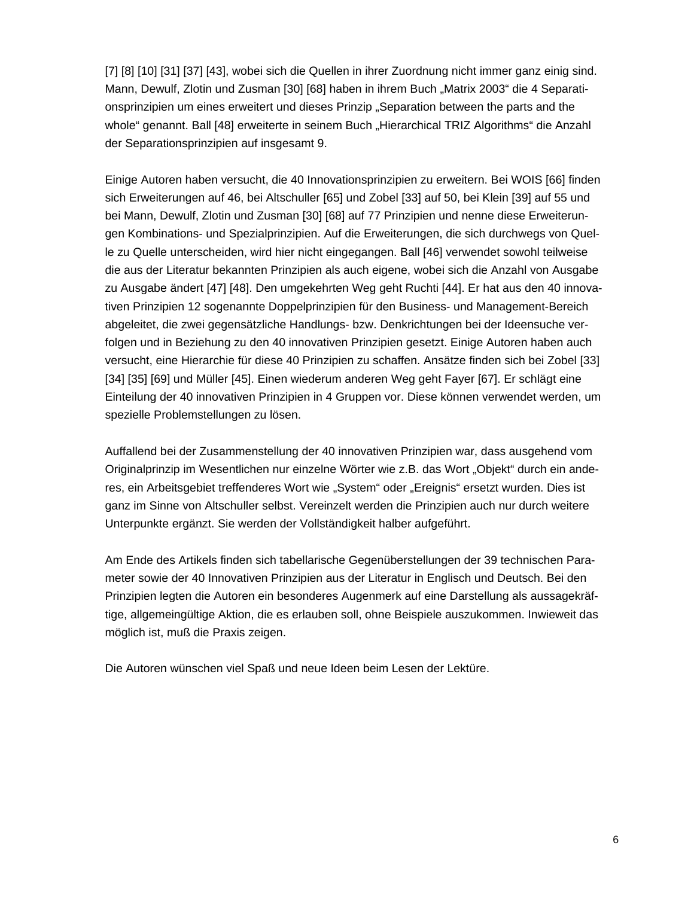[7] [8] [10] [31] [37] [43], wobei sich die Quellen in ihrer Zuordnung nicht immer ganz einig sind. Mann, Dewulf, Zlotin und Zusman [30] [68] haben in ihrem Buch "Matrix 2003" die 4 Separationsprinzipien um eines erweitert und dieses Prinzip "Separation between the parts and the whole" genannt. Ball [48] erweiterte in seinem Buch "Hierarchical TRIZ Algorithms" die Anzahl der Separationsprinzipien auf insgesamt 9.

Einige Autoren haben versucht, die 40 Innovationsprinzipien zu erweitern. Bei WOIS [66] finden sich Erweiterungen auf 46, bei Altschuller [65] und Zobel [33] auf 50, bei Klein [39] auf 55 und bei Mann, Dewulf, Zlotin und Zusman [30] [68] auf 77 Prinzipien und nenne diese Erweiterungen Kombinations- und Spezialprinzipien. Auf die Erweiterungen, die sich durchwegs von Quelle zu Quelle unterscheiden, wird hier nicht eingegangen. Ball [46] verwendet sowohl teilweise die aus der Literatur bekannten Prinzipien als auch eigene, wobei sich die Anzahl von Ausgabe zu Ausgabe ändert [47] [48]. Den umgekehrten Weg geht Ruchti [44]. Er hat aus den 40 innovativen Prinzipien 12 sogenannte Doppelprinzipien für den Business- und Management-Bereich abgeleitet, die zwei gegensätzliche Handlungs- bzw. Denkrichtungen bei der Ideensuche verfolgen und in Beziehung zu den 40 innovativen Prinzipien gesetzt. Einige Autoren haben auch versucht, eine Hierarchie für diese 40 Prinzipien zu schaffen. Ansätze finden sich bei Zobel [33] [34] [35] [69] und Müller [45]. Einen wiederum anderen Weg geht Fayer [67]. Er schlägt eine Einteilung der 40 innovativen Prinzipien in 4 Gruppen vor. Diese können verwendet werden, um spezielle Problemstellungen zu lösen.

Auffallend bei der Zusammenstellung der 40 innovativen Prinzipien war, dass ausgehend vom Originalprinzip im Wesentlichen nur einzelne Wörter wie z.B. das Wort "Objekt" durch ein anderes, ein Arbeitsgebiet treffenderes Wort wie "System" oder "Ereignis" ersetzt wurden. Dies ist ganz im Sinne von Altschuller selbst. Vereinzelt werden die Prinzipien auch nur durch weitere Unterpunkte ergänzt. Sie werden der Vollständigkeit halber aufgeführt.

Am Ende des Artikels finden sich tabellarische Gegenüberstellungen der 39 technischen Parameter sowie der 40 Innovativen Prinzipien aus der Literatur in Englisch und Deutsch. Bei den Prinzipien legten die Autoren ein besonderes Augenmerk auf eine Darstellung als aussagekräftige, allgemeingültige Aktion, die es erlauben soll, ohne Beispiele auszukommen. Inwieweit das möglich ist, muß die Praxis zeigen.

Die Autoren wünschen viel Spaß und neue Ideen beim Lesen der Lektüre.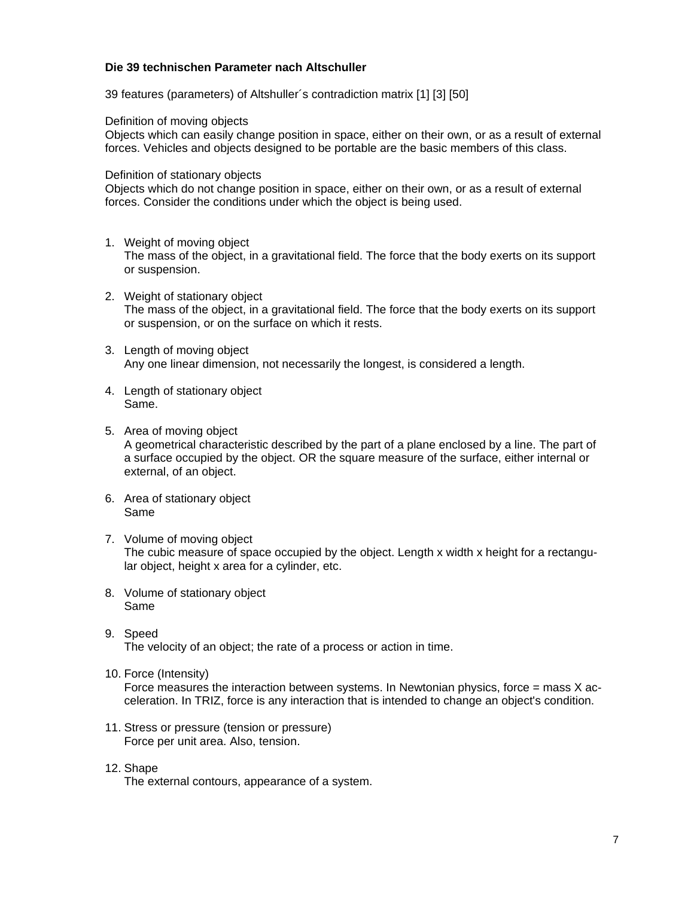#### **Die 39 technischen Parameter nach Altschuller**

39 features (parameters) of Altshuller´s contradiction matrix [1] [3] [50]

Definition of moving objects

Objects which can easily change position in space, either on their own, or as a result of external forces. Vehicles and objects designed to be portable are the basic members of this class.

Definition of stationary objects

Objects which do not change position in space, either on their own, or as a result of external forces. Consider the conditions under which the object is being used.

- 1. Weight of moving object The mass of the object, in a gravitational field. The force that the body exerts on its support or suspension.
- 2. Weight of stationary object The mass of the object, in a gravitational field. The force that the body exerts on its support or suspension, or on the surface on which it rests.
- 3. Length of moving object Any one linear dimension, not necessarily the longest, is considered a length.
- 4. Length of stationary object Same.
- 5. Area of moving object A geometrical characteristic described by the part of a plane enclosed by a line. The part of a surface occupied by the object. OR the square measure of the surface, either internal or external, of an object.
- 6. Area of stationary object Same
- 7. Volume of moving object The cubic measure of space occupied by the object. Length x width x height for a rectangular object, height x area for a cylinder, etc.
- 8. Volume of stationary object Same
- 9. Speed The velocity of an object; the rate of a process or action in time.
- 10. Force (Intensity)

Force measures the interaction between systems. In Newtonian physics, force  $=$  mass  $X$  acceleration. In TRIZ, force is any interaction that is intended to change an object's condition.

- 11. Stress or pressure (tension or pressure) Force per unit area. Also, tension.
- 12. Shape The external contours, appearance of a system.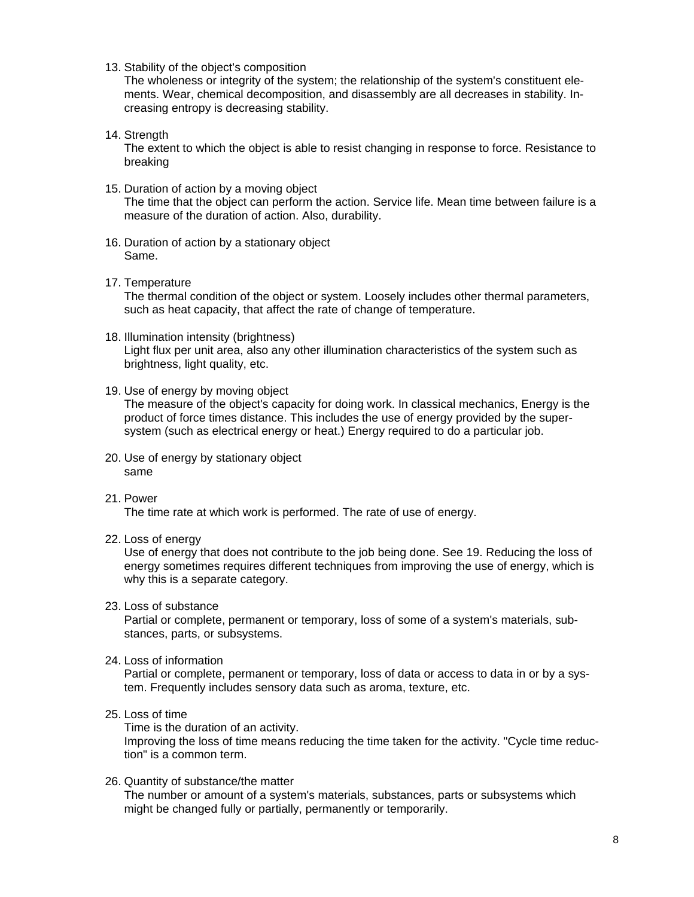13. Stability of the object's composition

The wholeness or integrity of the system; the relationship of the system's constituent elements. Wear, chemical decomposition, and disassembly are all decreases in stability. Increasing entropy is decreasing stability.

14. Strength

The extent to which the object is able to resist changing in response to force. Resistance to breaking

- 15. Duration of action by a moving object The time that the object can perform the action. Service life. Mean time between failure is a measure of the duration of action. Also, durability.
- 16. Duration of action by a stationary object Same.
- 17. Temperature

The thermal condition of the object or system. Loosely includes other thermal parameters, such as heat capacity, that affect the rate of change of temperature.

- 18. Illumination intensity (brightness) Light flux per unit area, also any other illumination characteristics of the system such as brightness, light quality, etc.
- 19. Use of energy by moving object

The measure of the object's capacity for doing work. In classical mechanics, Energy is the product of force times distance. This includes the use of energy provided by the supersystem (such as electrical energy or heat.) Energy required to do a particular job.

- 20. Use of energy by stationary object same
- 21. Power

The time rate at which work is performed. The rate of use of energy.

22. Loss of energy

Use of energy that does not contribute to the job being done. See 19. Reducing the loss of energy sometimes requires different techniques from improving the use of energy, which is why this is a separate category.

23. Loss of substance

Partial or complete, permanent or temporary, loss of some of a system's materials, substances, parts, or subsystems.

24. Loss of information

Partial or complete, permanent or temporary, loss of data or access to data in or by a system. Frequently includes sensory data such as aroma, texture, etc.

25. Loss of time

Time is the duration of an activity.

Improving the loss of time means reducing the time taken for the activity. "Cycle time reduction" is a common term.

26. Quantity of substance/the matter The number or amount of a system's materials, substances, parts or subsystems which might be changed fully or partially, permanently or temporarily.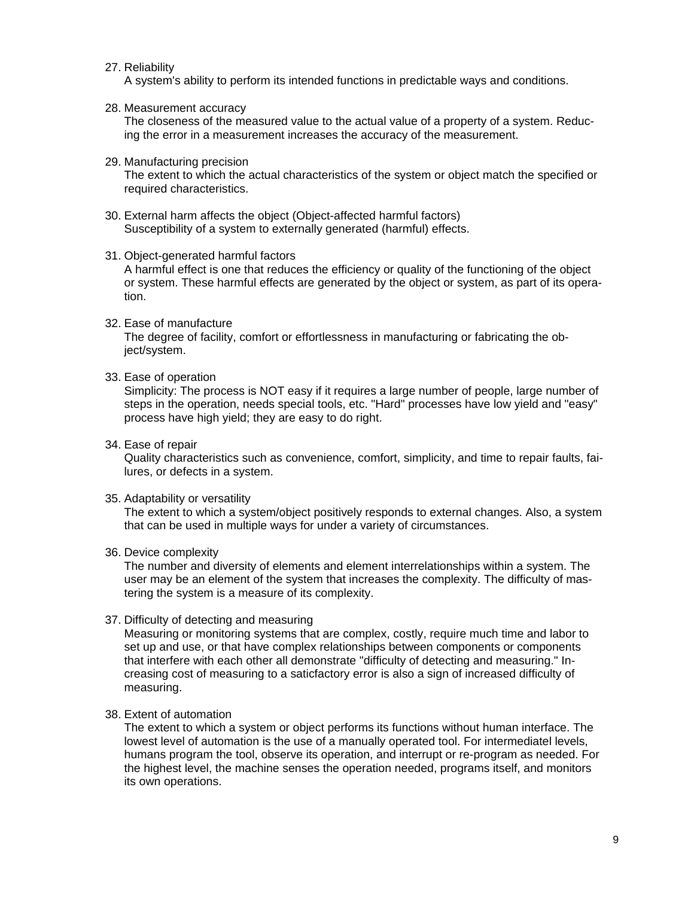#### 27. Reliability

A system's ability to perform its intended functions in predictable ways and conditions.

#### 28. Measurement accuracy

The closeness of the measured value to the actual value of a property of a system. Reducing the error in a measurement increases the accuracy of the measurement.

#### 29. Manufacturing precision

The extent to which the actual characteristics of the system or object match the specified or required characteristics.

30. External harm affects the object (Object-affected harmful factors) Susceptibility of a system to externally generated (harmful) effects.

#### 31. Object-generated harmful factors

A harmful effect is one that reduces the efficiency or quality of the functioning of the object or system. These harmful effects are generated by the object or system, as part of its operation.

#### 32. Ease of manufacture

The degree of facility, comfort or effortlessness in manufacturing or fabricating the object/system.

#### 33. Ease of operation

Simplicity: The process is NOT easy if it requires a large number of people, large number of steps in the operation, needs special tools, etc. "Hard" processes have low yield and "easy" process have high yield; they are easy to do right.

#### 34. Ease of repair

Quality characteristics such as convenience, comfort, simplicity, and time to repair faults, failures, or defects in a system.

#### 35. Adaptability or versatility

The extent to which a system/object positively responds to external changes. Also, a system that can be used in multiple ways for under a variety of circumstances.

#### 36. Device complexity

The number and diversity of elements and element interrelationships within a system. The user may be an element of the system that increases the complexity. The difficulty of mastering the system is a measure of its complexity.

#### 37. Difficulty of detecting and measuring

Measuring or monitoring systems that are complex, costly, require much time and labor to set up and use, or that have complex relationships between components or components that interfere with each other all demonstrate "difficulty of detecting and measuring." Increasing cost of measuring to a saticfactory error is also a sign of increased difficulty of measuring.

#### 38. Extent of automation

The extent to which a system or object performs its functions without human interface. The lowest level of automation is the use of a manually operated tool. For intermediatel levels, humans program the tool, observe its operation, and interrupt or re-program as needed. For the highest level, the machine senses the operation needed, programs itself, and monitors its own operations.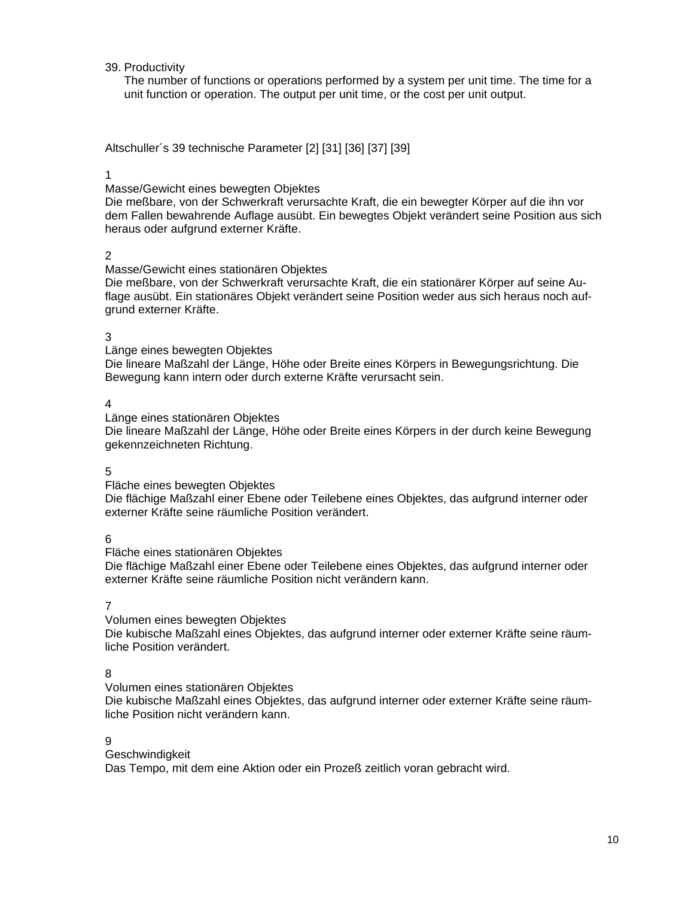#### 39. Productivity

The number of functions or operations performed by a system per unit time. The time for a unit function or operation. The output per unit time, or the cost per unit output.

Altschuller´s 39 technische Parameter [2] [31] [36] [37] [39]

#### 1

Masse/Gewicht eines bewegten Objektes

Die meßbare, von der Schwerkraft verursachte Kraft, die ein bewegter Körper auf die ihn vor dem Fallen bewahrende Auflage ausübt. Ein bewegtes Objekt verändert seine Position aus sich heraus oder aufgrund externer Kräfte.

#### 2

Masse/Gewicht eines stationären Objektes

Die meßbare, von der Schwerkraft verursachte Kraft, die ein stationärer Körper auf seine Auflage ausübt. Ein stationäres Objekt verändert seine Position weder aus sich heraus noch aufgrund externer Kräfte.

#### 3

Länge eines bewegten Objektes

Die lineare Maßzahl der Länge, Höhe oder Breite eines Körpers in Bewegungsrichtung. Die Bewegung kann intern oder durch externe Kräfte verursacht sein.

#### 4

Länge eines stationären Objektes

Die lineare Maßzahl der Länge, Höhe oder Breite eines Körpers in der durch keine Bewegung gekennzeichneten Richtung.

#### 5

Fläche eines bewegten Objektes

Die flächige Maßzahl einer Ebene oder Teilebene eines Objektes, das aufgrund interner oder externer Kräfte seine räumliche Position verändert.

6

Fläche eines stationären Objektes

Die flächige Maßzahl einer Ebene oder Teilebene eines Objektes, das aufgrund interner oder externer Kräfte seine räumliche Position nicht verändern kann.

7

Volumen eines bewegten Objektes

Die kubische Maßzahl eines Objektes, das aufgrund interner oder externer Kräfte seine räumliche Position verändert.

#### 8

Volumen eines stationären Objektes

Die kubische Maßzahl eines Objektes, das aufgrund interner oder externer Kräfte seine räumliche Position nicht verändern kann.

#### 9

**Geschwindigkeit** 

Das Tempo, mit dem eine Aktion oder ein Prozeß zeitlich voran gebracht wird.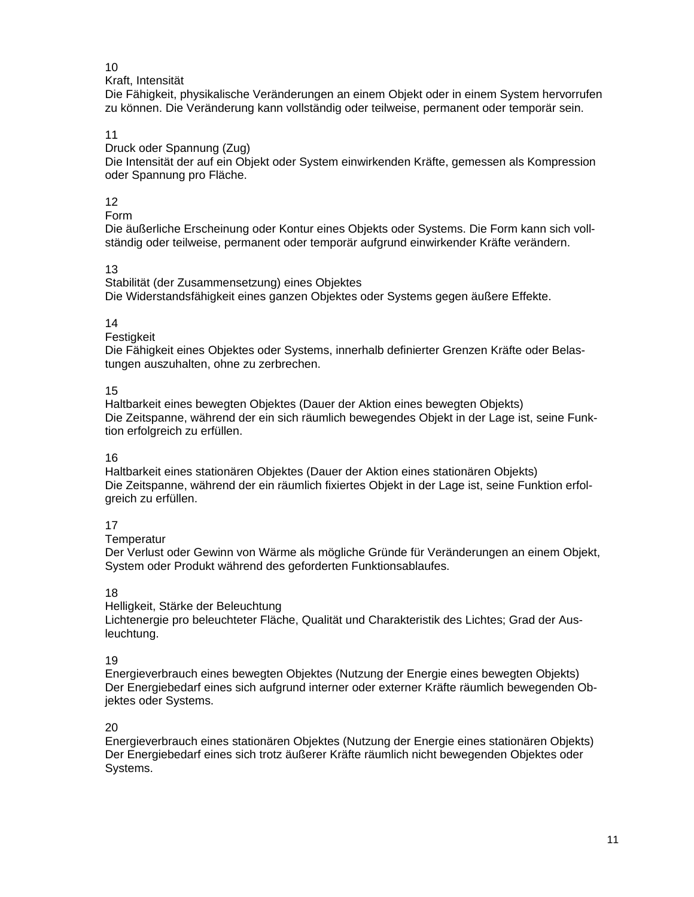#### 10

#### Kraft, Intensität

Die Fähigkeit, physikalische Veränderungen an einem Objekt oder in einem System hervorrufen zu können. Die Veränderung kann vollständig oder teilweise, permanent oder temporär sein.

#### 11

Druck oder Spannung (Zug)

Die Intensität der auf ein Objekt oder System einwirkenden Kräfte, gemessen als Kompression oder Spannung pro Fläche.

#### 12

Form

Die äußerliche Erscheinung oder Kontur eines Objekts oder Systems. Die Form kann sich vollständig oder teilweise, permanent oder temporär aufgrund einwirkender Kräfte verändern.

#### 13

Stabilität (der Zusammensetzung) eines Objektes Die Widerstandsfähigkeit eines ganzen Objektes oder Systems gegen äußere Effekte.

#### 14

**Festigkeit** 

Die Fähigkeit eines Objektes oder Systems, innerhalb definierter Grenzen Kräfte oder Belastungen auszuhalten, ohne zu zerbrechen.

#### 15

Haltbarkeit eines bewegten Objektes (Dauer der Aktion eines bewegten Objekts) Die Zeitspanne, während der ein sich räumlich bewegendes Objekt in der Lage ist, seine Funktion erfolgreich zu erfüllen.

#### 16

Haltbarkeit eines stationären Objektes (Dauer der Aktion eines stationären Objekts) Die Zeitspanne, während der ein räumlich fixiertes Objekt in der Lage ist, seine Funktion erfolgreich zu erfüllen.

#### 17

**Temperatur** 

Der Verlust oder Gewinn von Wärme als mögliche Gründe für Veränderungen an einem Objekt, System oder Produkt während des geforderten Funktionsablaufes.

#### 18

Helligkeit, Stärke der Beleuchtung

Lichtenergie pro beleuchteter Fläche, Qualität und Charakteristik des Lichtes; Grad der Ausleuchtung.

### 19

Energieverbrauch eines bewegten Objektes (Nutzung der Energie eines bewegten Objekts) Der Energiebedarf eines sich aufgrund interner oder externer Kräfte räumlich bewegenden Objektes oder Systems.

### 20

Energieverbrauch eines stationären Objektes (Nutzung der Energie eines stationären Objekts) Der Energiebedarf eines sich trotz äußerer Kräfte räumlich nicht bewegenden Objektes oder Systems.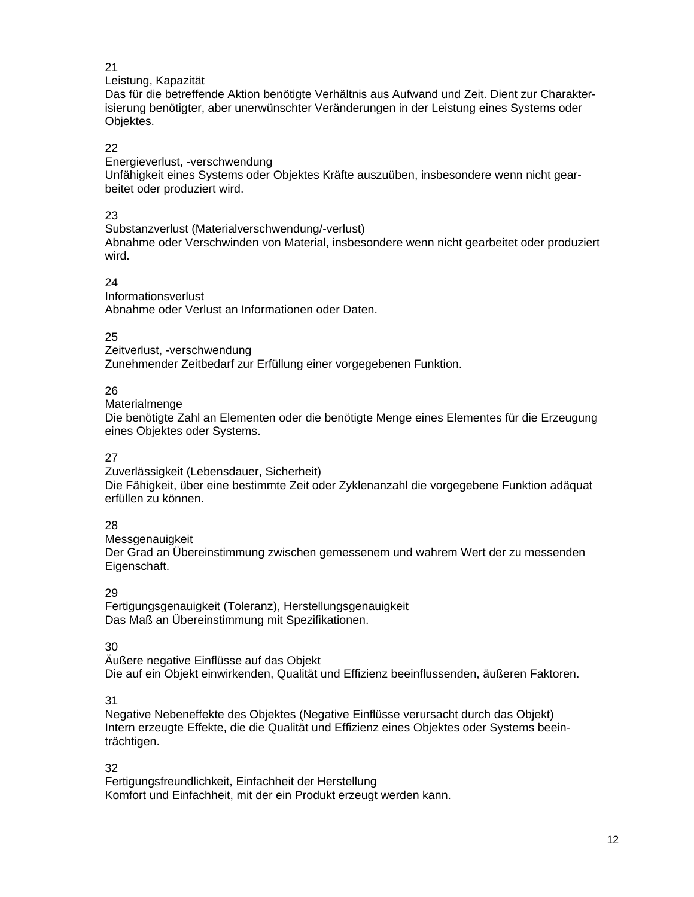#### 21

#### Leistung, Kapazität

Das für die betreffende Aktion benötigte Verhältnis aus Aufwand und Zeit. Dient zur Charakterisierung benötigter, aber unerwünschter Veränderungen in der Leistung eines Systems oder Objektes.

#### 22

Energieverlust, -verschwendung

Unfähigkeit eines Systems oder Objektes Kräfte auszuüben, insbesondere wenn nicht gearbeitet oder produziert wird.

#### 23

Substanzverlust (Materialverschwendung/-verlust) Abnahme oder Verschwinden von Material, insbesondere wenn nicht gearbeitet oder produziert wird.

#### 24

Informationsverlust Abnahme oder Verlust an Informationen oder Daten.

### 25

Zeitverlust, -verschwendung Zunehmender Zeitbedarf zur Erfüllung einer vorgegebenen Funktion.

#### 26

#### Materialmenge

Die benötigte Zahl an Elementen oder die benötigte Menge eines Elementes für die Erzeugung eines Objektes oder Systems.

#### 27

Zuverlässigkeit (Lebensdauer, Sicherheit) Die Fähigkeit, über eine bestimmte Zeit oder Zyklenanzahl die vorgegebene Funktion adäquat erfüllen zu können.

#### 28

Messgenauigkeit Der Grad an Übereinstimmung zwischen gemessenem und wahrem Wert der zu messenden Eigenschaft.

#### 29

Fertigungsgenauigkeit (Toleranz), Herstellungsgenauigkeit Das Maß an Übereinstimmung mit Spezifikationen.

#### 30

Äußere negative Einflüsse auf das Objekt Die auf ein Objekt einwirkenden, Qualität und Effizienz beeinflussenden, äußeren Faktoren.

#### 31

Negative Nebeneffekte des Objektes (Negative Einflüsse verursacht durch das Objekt) Intern erzeugte Effekte, die die Qualität und Effizienz eines Objektes oder Systems beeinträchtigen.

32

Fertigungsfreundlichkeit, Einfachheit der Herstellung Komfort und Einfachheit, mit der ein Produkt erzeugt werden kann.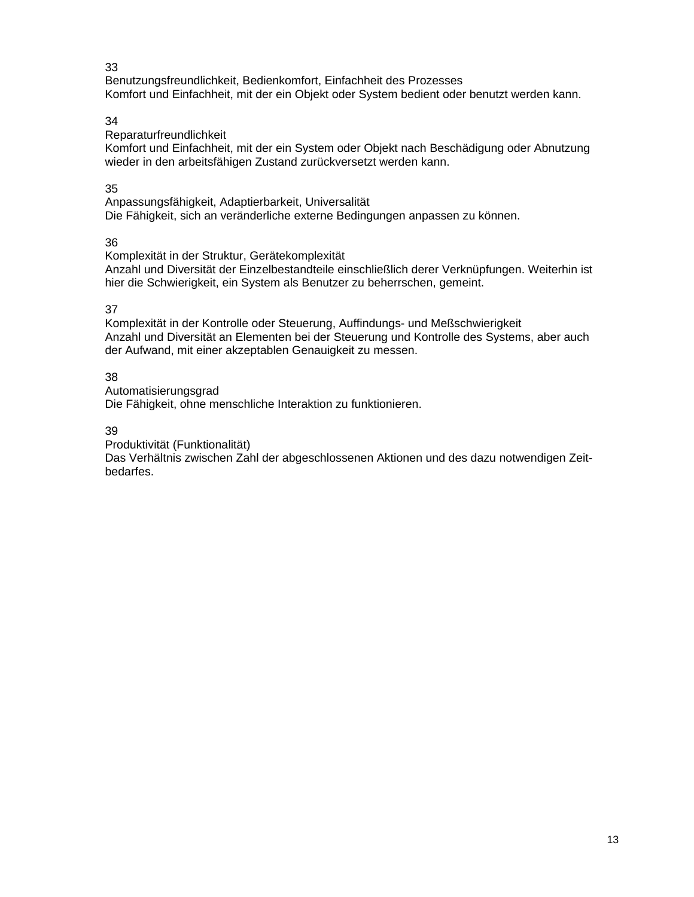#### 33

Benutzungsfreundlichkeit, Bedienkomfort, Einfachheit des Prozesses Komfort und Einfachheit, mit der ein Objekt oder System bedient oder benutzt werden kann.

### 34

Reparaturfreundlichkeit

Komfort und Einfachheit, mit der ein System oder Objekt nach Beschädigung oder Abnutzung wieder in den arbeitsfähigen Zustand zurückversetzt werden kann.

### 35

Anpassungsfähigkeit, Adaptierbarkeit, Universalität Die Fähigkeit, sich an veränderliche externe Bedingungen anpassen zu können.

36

Komplexität in der Struktur, Gerätekomplexität

Anzahl und Diversität der Einzelbestandteile einschließlich derer Verknüpfungen. Weiterhin ist hier die Schwierigkeit, ein System als Benutzer zu beherrschen, gemeint.

37

Komplexität in der Kontrolle oder Steuerung, Auffindungs- und Meßschwierigkeit Anzahl und Diversität an Elementen bei der Steuerung und Kontrolle des Systems, aber auch der Aufwand, mit einer akzeptablen Genauigkeit zu messen.

38

Automatisierungsgrad Die Fähigkeit, ohne menschliche Interaktion zu funktionieren.

39

Produktivität (Funktionalität)

Das Verhältnis zwischen Zahl der abgeschlossenen Aktionen und des dazu notwendigen Zeitbedarfes.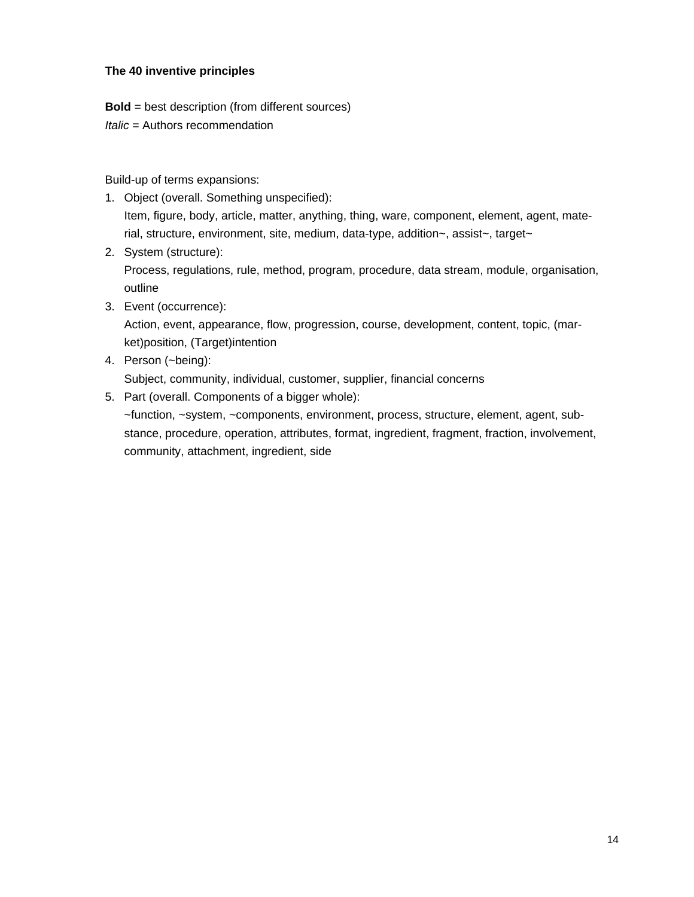#### **The 40 inventive principles**

**Bold** = best description (from different sources)

*Italic = Authors recommendation* 

Build-up of terms expansions:

- 1. Object (overall. Something unspecified): Item, figure, body, article, matter, anything, thing, ware, component, element, agent, material, structure, environment, site, medium, data-type, addition~, assist~, target~
- 2. System (structure): Process, regulations, rule, method, program, procedure, data stream, module, organisation, outline
- 3. Event (occurrence):

Action, event, appearance, flow, progression, course, development, content, topic, (market)position, (Target)intention

4. Person (~being):

Subject, community, individual, customer, supplier, financial concerns

5. Part (overall. Components of a bigger whole):

~function, ~system, ~components, environment, process, structure, element, agent, substance, procedure, operation, attributes, format, ingredient, fragment, fraction, involvement, community, attachment, ingredient, side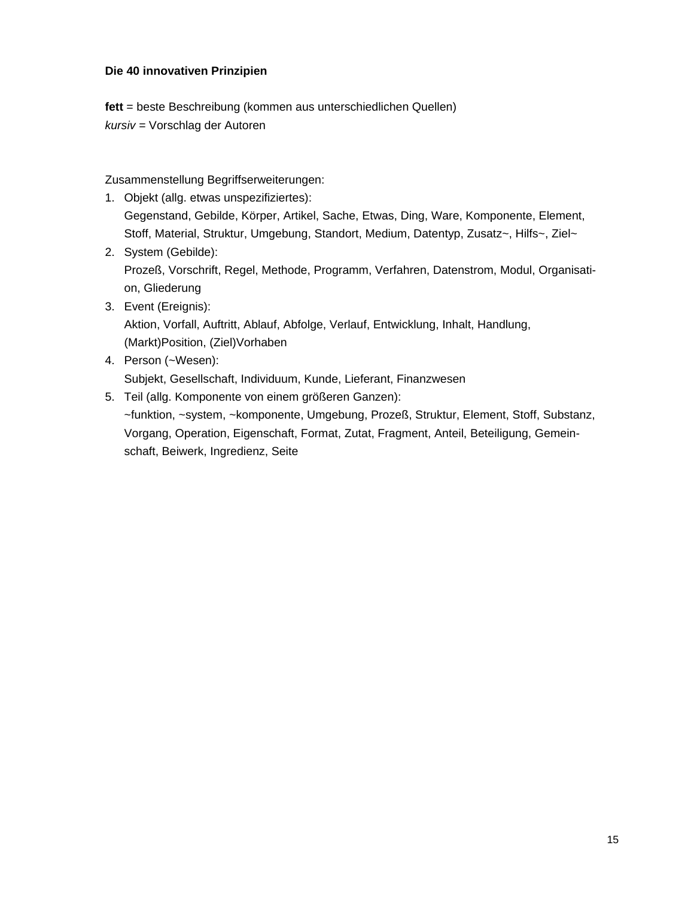#### **Die 40 innovativen Prinzipien**

**fett** = beste Beschreibung (kommen aus unterschiedlichen Quellen) *kursiv* = Vorschlag der Autoren

Zusammenstellung Begriffserweiterungen:

- 1. Objekt (allg. etwas unspezifiziertes): Gegenstand, Gebilde, Körper, Artikel, Sache, Etwas, Ding, Ware, Komponente, Element, Stoff, Material, Struktur, Umgebung, Standort, Medium, Datentyp, Zusatz~, Hilfs~, Ziel~
- 2. System (Gebilde): Prozeß, Vorschrift, Regel, Methode, Programm, Verfahren, Datenstrom, Modul, Organisation, Gliederung
- 3. Event (Ereignis):

Aktion, Vorfall, Auftritt, Ablauf, Abfolge, Verlauf, Entwicklung, Inhalt, Handlung, (Markt)Position, (Ziel)Vorhaben

- 4. Person (~Wesen): Subjekt, Gesellschaft, Individuum, Kunde, Lieferant, Finanzwesen
- 5. Teil (allg. Komponente von einem größeren Ganzen): ~funktion, ~system, ~komponente, Umgebung, Prozeß, Struktur, Element, Stoff, Substanz, Vorgang, Operation, Eigenschaft, Format, Zutat, Fragment, Anteil, Beteiligung, Gemeinschaft, Beiwerk, Ingredienz, Seite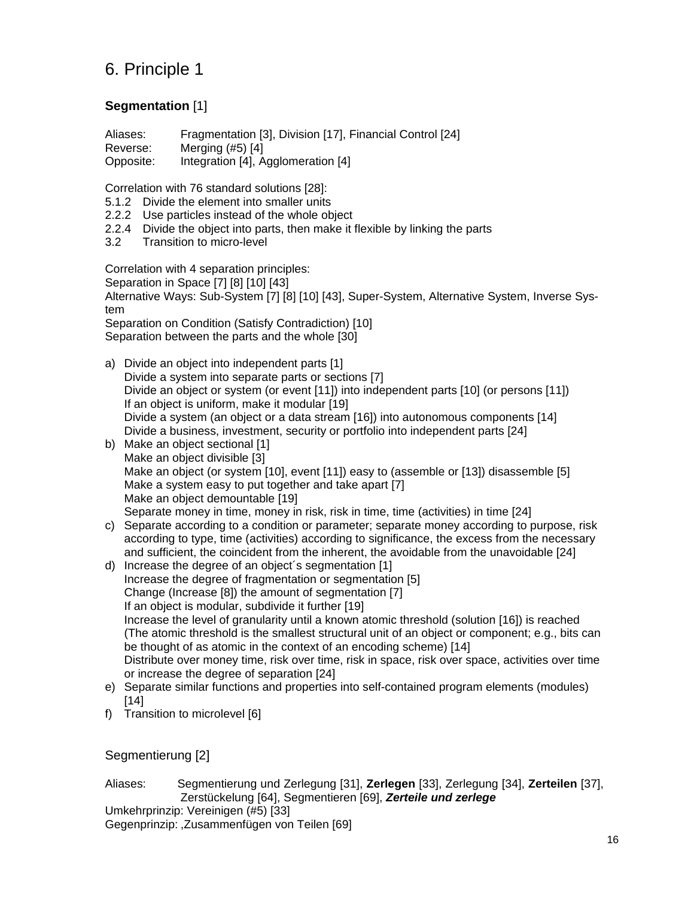# 6. Principle 1

### **Segmentation** [1]

Aliases: Fragmentation [3], Division [17], Financial Control [24] Reverse: Merging (#5) [4] Opposite: Integration [4], Agglomeration [4]

Correlation with 76 standard solutions [28]:

- 5.1.2 Divide the element into smaller units
- 2.2.2 Use particles instead of the whole object
- 2.2.4 Divide the object into parts, then make it flexible by linking the parts
- 3.2 Transition to micro-level

Correlation with 4 separation principles:

Separation in Space [7] [8] [10] [43]

Alternative Ways: Sub-System [7] [8] [10] [43], Super-System, Alternative System, Inverse System

Separation on Condition (Satisfy Contradiction) [10] Separation between the parts and the whole [30]

- a) Divide an object into independent parts [1] Divide a system into separate parts or sections [7] Divide an object or system (or event [11]) into independent parts [10] (or persons [11]) If an object is uniform, make it modular [19] Divide a system (an object or a data stream [16]) into autonomous components [14] Divide a business, investment, security or portfolio into independent parts [24]
- b) Make an object sectional [1] Make an object divisible [3] Make an object (or system [10], event [11]) easy to (assemble or [13]) disassemble [5] Make a system easy to put together and take apart [7] Make an object demountable [19] Separate money in time, money in risk, risk in time, time (activities) in time [24]
- c) Separate according to a condition or parameter; separate money according to purpose, risk according to type, time (activities) according to significance, the excess from the necessary and sufficient, the coincident from the inherent, the avoidable from the unavoidable [24]
- d) Increase the degree of an object´s segmentation [1] Increase the degree of fragmentation or segmentation [5] Change (Increase [8]) the amount of segmentation [7] If an object is modular, subdivide it further [19] Increase the level of granularity until a known atomic threshold (solution [16]) is reached (The atomic threshold is the smallest structural unit of an object or component; e.g., bits can be thought of as atomic in the context of an encoding scheme) [14] Distribute over money time, risk over time, risk in space, risk over space, activities over time or increase the degree of separation [24]
- e) Separate similar functions and properties into self-contained program elements (modules) [14]
- f) Transition to microlevel [6]

Segmentierung [2]

Aliases: Segmentierung und Zerlegung [31], **Zerlegen** [33], Zerlegung [34], **Zerteilen** [37], Zerstückelung [64], Segmentieren [69], *Zerteile und zerlege* Umkehrprinzip: Vereinigen (#5) [33]

Gegenprinzip: ,Zusammenfügen von Teilen [69]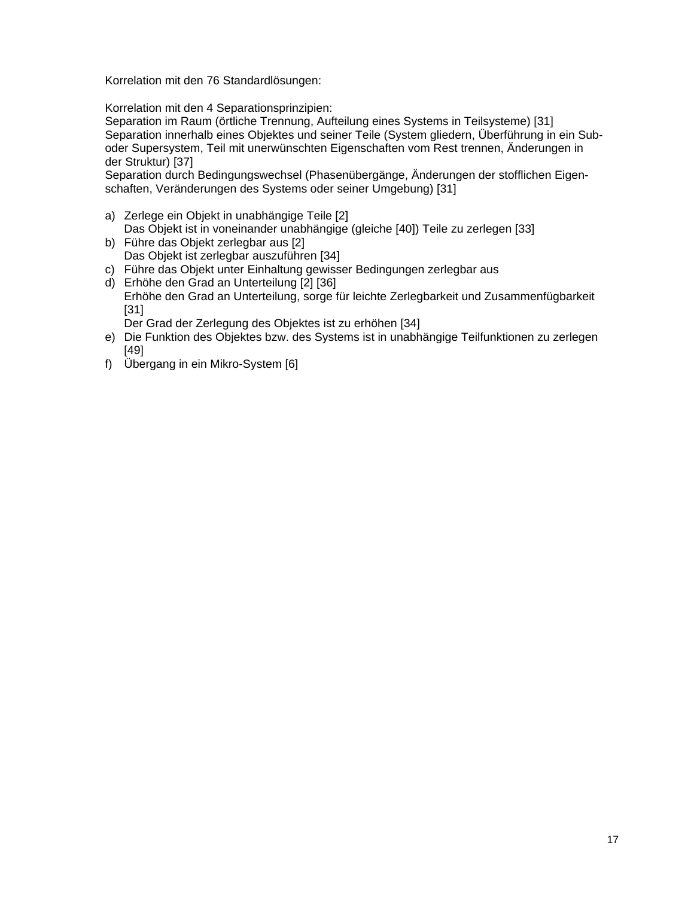Korrelation mit den 76 Standardlösungen:

Korrelation mit den 4 Separationsprinzipien:

Separation im Raum (örtliche Trennung, Aufteilung eines Systems in Teilsysteme) [31] Separation innerhalb eines Objektes und seiner Teile (System gliedern, Überführung in ein Suboder Supersystem, Teil mit unerwünschten Eigenschaften vom Rest trennen, Änderungen in der Struktur) [37]

Separation durch Bedingungswechsel (Phasenübergänge, Änderungen der stofflichen Eigenschaften, Veränderungen des Systems oder seiner Umgebung) [31]

- a) Zerlege ein Objekt in unabhängige Teile [2] Das Objekt ist in voneinander unabhängige (gleiche [40]) Teile zu zerlegen [33]
- b) Führe das Objekt zerlegbar aus [2] Das Objekt ist zerlegbar auszuführen [34]
- c) Führe das Objekt unter Einhaltung gewisser Bedingungen zerlegbar aus
- d) Erhöhe den Grad an Unterteilung [2] [36] Erhöhe den Grad an Unterteilung, sorge für leichte Zerlegbarkeit und Zusammenfügbarkeit [31]

Der Grad der Zerlegung des Objektes ist zu erhöhen [34]

- e) Die Funktion des Objektes bzw. des Systems ist in unabhängige Teilfunktionen zu zerlegen [49]
- f) Übergang in ein Mikro-System [6]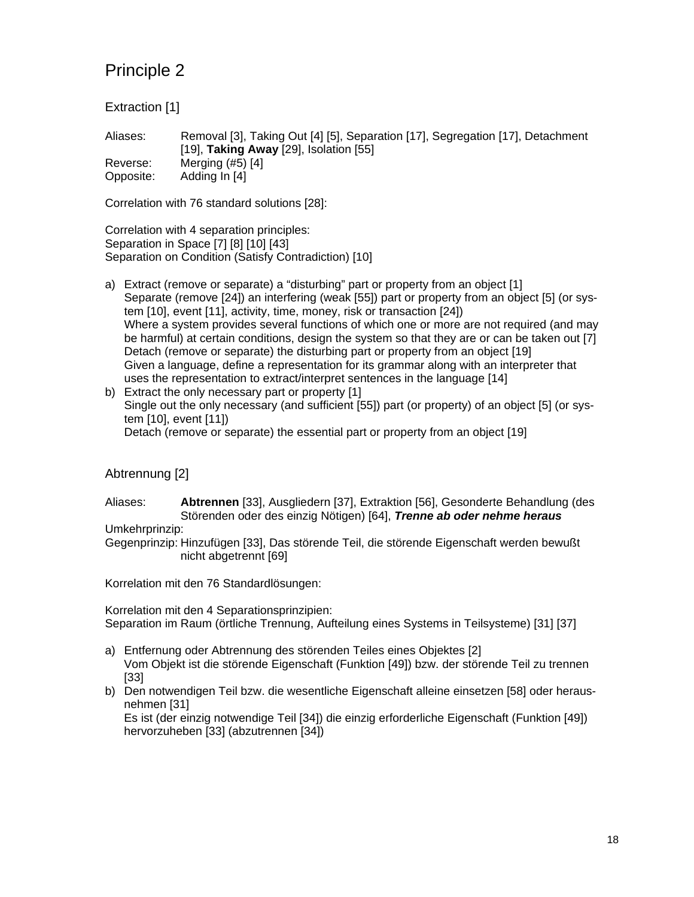Extraction [1]

Aliases: Removal [3], Taking Out [4] [5], Separation [17], Segregation [17], Detachment [19], **Taking Away** [29], Isolation [55] Reverse: Merging (#5) [4] Opposite: Adding In [4]

Correlation with 76 standard solutions [28]:

Correlation with 4 separation principles: Separation in Space [7] [8] [10] [43] Separation on Condition (Satisfy Contradiction) [10]

- a) Extract (remove or separate) a "disturbing" part or property from an object [1] Separate (remove [24]) an interfering (weak [55]) part or property from an object [5] (or system [10], event [11], activity, time, money, risk or transaction [24]) Where a system provides several functions of which one or more are not required (and may be harmful) at certain conditions, design the system so that they are or can be taken out [7] Detach (remove or separate) the disturbing part or property from an object [19] Given a language, define a representation for its grammar along with an interpreter that uses the representation to extract/interpret sentences in the language [14]
- b) Extract the only necessary part or property [1] Single out the only necessary (and sufficient [55]) part (or property) of an object [5] (or system [10], event [11]) Detach (remove or separate) the essential part or property from an object [19]

### Abtrennung [2]

Aliases: **Abtrennen** [33], Ausgliedern [37], Extraktion [56], Gesonderte Behandlung (des Störenden oder des einzig Nötigen) [64], *Trenne ab oder nehme heraus*

Umkehrprinzip:

Gegenprinzip: Hinzufügen [33], Das störende Teil, die störende Eigenschaft werden bewußt nicht abgetrennt [69]

Korrelation mit den 76 Standardlösungen:

Korrelation mit den 4 Separationsprinzipien: Separation im Raum (örtliche Trennung, Aufteilung eines Systems in Teilsysteme) [31] [37]

- a) Entfernung oder Abtrennung des störenden Teiles eines Objektes [2] Vom Objekt ist die störende Eigenschaft (Funktion [49]) bzw. der störende Teil zu trennen [33]
- b) Den notwendigen Teil bzw. die wesentliche Eigenschaft alleine einsetzen [58] oder herausnehmen [31]

Es ist (der einzig notwendige Teil [34]) die einzig erforderliche Eigenschaft (Funktion [49]) hervorzuheben [33] (abzutrennen [34])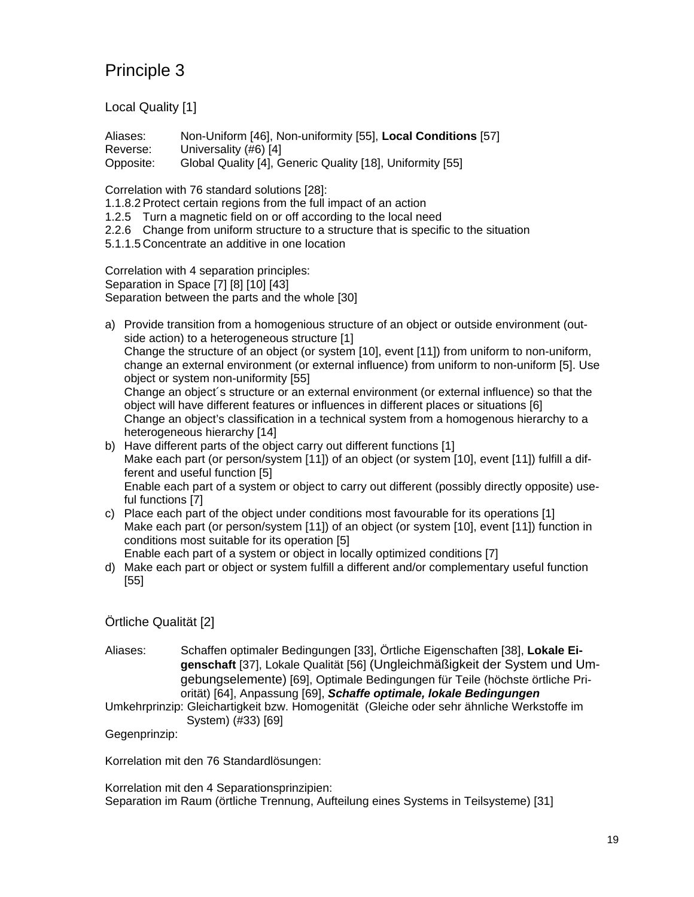Local Quality [1]

Aliases: Non-Uniform [46], Non-uniformity [55], **Local Conditions** [57] Reverse: Universality (#6) [4] Opposite: Global Quality [4], Generic Quality [18], Uniformity [55]

Correlation with 76 standard solutions [28]:

1.1.8.2 Protect certain regions from the full impact of an action

1.2.5 Turn a magnetic field on or off according to the local need

2.2.6 Change from uniform structure to a structure that is specific to the situation

5.1.1.5 Concentrate an additive in one location

Correlation with 4 separation principles: Separation in Space [7] [8] [10] [43] Separation between the parts and the whole [30]

a) Provide transition from a homogenious structure of an object or outside environment (outside action) to a heterogeneous structure [1] Change the structure of an object (or system [10], event [11]) from uniform to non-uniform, change an external environment (or external influence) from uniform to non-uniform [5]. Use object or system non-uniformity [55] Change an object´s structure or an external environment (or external influence) so that the object will have different features or influences in different places or situations [6] Change an object's classification in a technical system from a homogenous hierarchy to a heterogeneous hierarchy [14]

- b) Have different parts of the object carry out different functions [1] Make each part (or person/system [11]) of an object (or system [10], event [11]) fulfill a different and useful function [5] Enable each part of a system or object to carry out different (possibly directly opposite) useful functions [7]
- c) Place each part of the object under conditions most favourable for its operations [1] Make each part (or person/system [11]) of an object (or system [10], event [11]) function in conditions most suitable for its operation [5] Enable each part of a system or object in locally optimized conditions [7]
- d) Make each part or object or system fulfill a different and/or complementary useful function [55]

Örtliche Qualität [2]

Aliases: Schaffen optimaler Bedingungen [33], Örtliche Eigenschaften [38], **Lokale Eigenschaft** [37], Lokale Qualität [56] (Ungleichmäßigkeit der System und Umgebungselemente) [69], Optimale Bedingungen für Teile (höchste örtliche Priorität) [64], Anpassung [69], *Schaffe optimale, lokale Bedingungen*

Umkehrprinzip: Gleichartigkeit bzw. Homogenität (Gleiche oder sehr ähnliche Werkstoffe im System) (#33) [69]

Gegenprinzip:

Korrelation mit den 76 Standardlösungen:

Korrelation mit den 4 Separationsprinzipien: Separation im Raum (örtliche Trennung, Aufteilung eines Systems in Teilsysteme) [31]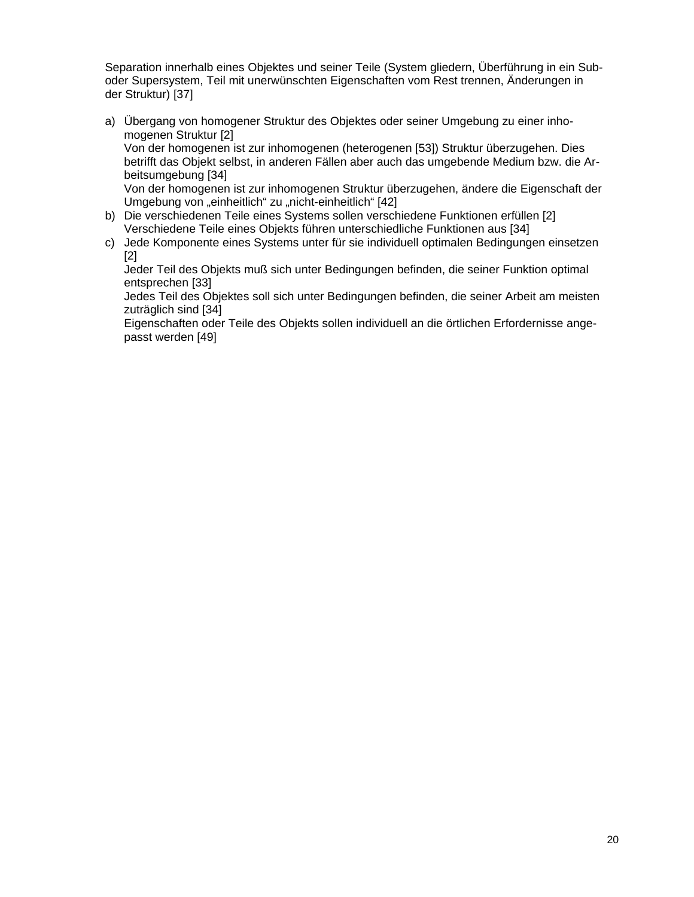Separation innerhalb eines Objektes und seiner Teile (System gliedern, Überführung in ein Suboder Supersystem, Teil mit unerwünschten Eigenschaften vom Rest trennen, Änderungen in der Struktur) [37]

- a) Übergang von homogener Struktur des Objektes oder seiner Umgebung zu einer inhomogenen Struktur [2] Von der homogenen ist zur inhomogenen (heterogenen [53]) Struktur überzugehen. Dies betrifft das Objekt selbst, in anderen Fällen aber auch das umgebende Medium bzw. die Arbeitsumgebung [34] Von der homogenen ist zur inhomogenen Struktur überzugehen, ändere die Eigenschaft der Umgebung von "einheitlich" zu "nicht-einheitlich" [42]
- b) Die verschiedenen Teile eines Systems sollen verschiedene Funktionen erfüllen [2] Verschiedene Teile eines Objekts führen unterschiedliche Funktionen aus [34]
- c) Jede Komponente eines Systems unter für sie individuell optimalen Bedingungen einsetzen [2]

Jeder Teil des Objekts muß sich unter Bedingungen befinden, die seiner Funktion optimal entsprechen [33]

Jedes Teil des Objektes soll sich unter Bedingungen befinden, die seiner Arbeit am meisten zuträglich sind [34]

Eigenschaften oder Teile des Objekts sollen individuell an die örtlichen Erfordernisse angepasst werden [49]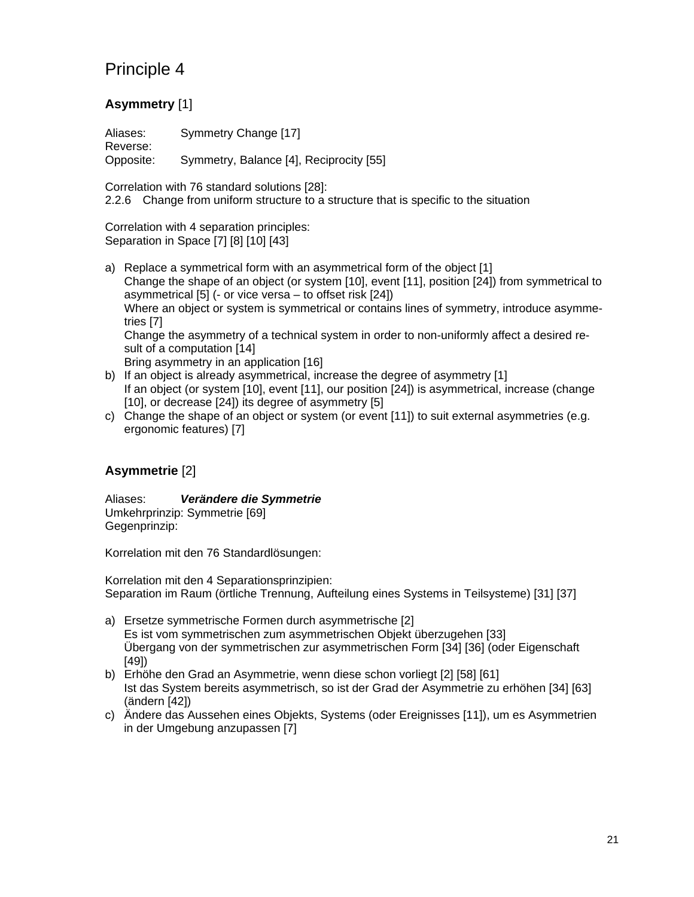## **Asymmetry** [1]

Aliases: Symmetry Change [17] Reverse: Opposite: Symmetry, Balance [4], Reciprocity [55]

Correlation with 76 standard solutions [28]: 2.2.6 Change from uniform structure to a structure that is specific to the situation

Correlation with 4 separation principles: Separation in Space [7] [8] [10] [43]

- a) Replace a symmetrical form with an asymmetrical form of the object [1] Change the shape of an object (or system [10], event [11], position [24]) from symmetrical to asymmetrical [5] (- or vice versa – to offset risk [24]) Where an object or system is symmetrical or contains lines of symmetry, introduce asymmetries [7] Change the asymmetry of a technical system in order to non-uniformly affect a desired result of a computation [14] Bring asymmetry in an application [16]
- b) If an object is already asymmetrical, increase the degree of asymmetry [1] If an object (or system [10], event [11], our position [24]) is asymmetrical, increase (change [10], or decrease [24]) its degree of asymmetry [5]
- c) Change the shape of an object or system (or event [11]) to suit external asymmetries (e.g. ergonomic features) [7]

## **Asymmetrie** [2]

Aliases: *Verändere die Symmetrie* Umkehrprinzip: Symmetrie [69] Gegenprinzip:

Korrelation mit den 76 Standardlösungen:

Korrelation mit den 4 Separationsprinzipien: Separation im Raum (örtliche Trennung, Aufteilung eines Systems in Teilsysteme) [31] [37]

- a) Ersetze symmetrische Formen durch asymmetrische [2] Es ist vom symmetrischen zum asymmetrischen Objekt überzugehen [33] Übergang von der symmetrischen zur asymmetrischen Form [34] [36] (oder Eigenschaft [49])
- b) Erhöhe den Grad an Asymmetrie, wenn diese schon vorliegt [2] [58] [61] Ist das System bereits asymmetrisch, so ist der Grad der Asymmetrie zu erhöhen [34] [63] (ändern [42])
- c) Ändere das Aussehen eines Objekts, Systems (oder Ereignisses [11]), um es Asymmetrien in der Umgebung anzupassen [7]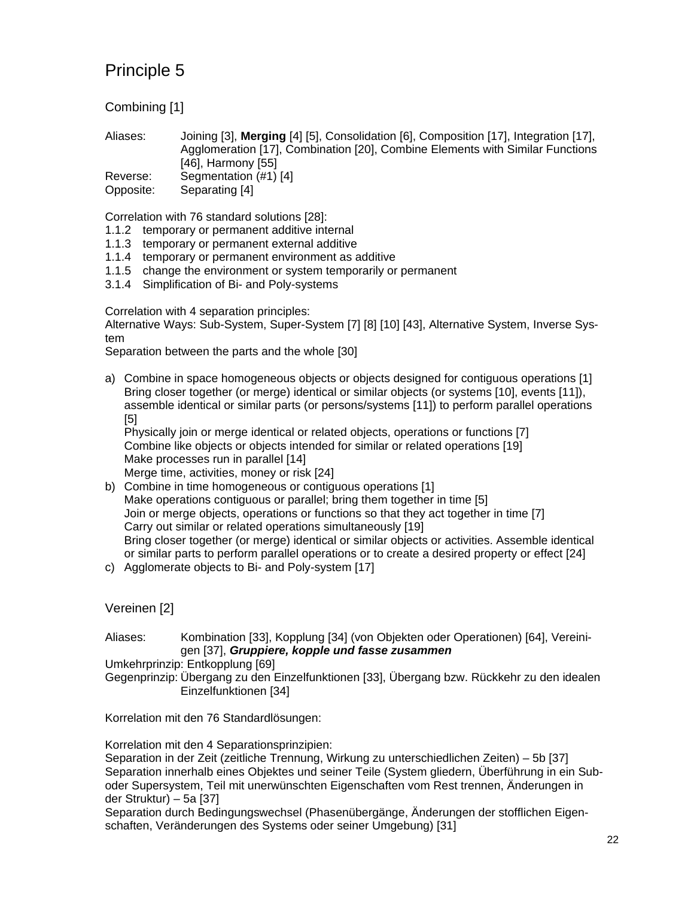Combining [1]

Aliases: Joining [3], **Merging** [4] [5], Consolidation [6], Composition [17], Integration [17], Agglomeration [17], Combination [20], Combine Elements with Similar Functions [46], Harmony [55] Reverse: Segmentation (#1) [4] Opposite: Separating [4]

Correlation with 76 standard solutions [28]:

- 1.1.2 temporary or permanent additive internal
- 1.1.3 temporary or permanent external additive
- 1.1.4 temporary or permanent environment as additive
- 1.1.5 change the environment or system temporarily or permanent
- 3.1.4 Simplification of Bi- and Poly-systems

Correlation with 4 separation principles:

Alternative Ways: Sub-System, Super-System [7] [8] [10] [43], Alternative System, Inverse System

Separation between the parts and the whole [30]

a) Combine in space homogeneous objects or objects designed for contiguous operations [1] Bring closer together (or merge) identical or similar objects (or systems [10], events [11]), assemble identical or similar parts (or persons/systems [11]) to perform parallel operations [5]

Physically join or merge identical or related objects, operations or functions [7] Combine like objects or objects intended for similar or related operations [19] Make processes run in parallel [14] Merge time, activities, money or risk [24]

- b) Combine in time homogeneous or contiguous operations [1] Make operations contiguous or parallel; bring them together in time [5] Join or merge objects, operations or functions so that they act together in time [7] Carry out similar or related operations simultaneously [19] Bring closer together (or merge) identical or similar objects or activities. Assemble identical or similar parts to perform parallel operations or to create a desired property or effect [24]
- c) Agglomerate objects to Bi- and Poly-system [17]

### Vereinen [2]

Aliases: Kombination [33], Kopplung [34] (von Objekten oder Operationen) [64], Vereinigen [37], *Gruppiere, kopple und fasse zusammen*

Umkehrprinzip: Entkopplung [69]

Gegenprinzip: Übergang zu den Einzelfunktionen [33], Übergang bzw. Rückkehr zu den idealen Einzelfunktionen [34]

Korrelation mit den 76 Standardlösungen:

Korrelation mit den 4 Separationsprinzipien:

Separation in der Zeit (zeitliche Trennung, Wirkung zu unterschiedlichen Zeiten) – 5b [37] Separation innerhalb eines Objektes und seiner Teile (System gliedern, Überführung in ein Suboder Supersystem, Teil mit unerwünschten Eigenschaften vom Rest trennen, Änderungen in der Struktur) – 5a [37]

Separation durch Bedingungswechsel (Phasenübergänge, Änderungen der stofflichen Eigenschaften, Veränderungen des Systems oder seiner Umgebung) [31]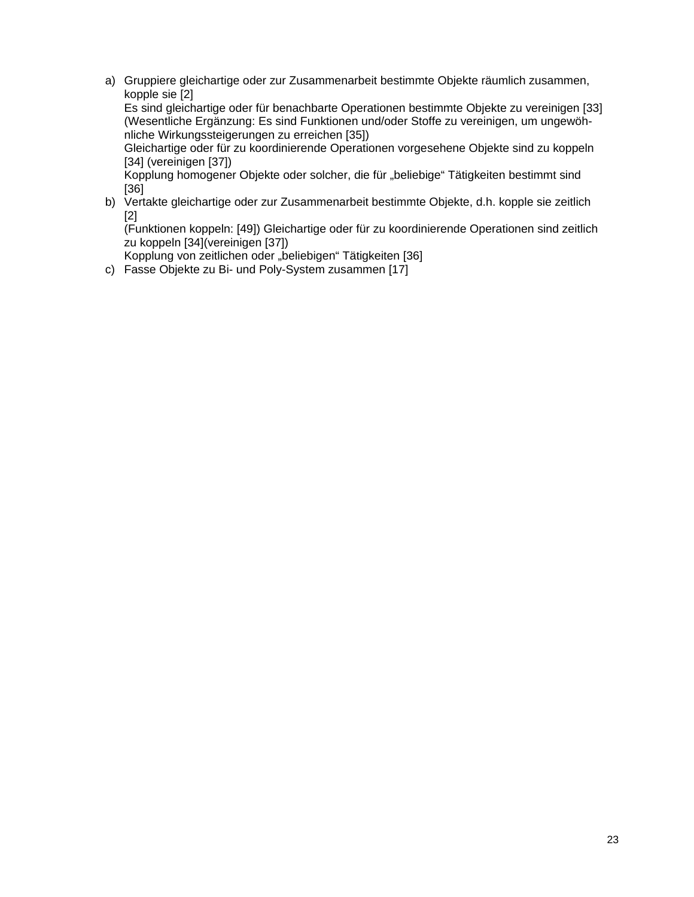a) Gruppiere gleichartige oder zur Zusammenarbeit bestimmte Objekte räumlich zusammen, kopple sie [2]

Es sind gleichartige oder für benachbarte Operationen bestimmte Objekte zu vereinigen [33] (Wesentliche Ergänzung: Es sind Funktionen und/oder Stoffe zu vereinigen, um ungewöhnliche Wirkungssteigerungen zu erreichen [35])

Gleichartige oder für zu koordinierende Operationen vorgesehene Objekte sind zu koppeln [34] (vereinigen [37])

Kopplung homogener Objekte oder solcher, die für "beliebige" Tätigkeiten bestimmt sind [36]

b) Vertakte gleichartige oder zur Zusammenarbeit bestimmte Objekte, d.h. kopple sie zeitlich [2]

(Funktionen koppeln: [49]) Gleichartige oder für zu koordinierende Operationen sind zeitlich zu koppeln [34](vereinigen [37])

Kopplung von zeitlichen oder "beliebigen" Tätigkeiten [36]

c) Fasse Objekte zu Bi- und Poly-System zusammen [17]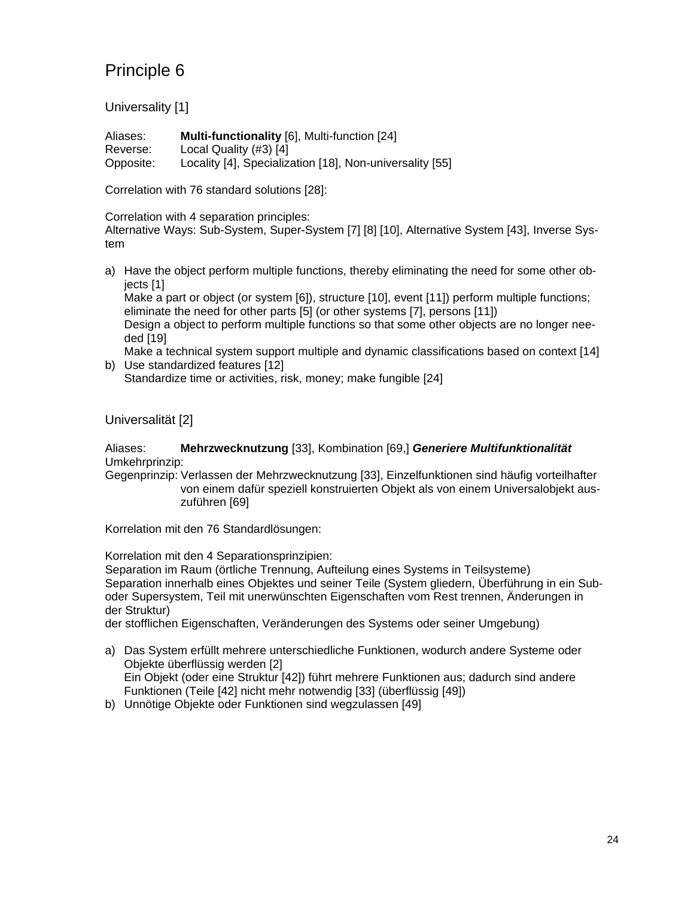Universality [1]

Aliases: **Multi-functionality** [6], Multi-function [24] Reverse: Local Quality (#3) [4] Opposite: Locality [4], Specialization [18], Non-universality [55]

Correlation with 76 standard solutions [28]:

Correlation with 4 separation principles:

Alternative Ways: Sub-System, Super-System [7] [8] [10], Alternative System [43], Inverse System

a) Have the object perform multiple functions, thereby eliminating the need for some other objects [1]

Make a part or object (or system [6]), structure [10], event [11]) perform multiple functions; eliminate the need for other parts [5] (or other systems [7], persons [11])

Design a object to perform multiple functions so that some other objects are no longer needed [19]

Make a technical system support multiple and dynamic classifications based on context [14] b) Use standardized features [12]

Standardize time or activities, risk, money; make fungible [24]

Universalität [2]

Aliases: **Mehrzwecknutzung** [33], Kombination [69,] *Generiere Multifunktionalität* Umkehrprinzip:

Gegenprinzip: Verlassen der Mehrzwecknutzung [33], Einzelfunktionen sind häufig vorteilhafter von einem dafür speziell konstruierten Objekt als von einem Universalobjekt auszuführen [69]

Korrelation mit den 76 Standardlösungen:

Korrelation mit den 4 Separationsprinzipien:

Separation im Raum (örtliche Trennung, Aufteilung eines Systems in Teilsysteme) Separation innerhalb eines Objektes und seiner Teile (System gliedern, Überführung in ein Suboder Supersystem, Teil mit unerwünschten Eigenschaften vom Rest trennen, Änderungen in der Struktur)

der stofflichen Eigenschaften, Veränderungen des Systems oder seiner Umgebung)

- a) Das System erfüllt mehrere unterschiedliche Funktionen, wodurch andere Systeme oder Objekte überflüssig werden [2] Ein Objekt (oder eine Struktur [42]) führt mehrere Funktionen aus; dadurch sind andere Funktionen (Teile [42] nicht mehr notwendig [33] (überflüssig [49])
- b) Unnötige Objekte oder Funktionen sind wegzulassen [49]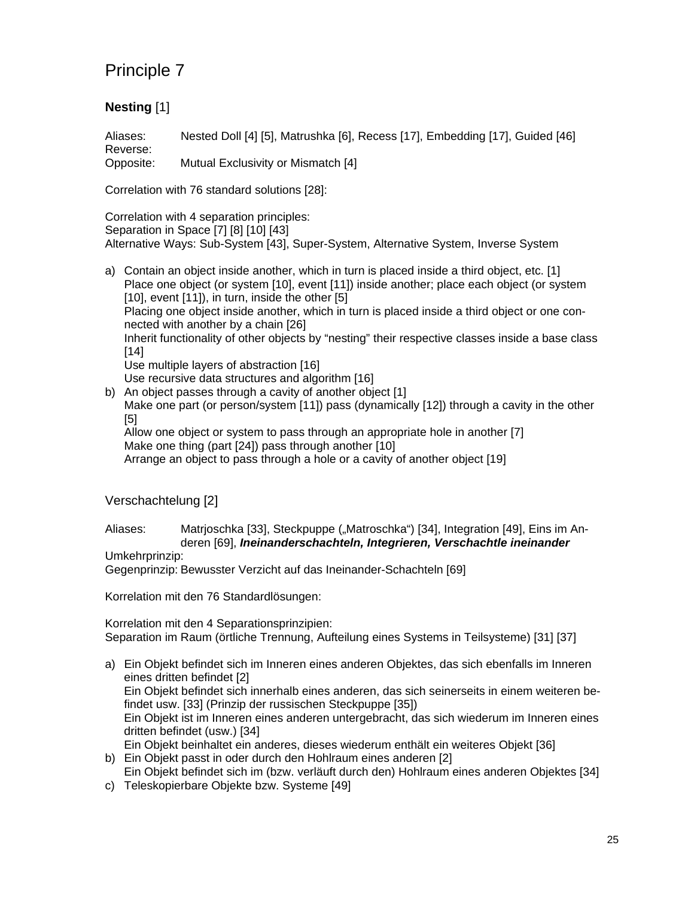## **Nesting** [1]

Aliases: Nested Doll [4] [5], Matrushka [6], Recess [17], Embedding [17], Guided [46] Reverse:

Opposite: Mutual Exclusivity or Mismatch [4]

Correlation with 76 standard solutions [28]:

Correlation with 4 separation principles: Separation in Space [7] [8] [10] [43] Alternative Ways: Sub-System [43], Super-System, Alternative System, Inverse System

- a) Contain an object inside another, which in turn is placed inside a third object, etc. [1] Place one object (or system [10], event [11]) inside another; place each object (or system [10], event [11]), in turn, inside the other [5] Placing one object inside another, which in turn is placed inside a third object or one connected with another by a chain [26] Inherit functionality of other objects by "nesting" their respective classes inside a base class [14] Use multiple layers of abstraction [16] Use recursive data structures and algorithm [16]
- b) An object passes through a cavity of another object [1] Make one part (or person/system [11]) pass (dynamically [12]) through a cavity in the other [5] Allow one object or system to pass through an appropriate hole in another [7] Make one thing (part [24]) pass through another [10]

Arrange an object to pass through a hole or a cavity of another object [19]

Verschachtelung [2]

Aliases: Matrjoschka [33], Steckpuppe ("Matroschka") [34], Integration [49], Eins im Anderen [69], *Ineinanderschachteln, Integrieren, Verschachtle ineinander*

#### Umkehrprinzip:

Gegenprinzip: Bewusster Verzicht auf das Ineinander-Schachteln [69]

Korrelation mit den 76 Standardlösungen:

Korrelation mit den 4 Separationsprinzipien: Separation im Raum (örtliche Trennung, Aufteilung eines Systems in Teilsysteme) [31] [37]

- a) Ein Objekt befindet sich im Inneren eines anderen Objektes, das sich ebenfalls im Inneren eines dritten befindet [2] Ein Objekt befindet sich innerhalb eines anderen, das sich seinerseits in einem weiteren befindet usw. [33] (Prinzip der russischen Steckpuppe [35]) Ein Objekt ist im Inneren eines anderen untergebracht, das sich wiederum im Inneren eines dritten befindet (usw.) [34] Ein Objekt beinhaltet ein anderes, dieses wiederum enthält ein weiteres Objekt [36] b) Ein Objekt passt in oder durch den Hohlraum eines anderen [2]
- Ein Objekt befindet sich im (bzw. verläuft durch den) Hohlraum eines anderen Objektes [34]
- c) Teleskopierbare Objekte bzw. Systeme [49]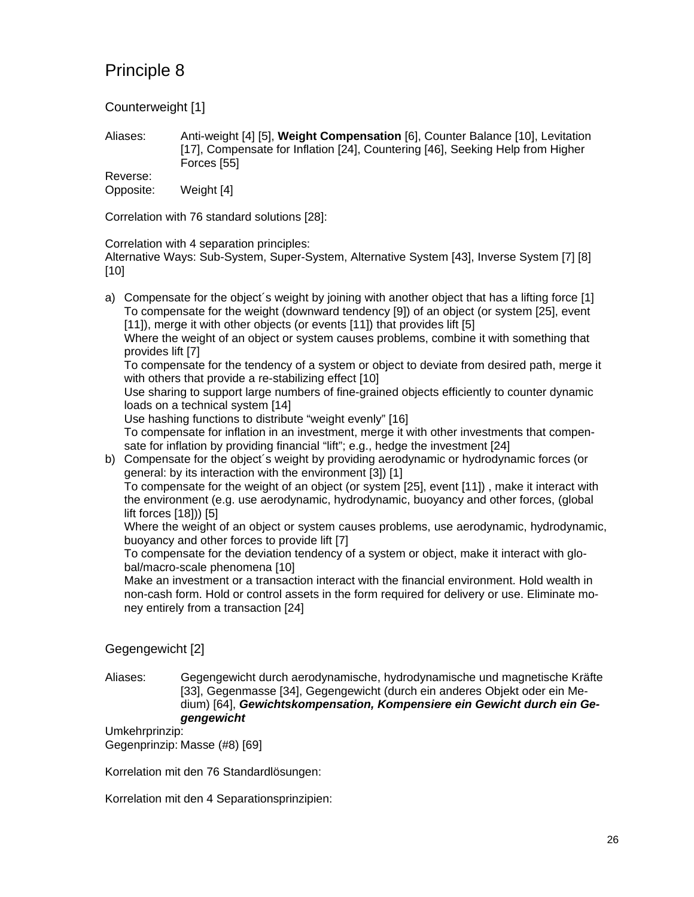Counterweight [1]

Aliases: Anti-weight [4] [5], **Weight Compensation** [6], Counter Balance [10], Levitation [17], Compensate for Inflation [24], Countering [46], Seeking Help from Higher Forces [55]

Reverse: Opposite: Weight [4]

Correlation with 76 standard solutions [28]:

Correlation with 4 separation principles:

Alternative Ways: Sub-System, Super-System, Alternative System [43], Inverse System [7] [8] [10]

a) Compensate for the object´s weight by joining with another object that has a lifting force [1] To compensate for the weight (downward tendency [9]) of an object (or system [25], event [11]), merge it with other objects (or events [11]) that provides lift [5]

Where the weight of an object or system causes problems, combine it with something that provides lift [7]

To compensate for the tendency of a system or object to deviate from desired path, merge it with others that provide a re-stabilizing effect [10]

Use sharing to support large numbers of fine-grained objects efficiently to counter dynamic loads on a technical system [14]

Use hashing functions to distribute "weight evenly" [16]

To compensate for inflation in an investment, merge it with other investments that compensate for inflation by providing financial "lift"; e.g., hedge the investment [24]

b) Compensate for the object´s weight by providing aerodynamic or hydrodynamic forces (or general: by its interaction with the environment [3]) [1]

To compensate for the weight of an object (or system [25], event [11]) , make it interact with the environment (e.g. use aerodynamic, hydrodynamic, buoyancy and other forces, (global lift forces [18])) [5]

Where the weight of an object or system causes problems, use aerodynamic, hydrodynamic, buoyancy and other forces to provide lift [7]

To compensate for the deviation tendency of a system or object, make it interact with global/macro-scale phenomena [10]

Make an investment or a transaction interact with the financial environment. Hold wealth in non-cash form. Hold or control assets in the form required for delivery or use. Eliminate money entirely from a transaction [24]

### Gegengewicht [2]

Aliases: Gegengewicht durch aerodynamische, hydrodynamische und magnetische Kräfte [33], Gegenmasse [34], Gegengewicht (durch ein anderes Objekt oder ein Medium) [64], *Gewichtskompensation, Kompensiere ein Gewicht durch ein Gegengewicht*

Umkehrprinzip: Gegenprinzip: Masse (#8) [69]

Korrelation mit den 76 Standardlösungen:

Korrelation mit den 4 Separationsprinzipien: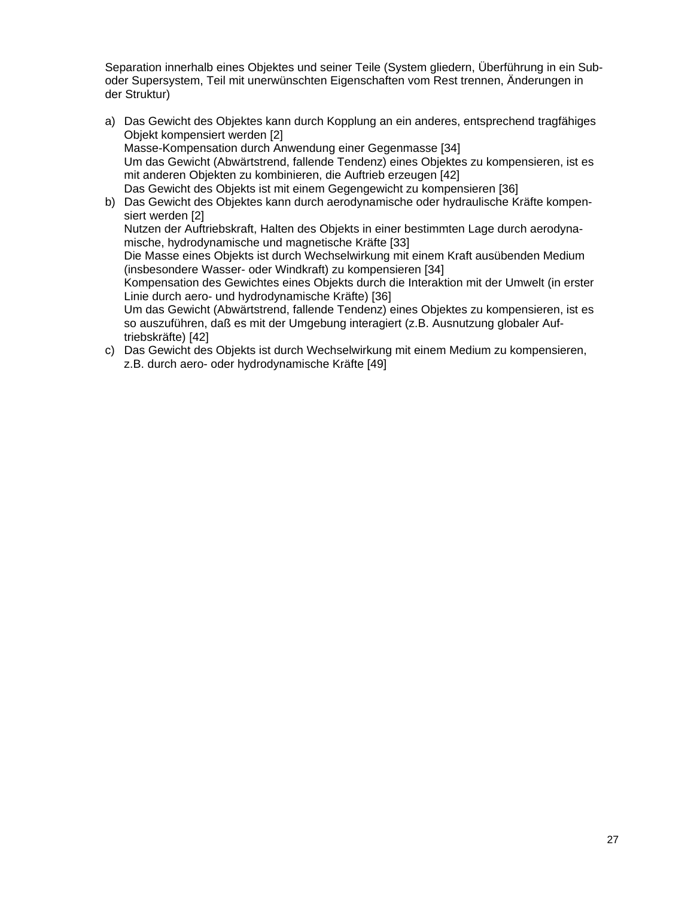Separation innerhalb eines Objektes und seiner Teile (System gliedern, Überführung in ein Suboder Supersystem, Teil mit unerwünschten Eigenschaften vom Rest trennen, Änderungen in der Struktur)

- a) Das Gewicht des Objektes kann durch Kopplung an ein anderes, entsprechend tragfähiges Objekt kompensiert werden [2] Masse-Kompensation durch Anwendung einer Gegenmasse [34] Um das Gewicht (Abwärtstrend, fallende Tendenz) eines Objektes zu kompensieren, ist es mit anderen Objekten zu kombinieren, die Auftrieb erzeugen [42] Das Gewicht des Objekts ist mit einem Gegengewicht zu kompensieren [36] b) Das Gewicht des Objektes kann durch aerodynamische oder hydraulische Kräfte kompen
	- siert werden [2] Nutzen der Auftriebskraft, Halten des Objekts in einer bestimmten Lage durch aerodynamische, hydrodynamische und magnetische Kräfte [33]

Die Masse eines Objekts ist durch Wechselwirkung mit einem Kraft ausübenden Medium (insbesondere Wasser- oder Windkraft) zu kompensieren [34]

Kompensation des Gewichtes eines Objekts durch die Interaktion mit der Umwelt (in erster Linie durch aero- und hydrodynamische Kräfte) [36]

Um das Gewicht (Abwärtstrend, fallende Tendenz) eines Objektes zu kompensieren, ist es so auszuführen, daß es mit der Umgebung interagiert (z.B. Ausnutzung globaler Auftriebskräfte) [42]

c) Das Gewicht des Objekts ist durch Wechselwirkung mit einem Medium zu kompensieren, z.B. durch aero- oder hydrodynamische Kräfte [49]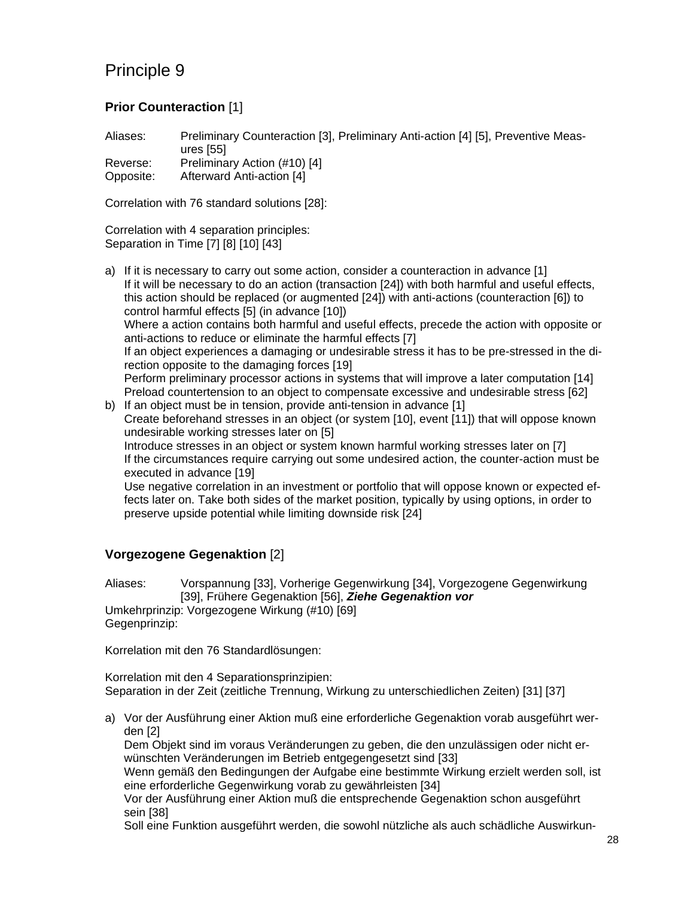### **Prior Counteraction** [1]

Aliases: Preliminary Counteraction [3], Preliminary Anti-action [4] [5], Preventive Measures [55]

| Reverse:  | Preliminary Action (#10) [4] |
|-----------|------------------------------|
| Opposite: | Afterward Anti-action [4]    |

Correlation with 76 standard solutions [28]:

Correlation with 4 separation principles: Separation in Time [7] [8] [10] [43]

- a) If it is necessary to carry out some action, consider a counteraction in advance [1] If it will be necessary to do an action (transaction [24]) with both harmful and useful effects, this action should be replaced (or augmented [24]) with anti-actions (counteraction [6]) to control harmful effects [5] (in advance [10]) Where a action contains both harmful and useful effects, precede the action with opposite or anti-actions to reduce or eliminate the harmful effects [7] If an object experiences a damaging or undesirable stress it has to be pre-stressed in the direction opposite to the damaging forces [19] Perform preliminary processor actions in systems that will improve a later computation [14] Preload countertension to an object to compensate excessive and undesirable stress [62] b) If an object must be in tension, provide anti-tension in advance [1]
- Create beforehand stresses in an object (or system [10], event [11]) that will oppose known undesirable working stresses later on [5] Introduce stresses in an object or system known harmful working stresses later on [7] If the circumstances require carrying out some undesired action, the counter-action must be executed in advance [19] Use negative correlation in an investment or portfolio that will oppose known or expected effects later on. Take both sides of the market position, typically by using options, in order to preserve upside potential while limiting downside risk [24]

## **Vorgezogene Gegenaktion** [2]

Aliases: Vorspannung [33], Vorherige Gegenwirkung [34], Vorgezogene Gegenwirkung [39], Frühere Gegenaktion [56], *Ziehe Gegenaktion vor* Umkehrprinzip: Vorgezogene Wirkung (#10) [69] Gegenprinzip:

Korrelation mit den 76 Standardlösungen:

Korrelation mit den 4 Separationsprinzipien: Separation in der Zeit (zeitliche Trennung, Wirkung zu unterschiedlichen Zeiten) [31] [37]

a) Vor der Ausführung einer Aktion muß eine erforderliche Gegenaktion vorab ausgeführt werden [2]

Dem Objekt sind im voraus Veränderungen zu geben, die den unzulässigen oder nicht erwünschten Veränderungen im Betrieb entgegengesetzt sind [33]

Wenn gemäß den Bedingungen der Aufgabe eine bestimmte Wirkung erzielt werden soll, ist eine erforderliche Gegenwirkung vorab zu gewährleisten [34]

Vor der Ausführung einer Aktion muß die entsprechende Gegenaktion schon ausgeführt sein [38]

Soll eine Funktion ausgeführt werden, die sowohl nützliche als auch schädliche Auswirkun-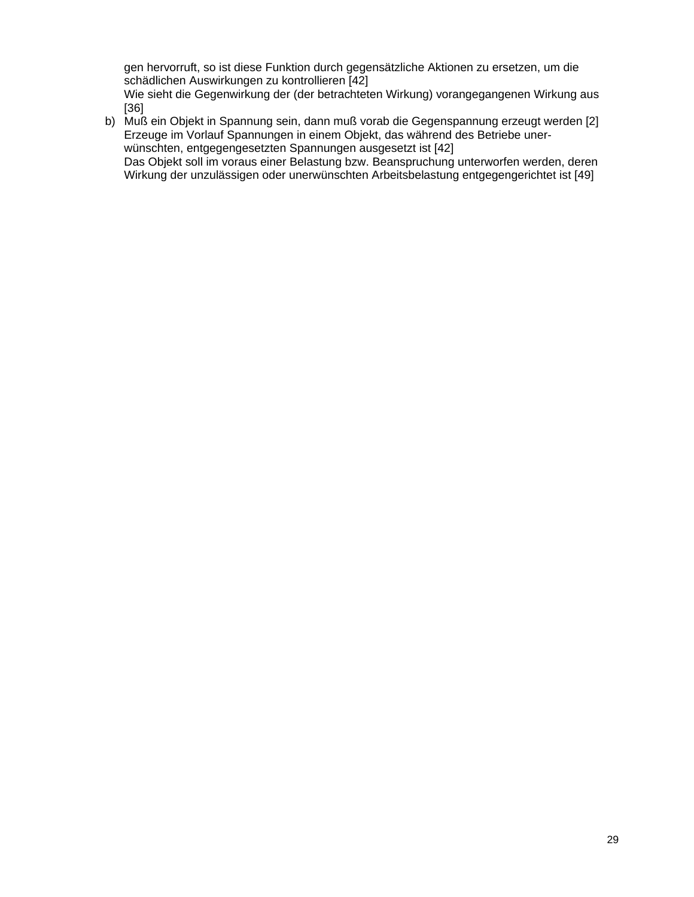gen hervorruft, so ist diese Funktion durch gegensätzliche Aktionen zu ersetzen, um die schädlichen Auswirkungen zu kontrollieren [42]

Wie sieht die Gegenwirkung der (der betrachteten Wirkung) vorangegangenen Wirkung aus [36]

b) Muß ein Objekt in Spannung sein, dann muß vorab die Gegenspannung erzeugt werden [2] Erzeuge im Vorlauf Spannungen in einem Objekt, das während des Betriebe unerwünschten, entgegengesetzten Spannungen ausgesetzt ist [42] Das Objekt soll im voraus einer Belastung bzw. Beanspruchung unterworfen werden, deren

Wirkung der unzulässigen oder unerwünschten Arbeitsbelastung entgegengerichtet ist [49]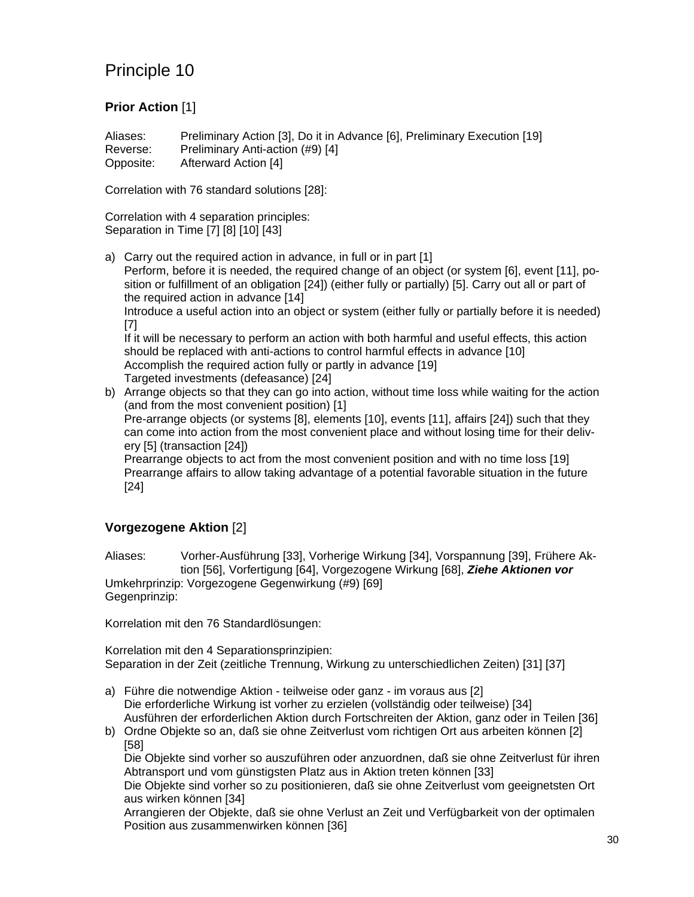### **Prior Action** [1]

Aliases: Preliminary Action [3], Do it in Advance [6], Preliminary Execution [19] Reverse: Preliminary Anti-action (#9) [4] Opposite: Afterward Action [4]

Correlation with 76 standard solutions [28]:

Correlation with 4 separation principles: Separation in Time [7] [8] [10] [43]

a) Carry out the required action in advance, in full or in part [1] Perform, before it is needed, the required change of an object (or system [6], event [11], position or fulfillment of an obligation [24]) (either fully or partially) [5]. Carry out all or part of the required action in advance [14] Introduce a useful action into an object or system (either fully or partially before it is needed) [7] If it will be necessary to perform an action with both harmful and useful effects, this action should be replaced with anti-actions to control harmful effects in advance [10] Accomplish the required action fully or partly in advance [19] Targeted investments (defeasance) [24]

b) Arrange objects so that they can go into action, without time loss while waiting for the action (and from the most convenient position) [1] Pre-arrange objects (or systems [8], elements [10], events [11], affairs [24]) such that they can come into action from the most convenient place and without losing time for their delivery [5] (transaction [24]) Prearrange objects to act from the most convenient position and with no time loss [19] Prearrange affairs to allow taking advantage of a potential favorable situation in the future

[24]

### **Vorgezogene Aktion** [2]

Aliases: Vorher-Ausführung [33], Vorherige Wirkung [34], Vorspannung [39], Frühere Aktion [56], Vorfertigung [64], Vorgezogene Wirkung [68], *Ziehe Aktionen vor* Umkehrprinzip: Vorgezogene Gegenwirkung (#9) [69] Gegenprinzip:

Korrelation mit den 76 Standardlösungen:

Korrelation mit den 4 Separationsprinzipien: Separation in der Zeit (zeitliche Trennung, Wirkung zu unterschiedlichen Zeiten) [31] [37]

- a) Führe die notwendige Aktion teilweise oder ganz im voraus aus [2] Die erforderliche Wirkung ist vorher zu erzielen (vollständig oder teilweise) [34] Ausführen der erforderlichen Aktion durch Fortschreiten der Aktion, ganz oder in Teilen [36]
- b) Ordne Objekte so an, daß sie ohne Zeitverlust vom richtigen Ort aus arbeiten können [2] [58]

Die Objekte sind vorher so auszuführen oder anzuordnen, daß sie ohne Zeitverlust für ihren Abtransport und vom günstigsten Platz aus in Aktion treten können [33]

Die Objekte sind vorher so zu positionieren, daß sie ohne Zeitverlust vom geeignetsten Ort aus wirken können [34]

Arrangieren der Objekte, daß sie ohne Verlust an Zeit und Verfügbarkeit von der optimalen Position aus zusammenwirken können [36]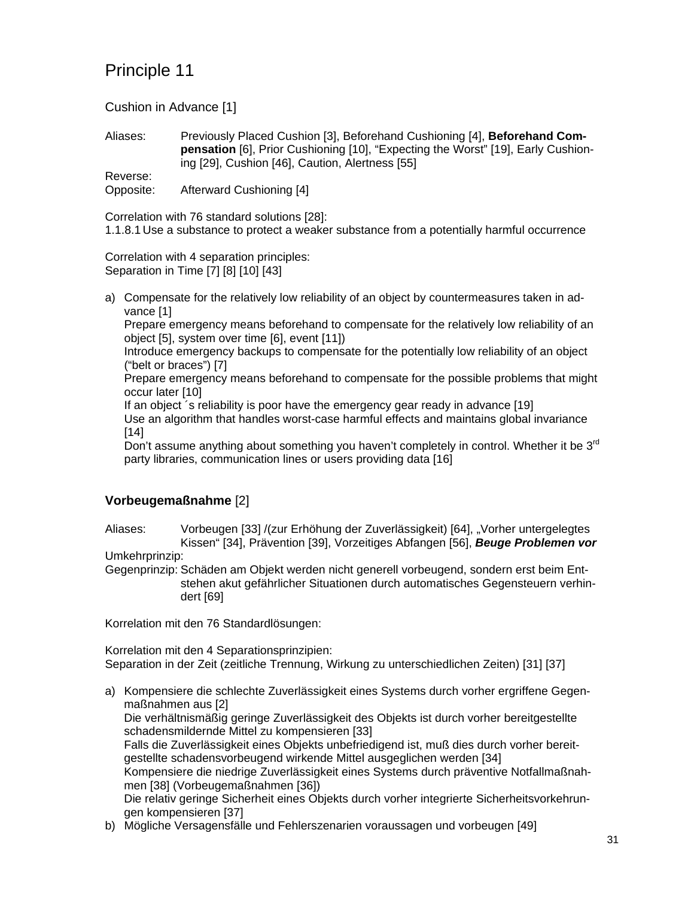Cushion in Advance [1]

Aliases: Previously Placed Cushion [3], Beforehand Cushioning [4], **Beforehand Compensation** [6], Prior Cushioning [10], "Expecting the Worst" [19], Early Cushioning [29], Cushion [46], Caution, Alertness [55]

Reverse:

Opposite: Afterward Cushioning [4]

Correlation with 76 standard solutions [28]:

1.1.8.1 Use a substance to protect a weaker substance from a potentially harmful occurrence

Correlation with 4 separation principles: Separation in Time [7] [8] [10] [43]

a) Compensate for the relatively low reliability of an object by countermeasures taken in advance [1]

Prepare emergency means beforehand to compensate for the relatively low reliability of an object [5], system over time [6], event [11])

Introduce emergency backups to compensate for the potentially low reliability of an object ("belt or braces") [7]

Prepare emergency means beforehand to compensate for the possible problems that might occur later [10]

If an object ´s reliability is poor have the emergency gear ready in advance [19] Use an algorithm that handles worst-case harmful effects and maintains global invariance [14]

Don't assume anything about something you haven't completely in control. Whether it be 3<sup>rd</sup> party libraries, communication lines or users providing data [16]

### **Vorbeugemaßnahme** [2]

Aliases: Vorbeugen [33] /(zur Erhöhung der Zuverlässigkeit) [64], "Vorher untergelegtes Kissen" [34], Prävention [39], Vorzeitiges Abfangen [56], *Beuge Problemen vor*

#### Umkehrprinzip:

Gegenprinzip: Schäden am Objekt werden nicht generell vorbeugend, sondern erst beim Entstehen akut gefährlicher Situationen durch automatisches Gegensteuern verhindert [69]

Korrelation mit den 76 Standardlösungen:

Korrelation mit den 4 Separationsprinzipien: Separation in der Zeit (zeitliche Trennung, Wirkung zu unterschiedlichen Zeiten) [31] [37]

- a) Kompensiere die schlechte Zuverlässigkeit eines Systems durch vorher ergriffene Gegenmaßnahmen aus [2] Die verhältnismäßig geringe Zuverlässigkeit des Objekts ist durch vorher bereitgestellte schadensmildernde Mittel zu kompensieren [33] Falls die Zuverlässigkeit eines Objekts unbefriedigend ist, muß dies durch vorher bereitgestellte schadensvorbeugend wirkende Mittel ausgeglichen werden [34] Kompensiere die niedrige Zuverlässigkeit eines Systems durch präventive Notfallmaßnahmen [38] (Vorbeugemaßnahmen [36]) Die relativ geringe Sicherheit eines Objekts durch vorher integrierte Sicherheitsvorkehrungen kompensieren [37]
- b) Mögliche Versagensfälle und Fehlerszenarien voraussagen und vorbeugen [49]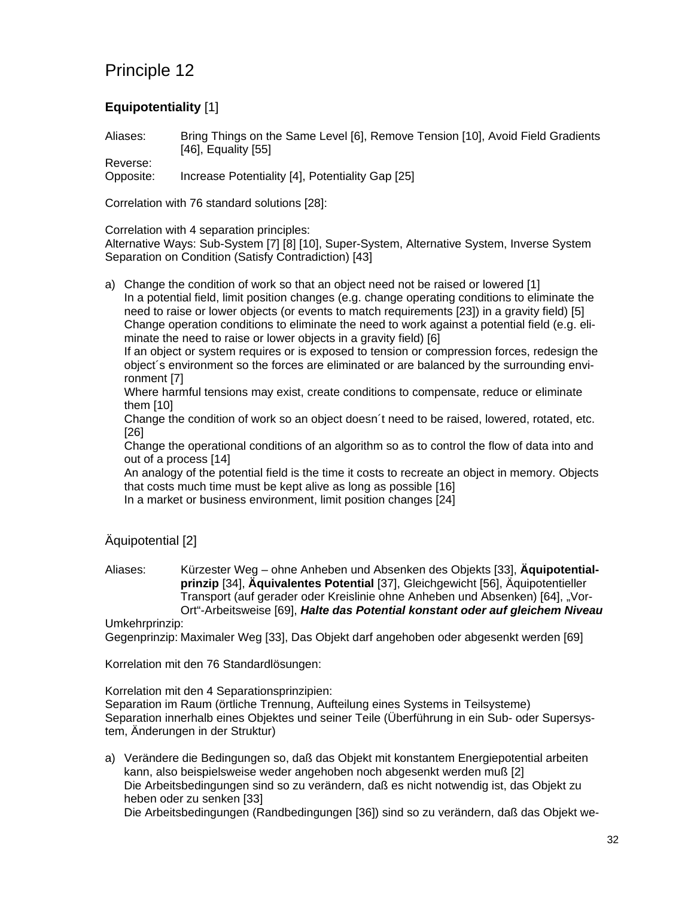## **Equipotentiality** [1]

Aliases: Bring Things on the Same Level [6], Remove Tension [10], Avoid Field Gradients [46], Equality [55]

Reverse: Opposite: Increase Potentiality [4], Potentiality Gap [25]

Correlation with 76 standard solutions [28]:

Correlation with 4 separation principles:

Alternative Ways: Sub-System [7] [8] [10], Super-System, Alternative System, Inverse System Separation on Condition (Satisfy Contradiction) [43]

a) Change the condition of work so that an object need not be raised or lowered [1] In a potential field, limit position changes (e.g. change operating conditions to eliminate the need to raise or lower objects (or events to match requirements [23]) in a gravity field) [5] Change operation conditions to eliminate the need to work against a potential field (e.g. eliminate the need to raise or lower objects in a gravity field) [6]

If an object or system requires or is exposed to tension or compression forces, redesign the object´s environment so the forces are eliminated or are balanced by the surrounding environment [7]

Where harmful tensions may exist, create conditions to compensate, reduce or eliminate them [10]

Change the condition of work so an object doesn´t need to be raised, lowered, rotated, etc. [26]

Change the operational conditions of an algorithm so as to control the flow of data into and out of a process [14]

An analogy of the potential field is the time it costs to recreate an object in memory. Objects that costs much time must be kept alive as long as possible [16]

In a market or business environment, limit position changes [24]

Äquipotential [2]

Aliases: Kürzester Weg – ohne Anheben und Absenken des Objekts [33], **Äquipotentialprinzip** [34], **Äquivalentes Potential** [37], Gleichgewicht [56], Äquipotentieller Transport (auf gerader oder Kreislinie ohne Anheben und Absenken) [64], "Vor-Ort"-Arbeitsweise [69], *Halte das Potential konstant oder auf gleichem Niveau*

Umkehrprinzip:

Gegenprinzip: Maximaler Weg [33], Das Objekt darf angehoben oder abgesenkt werden [69]

Korrelation mit den 76 Standardlösungen:

Korrelation mit den 4 Separationsprinzipien:

Separation im Raum (örtliche Trennung, Aufteilung eines Systems in Teilsysteme) Separation innerhalb eines Objektes und seiner Teile (Überführung in ein Sub- oder Supersystem, Änderungen in der Struktur)

a) Verändere die Bedingungen so, daß das Objekt mit konstantem Energiepotential arbeiten kann, also beispielsweise weder angehoben noch abgesenkt werden muß [2] Die Arbeitsbedingungen sind so zu verändern, daß es nicht notwendig ist, das Objekt zu heben oder zu senken [33]

Die Arbeitsbedingungen (Randbedingungen [36]) sind so zu verändern, daß das Objekt we-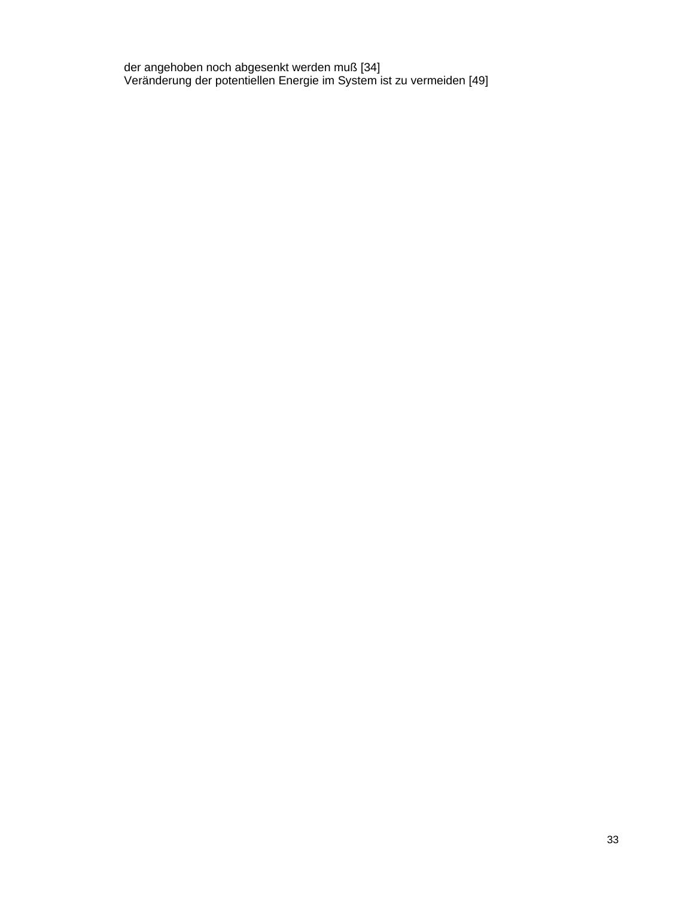der angehoben noch abgesenkt werden muß [34] Veränderung der potentiellen Energie im System ist zu vermeiden [49]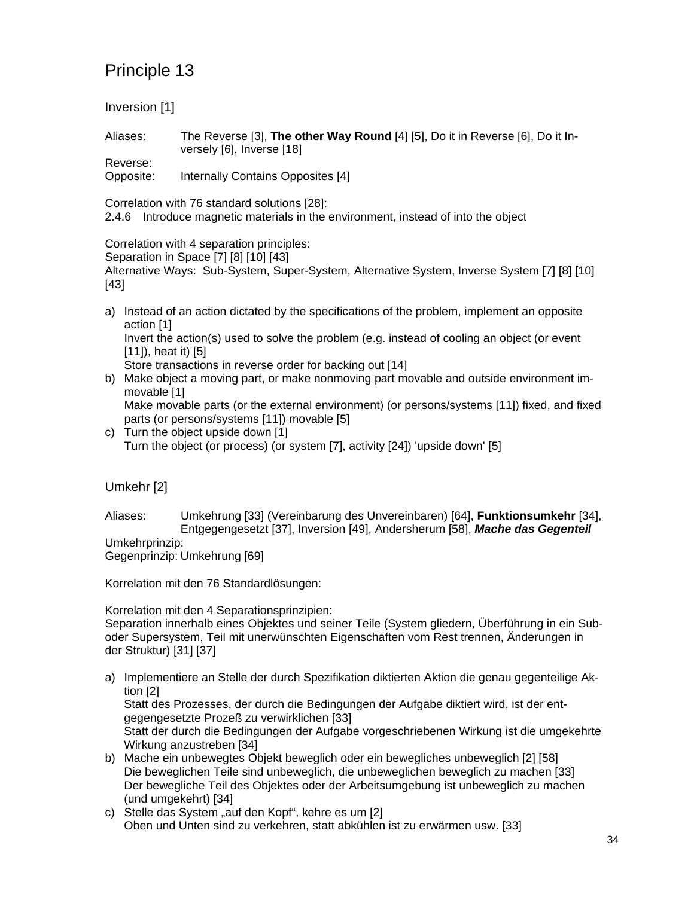Inversion [1]

Aliases: The Reverse [3], **The other Way Round** [4] [5], Do it in Reverse [6], Do it Inversely [6], Inverse [18]

Reverse: Opposite: Internally Contains Opposites [4]

Correlation with 76 standard solutions [28]:

2.4.6 Introduce magnetic materials in the environment, instead of into the object

Correlation with 4 separation principles:

Separation in Space [7] [8] [10] [43]

Alternative Ways: Sub-System, Super-System, Alternative System, Inverse System [7] [8] [10] [43]

a) Instead of an action dictated by the specifications of the problem, implement an opposite action [1] Invert the action(s) used to solve the problem (e.g. instead of cooling an object (or event [11]), heat it) [5]

Store transactions in reverse order for backing out [14]

b) Make object a moving part, or make nonmoving part movable and outside environment immovable [1]

Make movable parts (or the external environment) (or persons/systems [11]) fixed, and fixed parts (or persons/systems [11]) movable [5]

c) Turn the object upside down [1] Turn the object (or process) (or system [7], activity [24]) 'upside down' [5]

Umkehr [2]

Aliases: Umkehrung [33] (Vereinbarung des Unvereinbaren) [64], **Funktionsumkehr** [34], Entgegengesetzt [37], Inversion [49], Andersherum [58], *Mache das Gegenteil* Umkehrprinzip:

Gegenprinzip: Umkehrung [69]

Korrelation mit den 76 Standardlösungen:

Korrelation mit den 4 Separationsprinzipien:

Separation innerhalb eines Objektes und seiner Teile (System gliedern, Überführung in ein Suboder Supersystem, Teil mit unerwünschten Eigenschaften vom Rest trennen, Änderungen in der Struktur) [31] [37]

a) Implementiere an Stelle der durch Spezifikation diktierten Aktion die genau gegenteilige Aktion [2]

Statt des Prozesses, der durch die Bedingungen der Aufgabe diktiert wird, ist der entgegengesetzte Prozeß zu verwirklichen [33]

Statt der durch die Bedingungen der Aufgabe vorgeschriebenen Wirkung ist die umgekehrte Wirkung anzustreben [34]

- b) Mache ein unbewegtes Objekt beweglich oder ein bewegliches unbeweglich [2] [58] Die beweglichen Teile sind unbeweglich, die unbeweglichen beweglich zu machen [33] Der bewegliche Teil des Objektes oder der Arbeitsumgebung ist unbeweglich zu machen (und umgekehrt) [34]
- c) Stelle das System "auf den Kopf", kehre es um [2] Oben und Unten sind zu verkehren, statt abkühlen ist zu erwärmen usw. [33]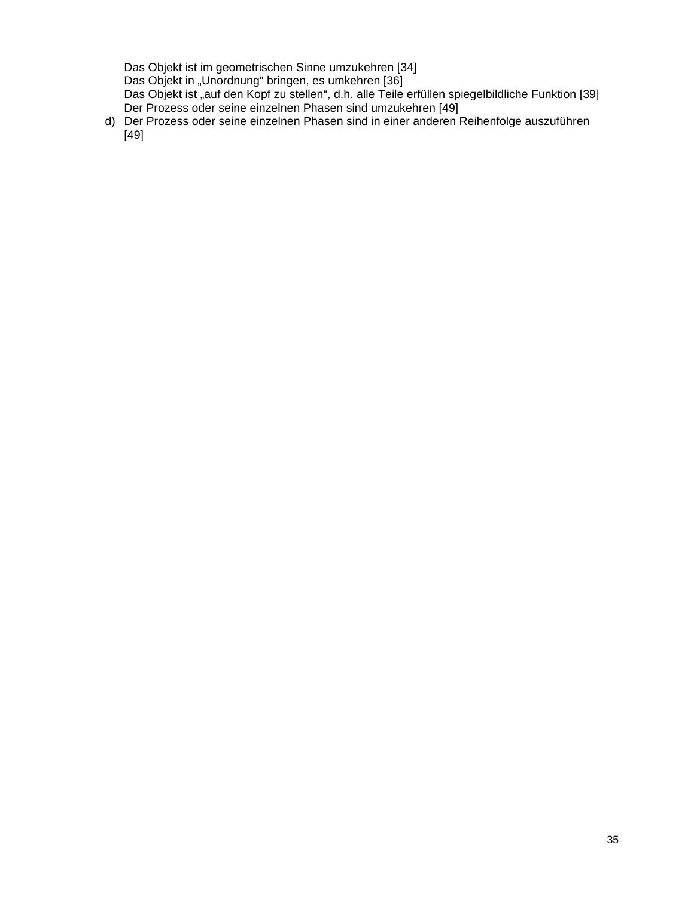Das Objekt ist im geometrischen Sinne umzukehren [34] Das Objekt in "Unordnung" bringen, es umkehren [36] Das Objekt ist "auf den Kopf zu stellen", d.h. alle Teile erfüllen spiegelbildliche Funktion [39] Der Prozess oder seine einzelnen Phasen sind umzukehren [49]

d) Der Prozess oder seine einzelnen Phasen sind in einer anderen Reihenfolge auszuführen [49]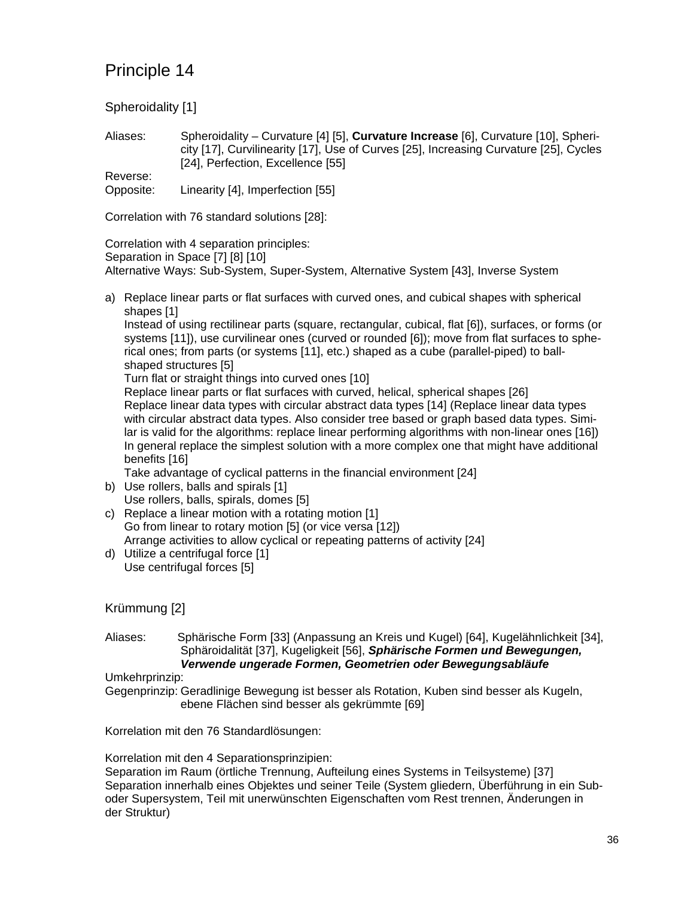Spheroidality [1]

Aliases: Spheroidality – Curvature [4] [5], **Curvature Increase** [6], Curvature [10], Sphericity [17], Curvilinearity [17], Use of Curves [25], Increasing Curvature [25], Cycles [24], Perfection, Excellence [55]

Reverse: Opposite: Linearity [4], Imperfection [55]

Correlation with 76 standard solutions [28]:

Correlation with 4 separation principles: Separation in Space [7] [8] [10] Alternative Ways: Sub-System, Super-System, Alternative System [43], Inverse System

a) Replace linear parts or flat surfaces with curved ones, and cubical shapes with spherical shapes [1]

Instead of using rectilinear parts (square, rectangular, cubical, flat [6]), surfaces, or forms (or systems [11]), use curvilinear ones (curved or rounded [6]); move from flat surfaces to spherical ones; from parts (or systems [11], etc.) shaped as a cube (parallel-piped) to ballshaped structures [5]

Turn flat or straight things into curved ones [10]

Replace linear parts or flat surfaces with curved, helical, spherical shapes [26] Replace linear data types with circular abstract data types [14] (Replace linear data types with circular abstract data types. Also consider tree based or graph based data types. Similar is valid for the algorithms: replace linear performing algorithms with non-linear ones [16]) In general replace the simplest solution with a more complex one that might have additional benefits [16]

Take advantage of cyclical patterns in the financial environment [24]

- b) Use rollers, balls and spirals [1] Use rollers, balls, spirals, domes [5]
- c) Replace a linear motion with a rotating motion [1] Go from linear to rotary motion [5] (or vice versa [12]) Arrange activities to allow cyclical or repeating patterns of activity [24]
- d) Utilize a centrifugal force [1] Use centrifugal forces [5]

### Krümmung [2]

Aliases: Sphärische Form [33] (Anpassung an Kreis und Kugel) [64], Kugelähnlichkeit [34], Sphäroidalität [37], Kugeligkeit [56], *Sphärische Formen und Bewegungen, Verwende ungerade Formen, Geometrien oder Bewegungsabläufe*

#### Umkehrprinzip:

Gegenprinzip: Geradlinige Bewegung ist besser als Rotation, Kuben sind besser als Kugeln, ebene Flächen sind besser als gekrümmte [69]

Korrelation mit den 76 Standardlösungen:

Korrelation mit den 4 Separationsprinzipien:

Separation im Raum (örtliche Trennung, Aufteilung eines Systems in Teilsysteme) [37] Separation innerhalb eines Objektes und seiner Teile (System gliedern, Überführung in ein Suboder Supersystem, Teil mit unerwünschten Eigenschaften vom Rest trennen, Änderungen in der Struktur)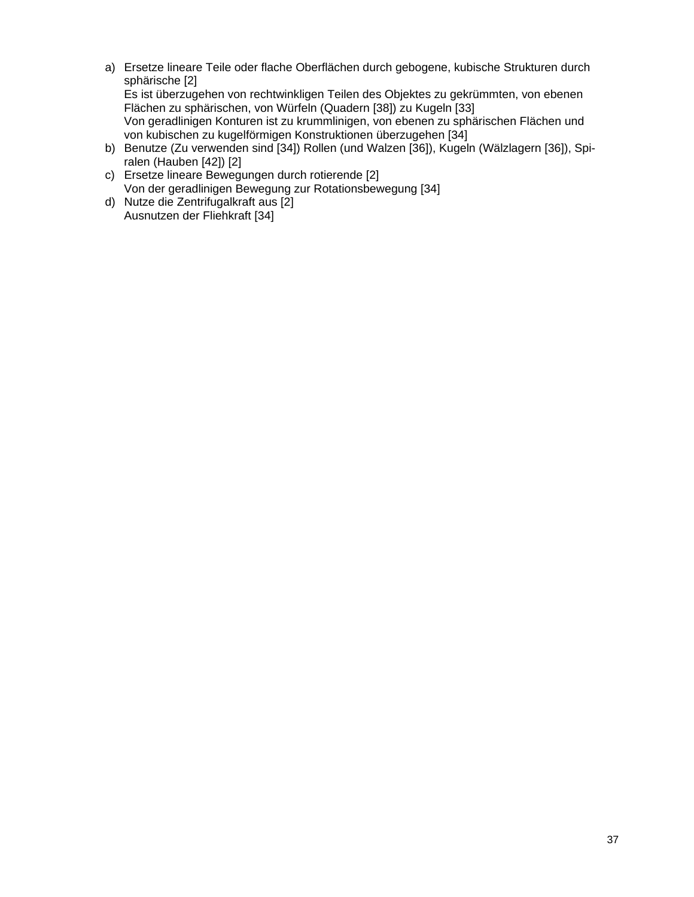a) Ersetze lineare Teile oder flache Oberflächen durch gebogene, kubische Strukturen durch sphärische [2] Es ist überzugehen von rechtwinkligen Teilen des Objektes zu gekrümmten, von ebenen Flächen zu sphärischen, von Würfeln (Quadern [38]) zu Kugeln [33]

Von geradlinigen Konturen ist zu krummlinigen, von ebenen zu sphärischen Flächen und von kubischen zu kugelförmigen Konstruktionen überzugehen [34]

- b) Benutze (Zu verwenden sind [34]) Rollen (und Walzen [36]), Kugeln (Wälzlagern [36]), Spiralen (Hauben [42]) [2]
- c) Ersetze lineare Bewegungen durch rotierende [2] Von der geradlinigen Bewegung zur Rotationsbewegung [34]
- d) Nutze die Zentrifugalkraft aus [2] Ausnutzen der Fliehkraft [34]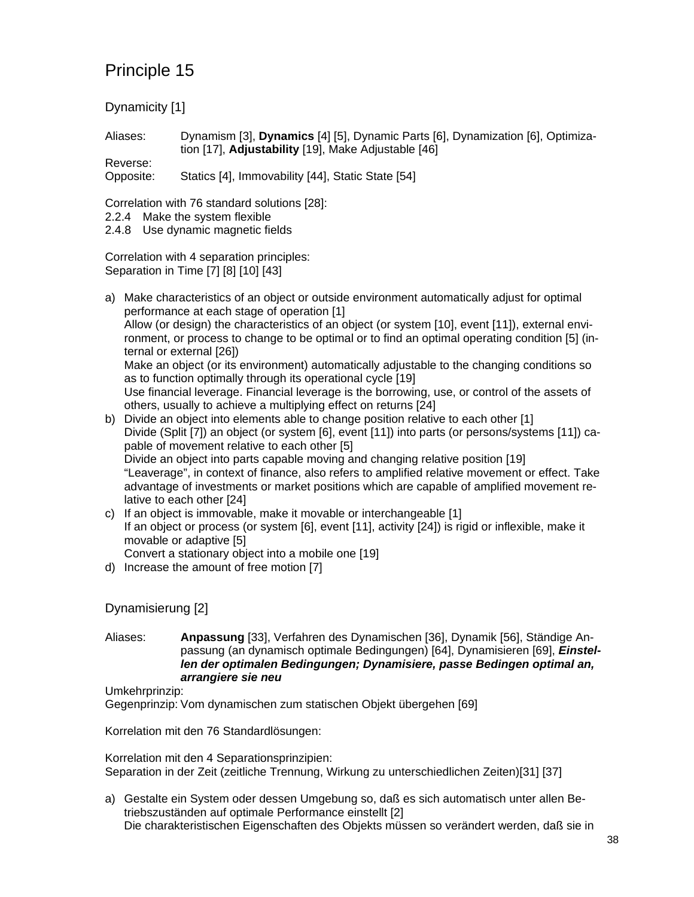Dynamicity [1]

Aliases: Dynamism [3], **Dynamics** [4] [5], Dynamic Parts [6], Dynamization [6], Optimization [17], **Adjustability** [19], Make Adjustable [46]

Reverse: Opposite: Statics [4], Immovability [44], Static State [54]

Correlation with 76 standard solutions [28]:

2.2.4 Make the system flexible

2.4.8 Use dynamic magnetic fields

Correlation with 4 separation principles: Separation in Time [7] [8] [10] [43]

a) Make characteristics of an object or outside environment automatically adjust for optimal performance at each stage of operation [1] Allow (or design) the characteristics of an object (or system [10], event [11]), external environment, or process to change to be optimal or to find an optimal operating condition [5] (internal or external [26]) Make an object (or its environment) automatically adjustable to the changing conditions so as to function optimally through its operational cycle [19] Use financial leverage. Financial leverage is the borrowing, use, or control of the assets of others, usually to achieve a multiplying effect on returns [24]

- b) Divide an object into elements able to change position relative to each other [1] Divide (Split [7]) an object (or system [6], event [11]) into parts (or persons/systems [11]) capable of movement relative to each other [5] Divide an object into parts capable moving and changing relative position [19] "Leaverage", in context of finance, also refers to amplified relative movement or effect. Take advantage of investments or market positions which are capable of amplified movement relative to each other [24]
- c) If an object is immovable, make it movable or interchangeable [1] If an object or process (or system [6], event [11], activity [24]) is rigid or inflexible, make it movable or adaptive [5] Convert a stationary object into a mobile one [19]
- d) Increase the amount of free motion [7]

Dynamisierung [2]

Aliases: **Anpassung** [33], Verfahren des Dynamischen [36], Dynamik [56], Ständige Anpassung (an dynamisch optimale Bedingungen) [64], Dynamisieren [69], *Einstellen der optimalen Bedingungen; Dynamisiere, passe Bedingen optimal an, arrangiere sie neu*

Umkehrprinzip:

Gegenprinzip: Vom dynamischen zum statischen Objekt übergehen [69]

Korrelation mit den 76 Standardlösungen:

Korrelation mit den 4 Separationsprinzipien: Separation in der Zeit (zeitliche Trennung, Wirkung zu unterschiedlichen Zeiten)[31] [37]

a) Gestalte ein System oder dessen Umgebung so, daß es sich automatisch unter allen Betriebszuständen auf optimale Performance einstellt [2] Die charakteristischen Eigenschaften des Objekts müssen so verändert werden, daß sie in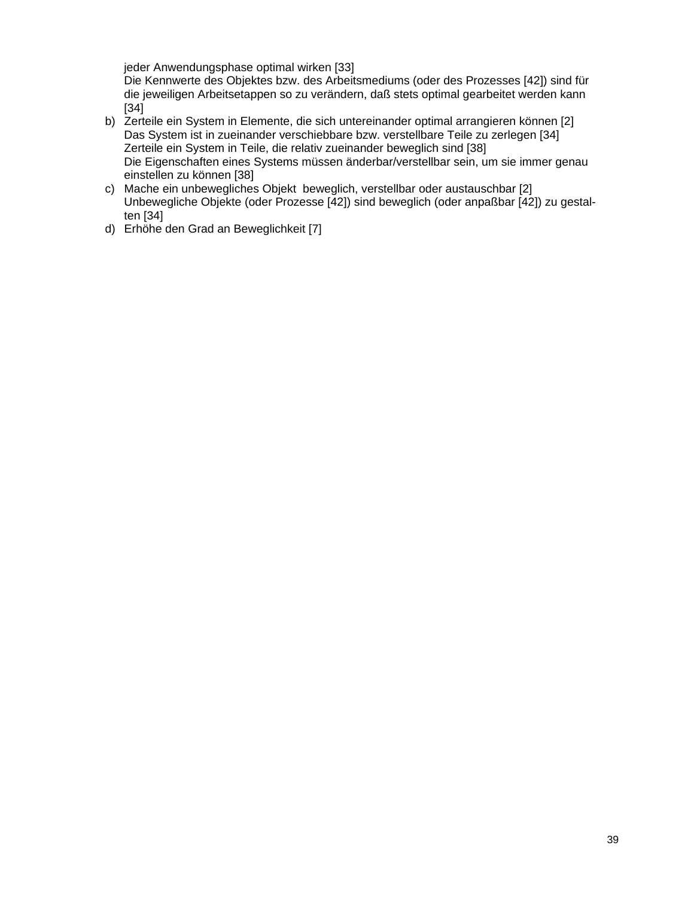jeder Anwendungsphase optimal wirken [33]

Die Kennwerte des Objektes bzw. des Arbeitsmediums (oder des Prozesses [42]) sind für die jeweiligen Arbeitsetappen so zu verändern, daß stets optimal gearbeitet werden kann [34]

- b) Zerteile ein System in Elemente, die sich untereinander optimal arrangieren können [2] Das System ist in zueinander verschiebbare bzw. verstellbare Teile zu zerlegen [34] Zerteile ein System in Teile, die relativ zueinander beweglich sind [38] Die Eigenschaften eines Systems müssen änderbar/verstellbar sein, um sie immer genau einstellen zu können [38]
- c) Mache ein unbewegliches Objekt beweglich, verstellbar oder austauschbar [2] Unbewegliche Objekte (oder Prozesse [42]) sind beweglich (oder anpaßbar [42]) zu gestalten [34]
- d) Erhöhe den Grad an Beweglichkeit [7]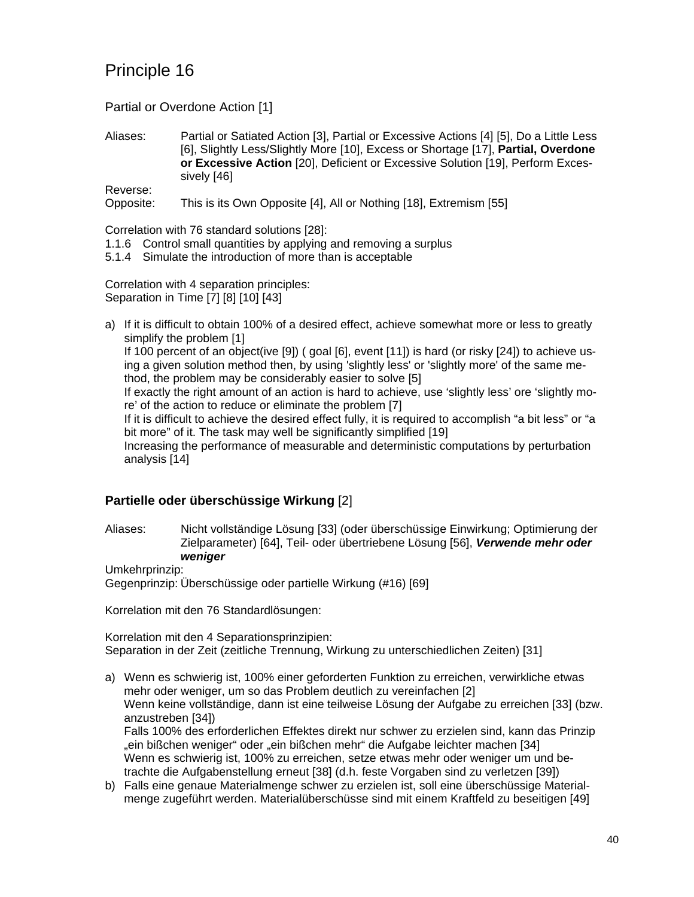Partial or Overdone Action [1]

Aliases: Partial or Satiated Action [3], Partial or Excessive Actions [4] [5], Do a Little Less [6], Slightly Less/Slightly More [10], Excess or Shortage [17], **Partial, Overdone or Excessive Action** [20], Deficient or Excessive Solution [19], Perform Excessively [46]

Reverse:

Opposite: This is its Own Opposite [4], All or Nothing [18], Extremism [55]

Correlation with 76 standard solutions [28]:

- 1.1.6 Control small quantities by applying and removing a surplus
- 5.1.4 Simulate the introduction of more than is acceptable

Correlation with 4 separation principles: Separation in Time [7] [8] [10] [43]

a) If it is difficult to obtain 100% of a desired effect, achieve somewhat more or less to greatly simplify the problem [1]

If 100 percent of an object(ive [9]) ( goal [6], event [11]) is hard (or risky [24]) to achieve using a given solution method then, by using 'slightly less' or 'slightly more' of the same method, the problem may be considerably easier to solve [5]

If exactly the right amount of an action is hard to achieve, use 'slightly less' ore 'slightly more' of the action to reduce or eliminate the problem [7]

If it is difficult to achieve the desired effect fully, it is required to accomplish "a bit less" or "a bit more" of it. The task may well be significantly simplified [19]

Increasing the performance of measurable and deterministic computations by perturbation analysis [14]

### **Partielle oder überschüssige Wirkung** [2]

Aliases: Nicht vollständige Lösung [33] (oder überschüssige Einwirkung; Optimierung der Zielparameter) [64], Teil- oder übertriebene Lösung [56], *Verwende mehr oder weniger*

Umkehrprinzip:

Gegenprinzip: Überschüssige oder partielle Wirkung (#16) [69]

Korrelation mit den 76 Standardlösungen:

Korrelation mit den 4 Separationsprinzipien: Separation in der Zeit (zeitliche Trennung, Wirkung zu unterschiedlichen Zeiten) [31]

- a) Wenn es schwierig ist, 100% einer geforderten Funktion zu erreichen, verwirkliche etwas mehr oder weniger, um so das Problem deutlich zu vereinfachen [2] Wenn keine vollständige, dann ist eine teilweise Lösung der Aufgabe zu erreichen [33] (bzw. anzustreben [34]) Falls 100% des erforderlichen Effektes direkt nur schwer zu erzielen sind, kann das Prinzip "ein bißchen weniger" oder "ein bißchen mehr" die Aufgabe leichter machen [34] Wenn es schwierig ist, 100% zu erreichen, setze etwas mehr oder weniger um und betrachte die Aufgabenstellung erneut [38] (d.h. feste Vorgaben sind zu verletzen [39])
- b) Falls eine genaue Materialmenge schwer zu erzielen ist, soll eine überschüssige Materialmenge zugeführt werden. Materialüberschüsse sind mit einem Kraftfeld zu beseitigen [49]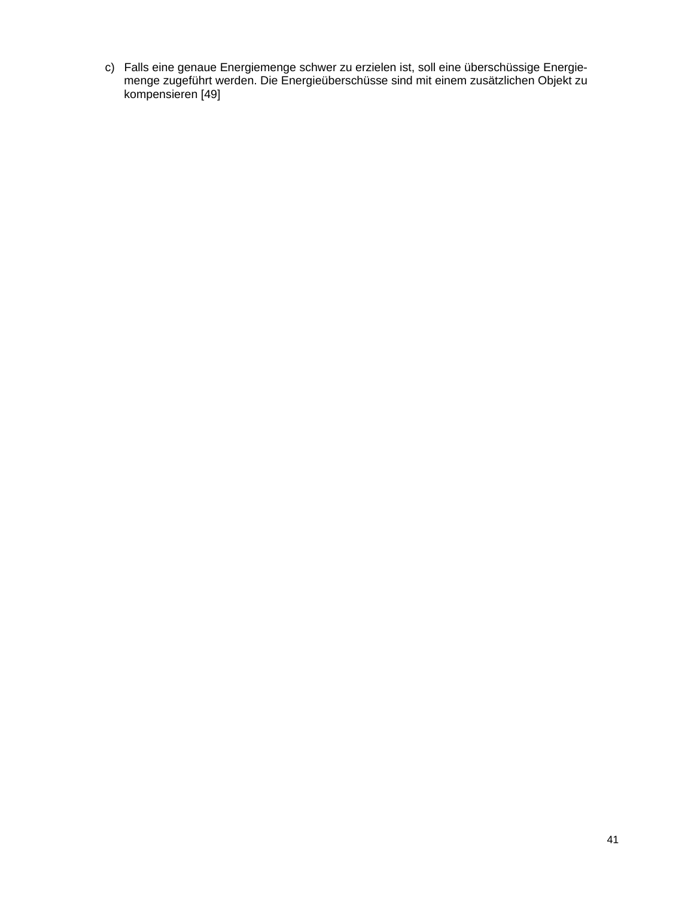c) Falls eine genaue Energiemenge schwer zu erzielen ist, soll eine überschüssige Energiemenge zugeführt werden. Die Energieüberschüsse sind mit einem zusätzlichen Objekt zu kompensieren [49]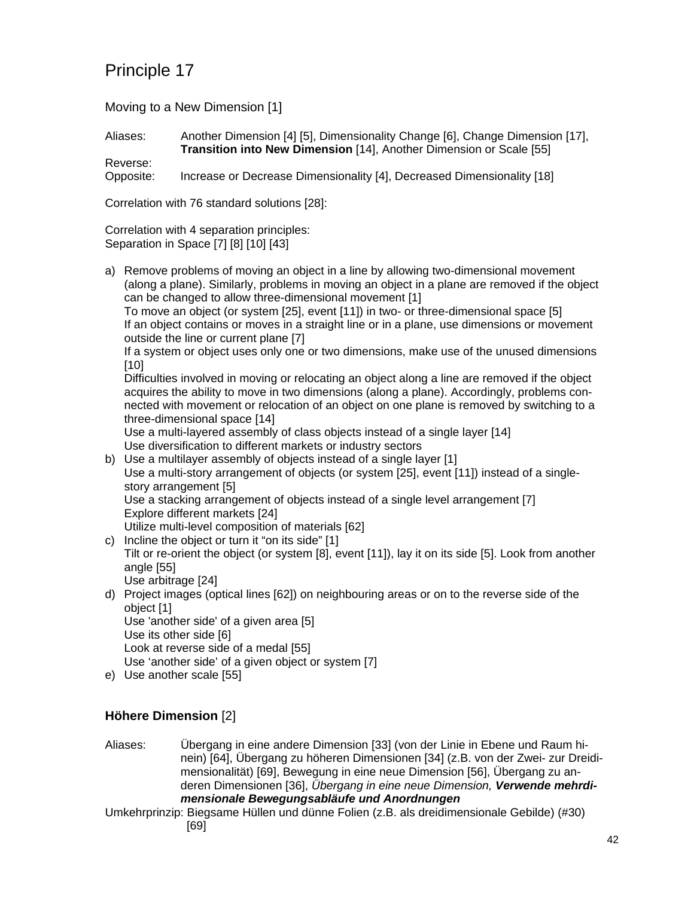Moving to a New Dimension [1]

Aliases: Another Dimension [4] [5], Dimensionality Change [6], Change Dimension [17], **Transition into New Dimension** [14], Another Dimension or Scale [55]

Reverse: Opposite: Increase or Decrease Dimensionality [4], Decreased Dimensionality [18]

Correlation with 76 standard solutions [28]:

Correlation with 4 separation principles: Separation in Space [7] [8] [10] [43]

a) Remove problems of moving an object in a line by allowing two-dimensional movement (along a plane). Similarly, problems in moving an object in a plane are removed if the object can be changed to allow three-dimensional movement [1]

To move an object (or system [25], event [11]) in two- or three-dimensional space [5] If an object contains or moves in a straight line or in a plane, use dimensions or movement outside the line or current plane [7]

If a system or object uses only one or two dimensions, make use of the unused dimensions [10]

Difficulties involved in moving or relocating an object along a line are removed if the object acquires the ability to move in two dimensions (along a plane). Accordingly, problems connected with movement or relocation of an object on one plane is removed by switching to a three-dimensional space [14]

Use a multi-layered assembly of class objects instead of a single layer [14] Use diversification to different markets or industry sectors

b) Use a multilayer assembly of objects instead of a single layer [1] Use a multi-story arrangement of objects (or system [25], event [11]) instead of a singlestory arrangement [5] Use a stacking arrangement of objects instead of a single level arrangement [7] Explore different markets [24]

Utilize multi-level composition of materials [62]

- c) Incline the object or turn it "on its side" [1] Tilt or re-orient the object (or system [8], event [11]), lay it on its side [5]. Look from another angle [55] Use arbitrage [24]
- d) Project images (optical lines [62]) on neighbouring areas or on to the reverse side of the object [1]

Use 'another side' of a given area [5]

Use its other side [6]

Look at reverse side of a medal [55]

- Use 'another side' of a given object or system [7]
- e) Use another scale [55]

### **Höhere Dimension** [2]

Aliases: Übergang in eine andere Dimension [33] (von der Linie in Ebene und Raum hinein) [64], Übergang zu höheren Dimensionen [34] (z.B. von der Zwei- zur Dreidimensionalität) [69], Bewegung in eine neue Dimension [56], Übergang zu anderen Dimensionen [36], *Übergang in eine neue Dimension, Verwende mehrdimensionale Bewegungsabläufe und Anordnungen*

Umkehrprinzip: Biegsame Hüllen und dünne Folien (z.B. als dreidimensionale Gebilde) (#30) [69]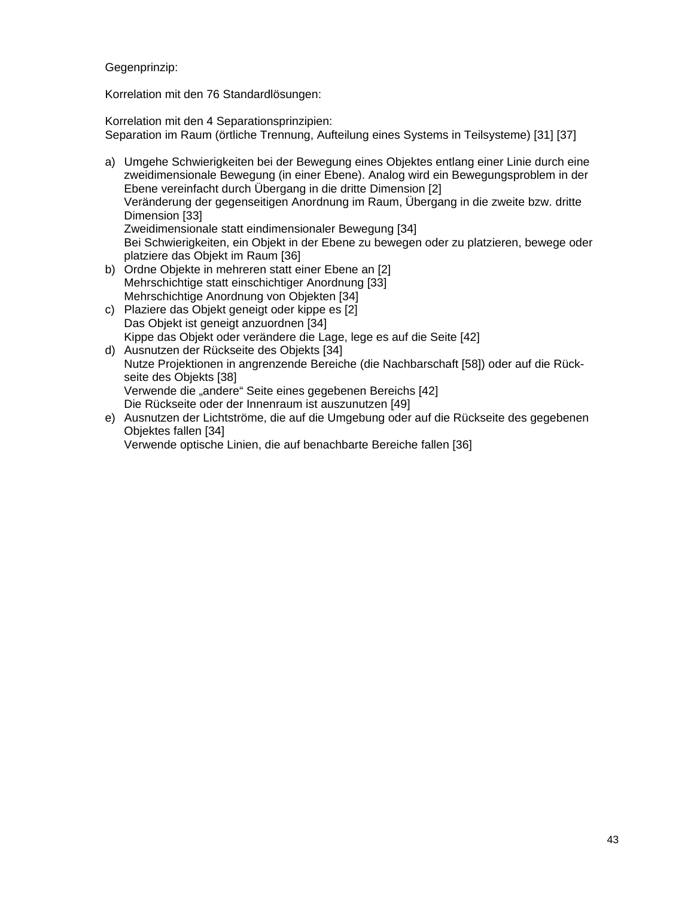Gegenprinzip:

Korrelation mit den 76 Standardlösungen:

Korrelation mit den 4 Separationsprinzipien: Separation im Raum (örtliche Trennung, Aufteilung eines Systems in Teilsysteme) [31] [37]

- a) Umgehe Schwierigkeiten bei der Bewegung eines Objektes entlang einer Linie durch eine zweidimensionale Bewegung (in einer Ebene). Analog wird ein Bewegungsproblem in der Ebene vereinfacht durch Übergang in die dritte Dimension [2] Veränderung der gegenseitigen Anordnung im Raum, Übergang in die zweite bzw. dritte Dimension [33] Zweidimensionale statt eindimensionaler Bewegung [34] Bei Schwierigkeiten, ein Objekt in der Ebene zu bewegen oder zu platzieren, bewege oder platziere das Objekt im Raum [36]
- b) Ordne Objekte in mehreren statt einer Ebene an [2] Mehrschichtige statt einschichtiger Anordnung [33] Mehrschichtige Anordnung von Objekten [34]
- c) Plaziere das Objekt geneigt oder kippe es [2] Das Objekt ist geneigt anzuordnen [34] Kippe das Objekt oder verändere die Lage, lege es auf die Seite [42]
- d) Ausnutzen der Rückseite des Objekts [34] Nutze Projektionen in angrenzende Bereiche (die Nachbarschaft [58]) oder auf die Rückseite des Objekts [38] Verwende die "andere" Seite eines gegebenen Bereichs [42] Die Rückseite oder der Innenraum ist auszunutzen [49]
- e) Ausnutzen der Lichtströme, die auf die Umgebung oder auf die Rückseite des gegebenen Objektes fallen [34]

Verwende optische Linien, die auf benachbarte Bereiche fallen [36]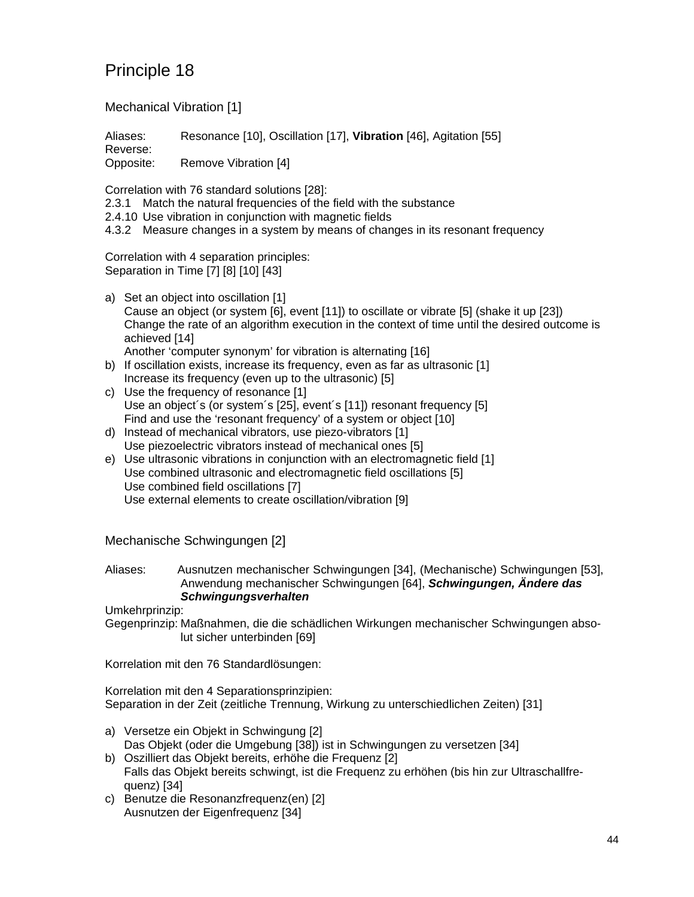Mechanical Vibration [1]

Aliases: Resonance [10], Oscillation [17], **Vibration** [46], Agitation [55] Reverse: Opposite: Remove Vibration [4]

Correlation with 76 standard solutions [28]:

2.3.1 Match the natural frequencies of the field with the substance

2.4.10 Use vibration in conjunction with magnetic fields

4.3.2 Measure changes in a system by means of changes in its resonant frequency

Correlation with 4 separation principles: Separation in Time [7] [8] [10] [43]

a) Set an object into oscillation [1] Cause an object (or system [6], event [11]) to oscillate or vibrate [5] (shake it up [23]) Change the rate of an algorithm execution in the context of time until the desired outcome is achieved [14] Another 'computer synonym' for vibration is alternating [16]

b) If oscillation exists, increase its frequency, even as far as ultrasonic [1] Increase its frequency (even up to the ultrasonic) [5]

- c) Use the frequency of resonance [1] Use an object´s (or system´s [25], event´s [11]) resonant frequency [5] Find and use the 'resonant frequency' of a system or object [10]
- d) Instead of mechanical vibrators, use piezo-vibrators [1] Use piezoelectric vibrators instead of mechanical ones [5]
- e) Use ultrasonic vibrations in conjunction with an electromagnetic field [1] Use combined ultrasonic and electromagnetic field oscillations [5] Use combined field oscillations [7] Use external elements to create oscillation/vibration [9]

Mechanische Schwingungen [2]

#### Aliases: Ausnutzen mechanischer Schwingungen [34], (Mechanische) Schwingungen [53], Anwendung mechanischer Schwingungen [64], *Schwingungen, Ändere das Schwingungsverhalten*

Umkehrprinzip:

Gegenprinzip: Maßnahmen, die die schädlichen Wirkungen mechanischer Schwingungen absolut sicher unterbinden [69]

Korrelation mit den 76 Standardlösungen:

Korrelation mit den 4 Separationsprinzipien: Separation in der Zeit (zeitliche Trennung, Wirkung zu unterschiedlichen Zeiten) [31]

- a) Versetze ein Objekt in Schwingung [2] Das Objekt (oder die Umgebung [38]) ist in Schwingungen zu versetzen [34]
- b) Oszilliert das Objekt bereits, erhöhe die Frequenz [2] Falls das Objekt bereits schwingt, ist die Frequenz zu erhöhen (bis hin zur Ultraschallfrequenz) [34]
- c) Benutze die Resonanzfrequenz(en) [2] Ausnutzen der Eigenfrequenz [34]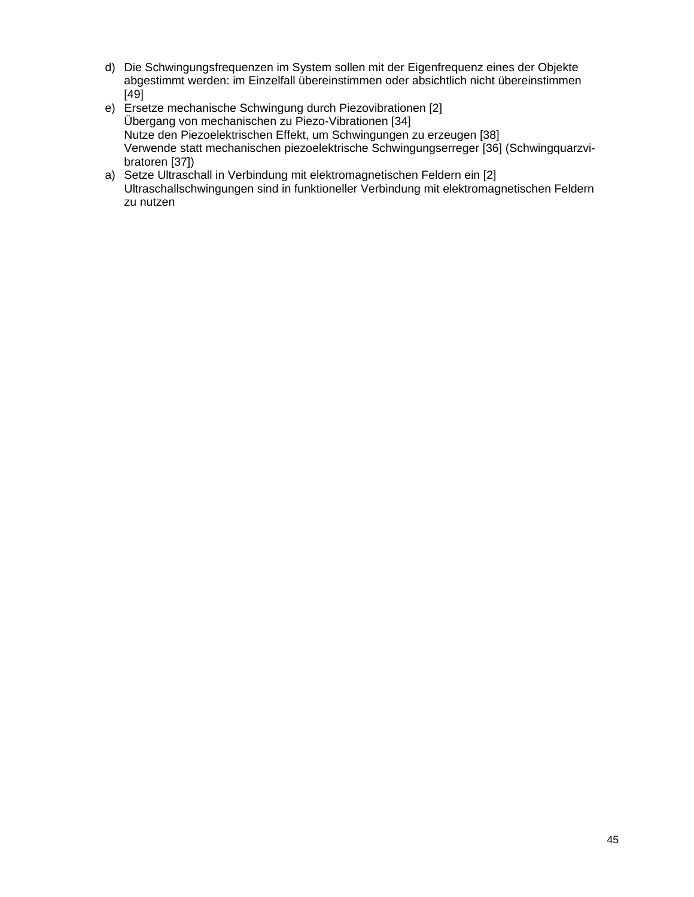- d) Die Schwingungsfrequenzen im System sollen mit der Eigenfrequenz eines der Objekte abgestimmt werden: im Einzelfall übereinstimmen oder absichtlich nicht übereinstimmen [49]
- e) Ersetze mechanische Schwingung durch Piezovibrationen [2] Übergang von mechanischen zu Piezo-Vibrationen [34] Nutze den Piezoelektrischen Effekt, um Schwingungen zu erzeugen [38] Verwende statt mechanischen piezoelektrische Schwingungserreger [36] (Schwingquarzvibratoren [37])
- a) Setze Ultraschall in Verbindung mit elektromagnetischen Feldern ein [2] Ultraschallschwingungen sind in funktioneller Verbindung mit elektromagnetischen Feldern zu nutzen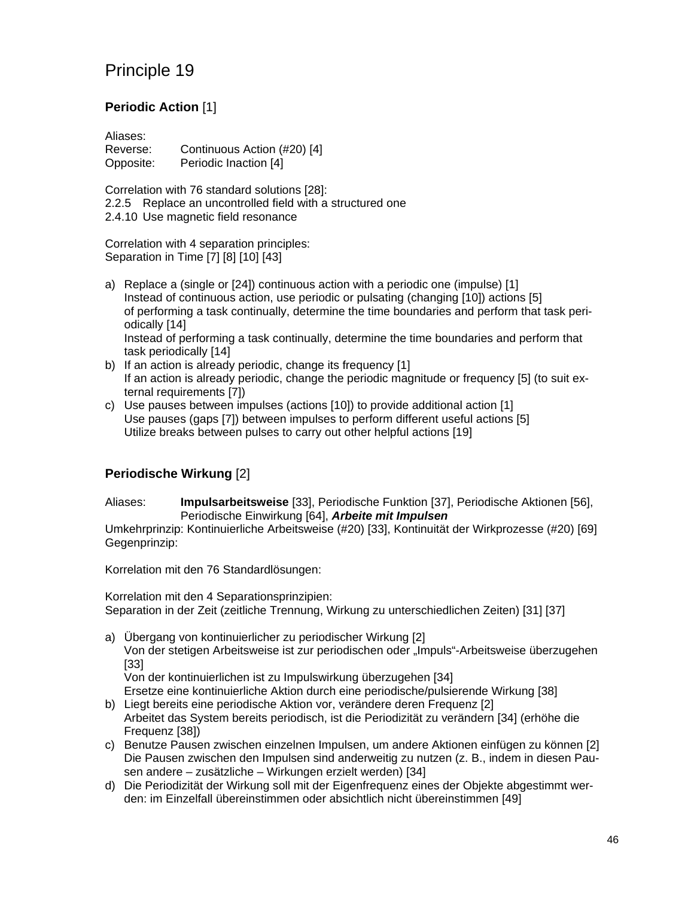### **Periodic Action** [1]

Aliases: Reverse: Continuous Action (#20) [4] Opposite: Periodic Inaction [4]

Correlation with 76 standard solutions [28]: 2.2.5 Replace an uncontrolled field with a structured one 2.4.10 Use magnetic field resonance

Correlation with 4 separation principles: Separation in Time [7] [8] [10] [43]

- a) Replace a (single or [24]) continuous action with a periodic one (impulse) [1] Instead of continuous action, use periodic or pulsating (changing [10]) actions [5] of performing a task continually, determine the time boundaries and perform that task periodically [14] Instead of performing a task continually, determine the time boundaries and perform that task periodically [14]
- b) If an action is already periodic, change its frequency [1] If an action is already periodic, change the periodic magnitude or frequency [5] (to suit external requirements [7])
- c) Use pauses between impulses (actions [10]) to provide additional action [1] Use pauses (gaps [7]) between impulses to perform different useful actions [5] Utilize breaks between pulses to carry out other helpful actions [19]

### **Periodische Wirkung** [2]

Aliases: **Impulsarbeitsweise** [33], Periodische Funktion [37], Periodische Aktionen [56], Periodische Einwirkung [64], *Arbeite mit Impulsen*

Umkehrprinzip: Kontinuierliche Arbeitsweise (#20) [33], Kontinuität der Wirkprozesse (#20) [69] Gegenprinzip:

Korrelation mit den 76 Standardlösungen:

Korrelation mit den 4 Separationsprinzipien: Separation in der Zeit (zeitliche Trennung, Wirkung zu unterschiedlichen Zeiten) [31] [37]

a) Übergang von kontinuierlicher zu periodischer Wirkung [2] Von der stetigen Arbeitsweise ist zur periodischen oder "Impuls"-Arbeitsweise überzugehen [33] Von der kontinuierlichen ist zu Impulswirkung überzugehen [34]

Ersetze eine kontinuierliche Aktion durch eine periodische/pulsierende Wirkung [38] b) Liegt bereits eine periodische Aktion vor, verändere deren Frequenz [2]

- Arbeitet das System bereits periodisch, ist die Periodizität zu verändern [34] (erhöhe die Frequenz [38])
- c) Benutze Pausen zwischen einzelnen Impulsen, um andere Aktionen einfügen zu können [2] Die Pausen zwischen den Impulsen sind anderweitig zu nutzen (z. B., indem in diesen Pausen andere – zusätzliche – Wirkungen erzielt werden) [34]
- d) Die Periodizität der Wirkung soll mit der Eigenfrequenz eines der Objekte abgestimmt werden: im Einzelfall übereinstimmen oder absichtlich nicht übereinstimmen [49]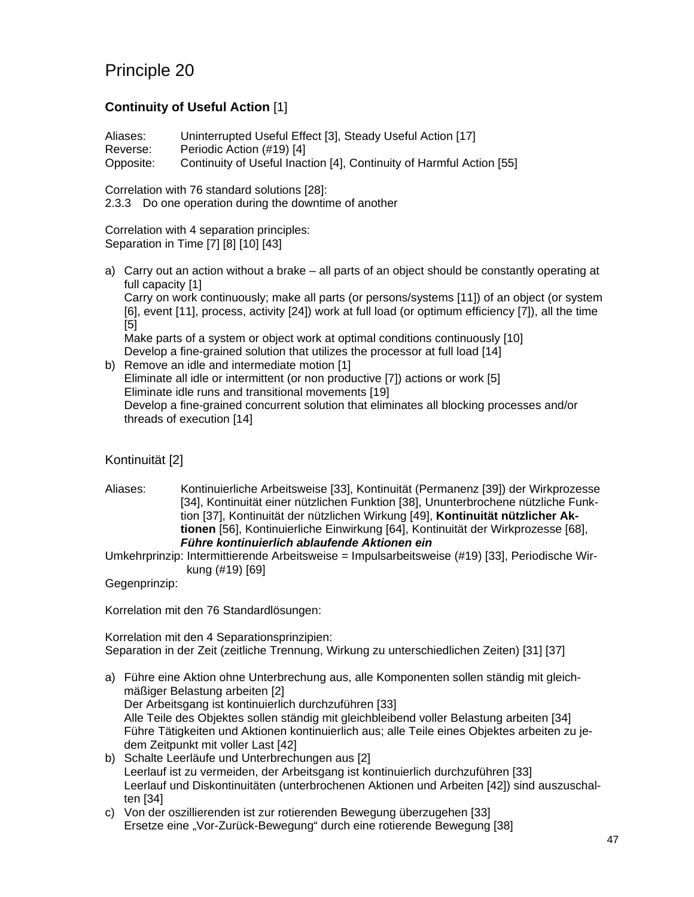### **Continuity of Useful Action** [1]

Aliases: Uninterrupted Useful Effect [3], Steady Useful Action [17] Reverse: Periodic Action (#19) [4] Opposite: Continuity of Useful Inaction [4], Continuity of Harmful Action [55]

Correlation with 76 standard solutions [28]:

2.3.3 Do one operation during the downtime of another

Correlation with 4 separation principles: Separation in Time [7] [8] [10] [43]

a) Carry out an action without a brake – all parts of an object should be constantly operating at full capacity [1]

Carry on work continuously; make all parts (or persons/systems [11]) of an object (or system [6], event [11], process, activity [24]) work at full load (or optimum efficiency [7]), all the time [5]

Make parts of a system or object work at optimal conditions continuously [10] Develop a fine-grained solution that utilizes the processor at full load [14]

b) Remove an idle and intermediate motion [1] Eliminate all idle or intermittent (or non productive [7]) actions or work [5] Eliminate idle runs and transitional movements [19] Develop a fine-grained concurrent solution that eliminates all blocking processes and/or threads of execution [14]

### Kontinuität [2]

Aliases: Kontinuierliche Arbeitsweise [33], Kontinuität (Permanenz [39]) der Wirkprozesse [34], Kontinuität einer nützlichen Funktion [38], Ununterbrochene nützliche Funktion [37], Kontinuität der nützlichen Wirkung [49], **Kontinuität nützlicher Aktionen** [56], Kontinuierliche Einwirkung [64], Kontinuität der Wirkprozesse [68], *Führe kontinuierlich ablaufende Aktionen ein*

Umkehrprinzip: Intermittierende Arbeitsweise = Impulsarbeitsweise (#19) [33], Periodische Wirkung (#19) [69]

Gegenprinzip:

Korrelation mit den 76 Standardlösungen:

Korrelation mit den 4 Separationsprinzipien: Separation in der Zeit (zeitliche Trennung, Wirkung zu unterschiedlichen Zeiten) [31] [37]

- a) Führe eine Aktion ohne Unterbrechung aus, alle Komponenten sollen ständig mit gleichmäßiger Belastung arbeiten [2] Der Arbeitsgang ist kontinuierlich durchzuführen [33] Alle Teile des Objektes sollen ständig mit gleichbleibend voller Belastung arbeiten [34] Führe Tätigkeiten und Aktionen kontinuierlich aus; alle Teile eines Objektes arbeiten zu jedem Zeitpunkt mit voller Last [42]
- b) Schalte Leerläufe und Unterbrechungen aus [2] Leerlauf ist zu vermeiden, der Arbeitsgang ist kontinuierlich durchzuführen [33] Leerlauf und Diskontinuitäten (unterbrochenen Aktionen und Arbeiten [42]) sind auszuschalten [34]
- c) Von der oszillierenden ist zur rotierenden Bewegung überzugehen [33] Ersetze eine "Vor-Zurück-Bewegung" durch eine rotierende Bewegung [38]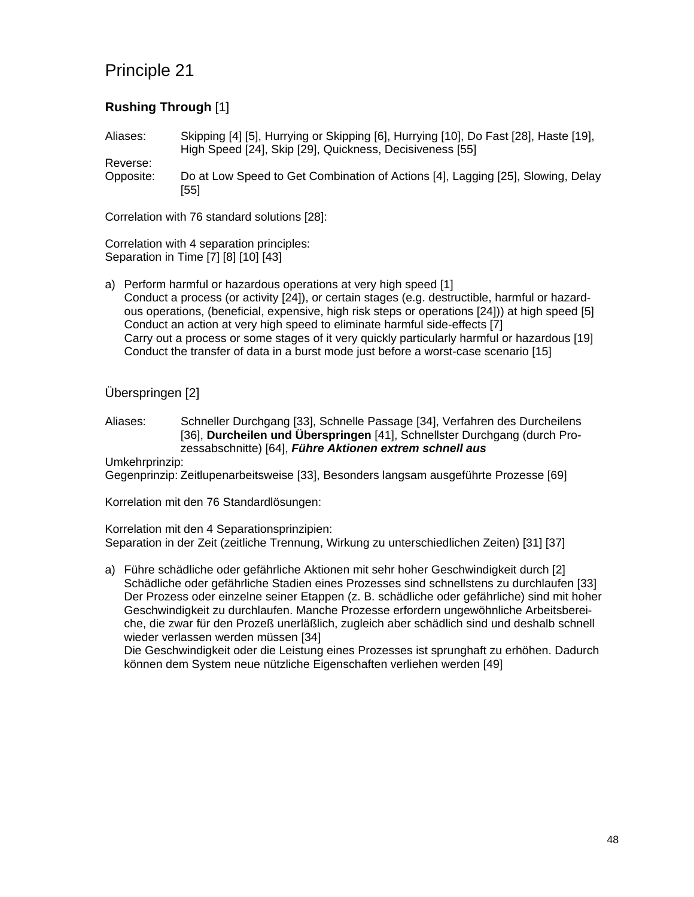#### **Rushing Through** [1]

Aliases: Skipping [4] [5], Hurrying or Skipping [6], Hurrying [10], Do Fast [28], Haste [19], High Speed [24], Skip [29], Quickness, Decisiveness [55]

Reverse: Opposite: Do at Low Speed to Get Combination of Actions [4], Lagging [25], Slowing, Delay [55]

Correlation with 76 standard solutions [28]:

Correlation with 4 separation principles: Separation in Time [7] [8] [10] [43]

a) Perform harmful or hazardous operations at very high speed [1] Conduct a process (or activity [24]), or certain stages (e.g. destructible, harmful or hazardous operations, (beneficial, expensive, high risk steps or operations [24])) at high speed [5] Conduct an action at very high speed to eliminate harmful side-effects [7] Carry out a process or some stages of it very quickly particularly harmful or hazardous [19] Conduct the transfer of data in a burst mode just before a worst-case scenario [15]

Überspringen [2]

Aliases: Schneller Durchgang [33], Schnelle Passage [34], Verfahren des Durcheilens [36], **Durcheilen und Überspringen** [41], Schnellster Durchgang (durch Prozessabschnitte) [64], *Führe Aktionen extrem schnell aus*

Umkehrprinzip:

Gegenprinzip: Zeitlupenarbeitsweise [33], Besonders langsam ausgeführte Prozesse [69]

Korrelation mit den 76 Standardlösungen:

Korrelation mit den 4 Separationsprinzipien: Separation in der Zeit (zeitliche Trennung, Wirkung zu unterschiedlichen Zeiten) [31] [37]

a) Führe schädliche oder gefährliche Aktionen mit sehr hoher Geschwindigkeit durch [2] Schädliche oder gefährliche Stadien eines Prozesses sind schnellstens zu durchlaufen [33] Der Prozess oder einzelne seiner Etappen (z. B. schädliche oder gefährliche) sind mit hoher Geschwindigkeit zu durchlaufen. Manche Prozesse erfordern ungewöhnliche Arbeitsbereiche, die zwar für den Prozeß unerläßlich, zugleich aber schädlich sind und deshalb schnell wieder verlassen werden müssen [34]

Die Geschwindigkeit oder die Leistung eines Prozesses ist sprunghaft zu erhöhen. Dadurch können dem System neue nützliche Eigenschaften verliehen werden [49]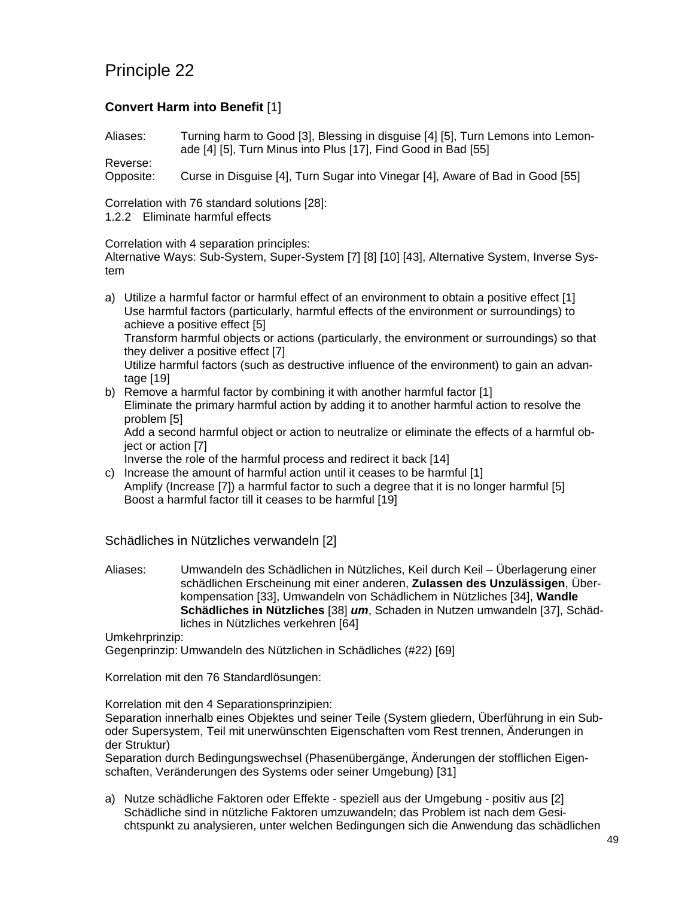#### **Convert Harm into Benefit** [1]

Aliases: Turning harm to Good [3], Blessing in disguise [4] [5], Turn Lemons into Lemonade [4] [5], Turn Minus into Plus [17], Find Good in Bad [55]

Reverse: Opposite: Curse in Disguise [4], Turn Sugar into Vinegar [4], Aware of Bad in Good [55]

Correlation with 76 standard solutions [28]: 1.2.2 Eliminate harmful effects

Correlation with 4 separation principles:

Alternative Ways: Sub-System, Super-System [7] [8] [10] [43], Alternative System, Inverse System

a) Utilize a harmful factor or harmful effect of an environment to obtain a positive effect [1] Use harmful factors (particularly, harmful effects of the environment or surroundings) to achieve a positive effect [5] Transform harmful objects or actions (particularly, the environment or surroundings) so that they deliver a positive effect [7] Utilize harmful factors (such as destructive influence of the environment) to gain an advantage [19]

b) Remove a harmful factor by combining it with another harmful factor [1] Eliminate the primary harmful action by adding it to another harmful action to resolve the problem [5] Add a second harmful object or action to neutralize or eliminate the effects of a harmful ob-

ject or action [7]

Inverse the role of the harmful process and redirect it back [14]

c) Increase the amount of harmful action until it ceases to be harmful [1] Amplify (Increase [7]) a harmful factor to such a degree that it is no longer harmful [5] Boost a harmful factor till it ceases to be harmful [19]

Schädliches in Nützliches verwandeln [2]

Aliases: Umwandeln des Schädlichen in Nützliches, Keil durch Keil – Überlagerung einer schädlichen Erscheinung mit einer anderen, **Zulassen des Unzulässigen**, Überkompensation [33], Umwandeln von Schädlichem in Nützliches [34], **Wandle Schädliches in Nützliches** [38] *um*, Schaden in Nutzen umwandeln [37], Schädliches in Nützliches verkehren [64]

Umkehrprinzip:

Gegenprinzip: Umwandeln des Nützlichen in Schädliches (#22) [69]

Korrelation mit den 76 Standardlösungen:

Korrelation mit den 4 Separationsprinzipien:

Separation innerhalb eines Objektes und seiner Teile (System gliedern, Überführung in ein Suboder Supersystem, Teil mit unerwünschten Eigenschaften vom Rest trennen, Änderungen in der Struktur)

Separation durch Bedingungswechsel (Phasenübergänge, Änderungen der stofflichen Eigenschaften, Veränderungen des Systems oder seiner Umgebung) [31]

a) Nutze schädliche Faktoren oder Effekte - speziell aus der Umgebung - positiv aus [2] Schädliche sind in nützliche Faktoren umzuwandeln; das Problem ist nach dem Gesichtspunkt zu analysieren, unter welchen Bedingungen sich die Anwendung das schädlichen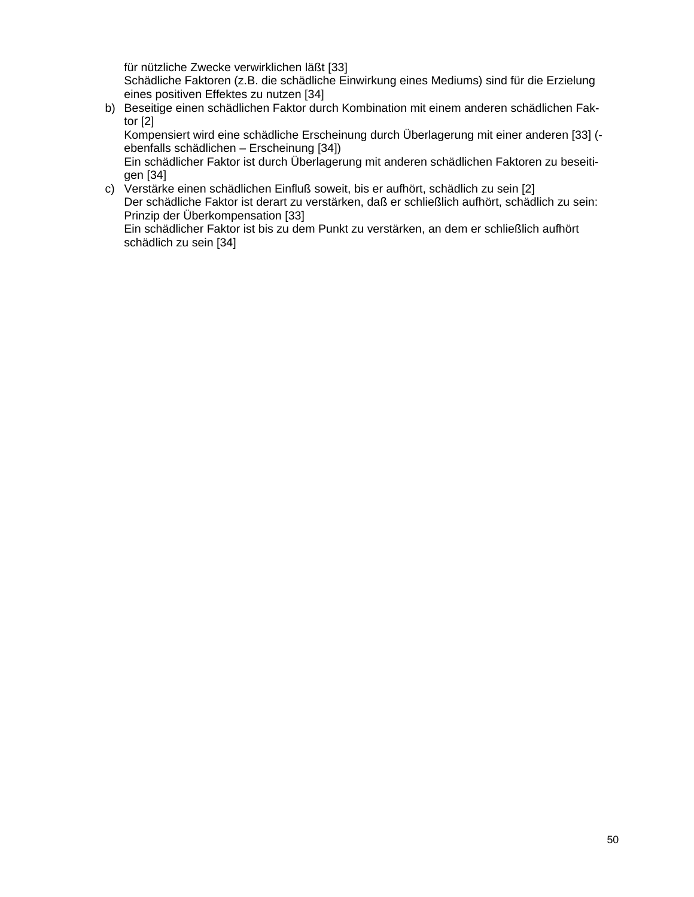für nützliche Zwecke verwirklichen läßt [33] Schädliche Faktoren (z.B. die schädliche Einwirkung eines Mediums) sind für die Erzielung eines positiven Effektes zu nutzen [34]

b) Beseitige einen schädlichen Faktor durch Kombination mit einem anderen schädlichen Faktor [2]

Kompensiert wird eine schädliche Erscheinung durch Überlagerung mit einer anderen [33] ( ebenfalls schädlichen – Erscheinung [34])

Ein schädlicher Faktor ist durch Überlagerung mit anderen schädlichen Faktoren zu beseitigen [34]

c) Verstärke einen schädlichen Einfluß soweit, bis er aufhört, schädlich zu sein [2] Der schädliche Faktor ist derart zu verstärken, daß er schließlich aufhört, schädlich zu sein: Prinzip der Überkompensation [33] Ein schädlicher Faktor ist bis zu dem Punkt zu verstärken, an dem er schließlich aufhört schädlich zu sein [34]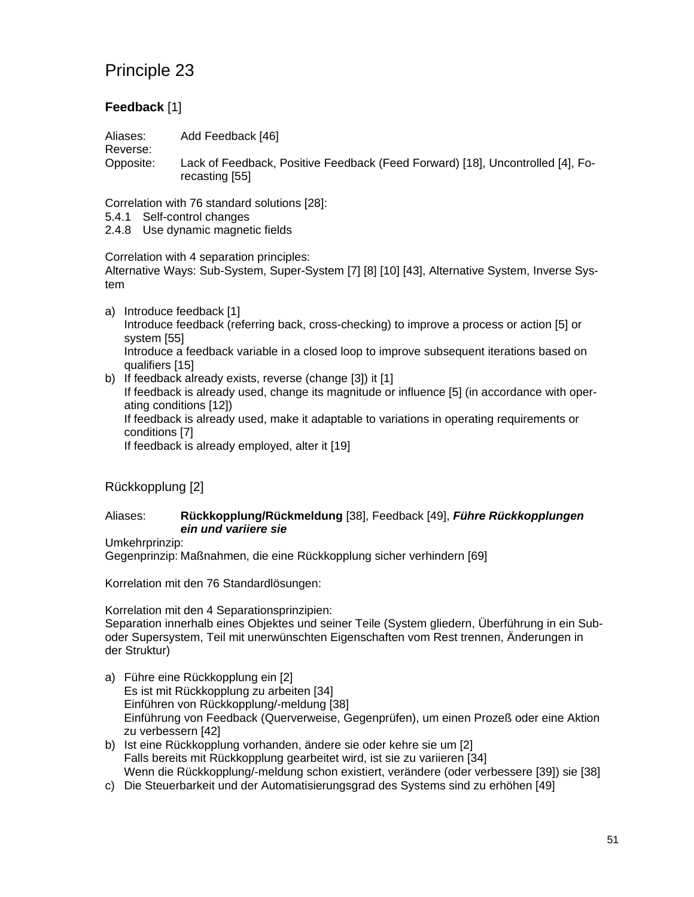### **Feedback** [1]

Aliases: Add Feedback [46]

Reverse:

Opposite: Lack of Feedback, Positive Feedback (Feed Forward) [18], Uncontrolled [4], Forecasting [55]

Correlation with 76 standard solutions [28]:

- 5.4.1 Self-control changes
- 2.4.8 Use dynamic magnetic fields

Correlation with 4 separation principles: Alternative Ways: Sub-System, Super-System [7] [8] [10] [43], Alternative System, Inverse System

- a) Introduce feedback [1] Introduce feedback (referring back, cross-checking) to improve a process or action [5] or system [55] Introduce a feedback variable in a closed loop to improve subsequent iterations based on qualifiers [15]
- b) If feedback already exists, reverse (change [3]) it [1] If feedback is already used, change its magnitude or influence [5] (in accordance with operating conditions [12]) If feedback is already used, make it adaptable to variations in operating requirements or conditions [7] If feedback is already employed, alter it [19]

### Rückkopplung [2]

#### Aliases: **Rückkopplung/Rückmeldung** [38], Feedback [49], *Führe Rückkopplungen ein und variiere sie*

Umkehrprinzip:

Gegenprinzip: Maßnahmen, die eine Rückkopplung sicher verhindern [69]

Korrelation mit den 76 Standardlösungen:

Korrelation mit den 4 Separationsprinzipien:

Separation innerhalb eines Objektes und seiner Teile (System gliedern, Überführung in ein Suboder Supersystem, Teil mit unerwünschten Eigenschaften vom Rest trennen, Änderungen in der Struktur)

- a) Führe eine Rückkopplung ein [2] Es ist mit Rückkopplung zu arbeiten [34] Einführen von Rückkopplung/-meldung [38] Einführung von Feedback (Querverweise, Gegenprüfen), um einen Prozeß oder eine Aktion zu verbessern [42]
- b) Ist eine Rückkopplung vorhanden, ändere sie oder kehre sie um [2] Falls bereits mit Rückkopplung gearbeitet wird, ist sie zu variieren [34] Wenn die Rückkopplung/-meldung schon existiert, verändere (oder verbessere [39]) sie [38]
- c) Die Steuerbarkeit und der Automatisierungsgrad des Systems sind zu erhöhen [49]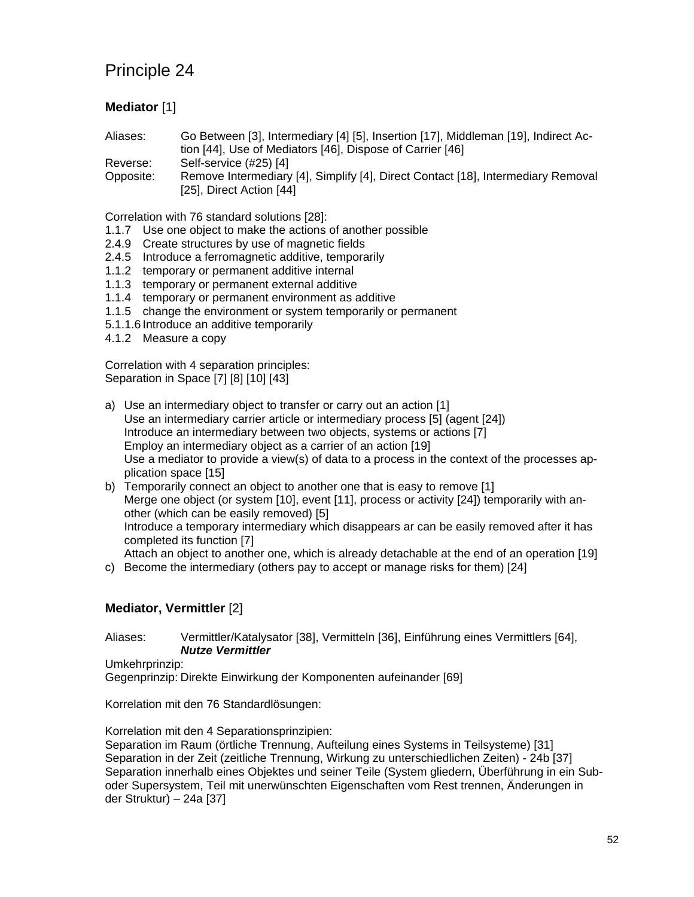### **Mediator** [1]

Aliases: Go Between [3], Intermediary [4] [5], Insertion [17], Middleman [19], Indirect Action [44], Use of Mediators [46], Dispose of Carrier [46] Reverse: Self-service (#25) [4]

Opposite: Remove Intermediary [4], Simplify [4], Direct Contact [18], Intermediary Removal [25], Direct Action [44]

Correlation with 76 standard solutions [28]:

- 1.1.7 Use one object to make the actions of another possible
- 2.4.9 Create structures by use of magnetic fields
- 2.4.5 Introduce a ferromagnetic additive, temporarily
- 1.1.2 temporary or permanent additive internal
- 1.1.3 temporary or permanent external additive
- 1.1.4 temporary or permanent environment as additive
- 1.1.5 change the environment or system temporarily or permanent
- 5.1.1.6 Introduce an additive temporarily
- 4.1.2 Measure a copy

Correlation with 4 separation principles: Separation in Space [7] [8] [10] [43]

- a) Use an intermediary object to transfer or carry out an action [1] Use an intermediary carrier article or intermediary process [5] (agent [24]) Introduce an intermediary between two objects, systems or actions [7] Employ an intermediary object as a carrier of an action [19] Use a mediator to provide a view(s) of data to a process in the context of the processes application space [15]
- b) Temporarily connect an object to another one that is easy to remove [1] Merge one object (or system [10], event [11], process or activity [24]) temporarily with another (which can be easily removed) [5] Introduce a temporary intermediary which disappears ar can be easily removed after it has completed its function [7] Attach an object to another one, which is already detachable at the end of an operation [19]
- c) Become the intermediary (others pay to accept or manage risks for them) [24]

#### **Mediator, Vermittler** [2]

Aliases: Vermittler/Katalysator [38], Vermitteln [36], Einführung eines Vermittlers [64], *Nutze Vermittler*

Umkehrprinzip:

Gegenprinzip: Direkte Einwirkung der Komponenten aufeinander [69]

Korrelation mit den 76 Standardlösungen:

Korrelation mit den 4 Separationsprinzipien:

Separation im Raum (örtliche Trennung, Aufteilung eines Systems in Teilsysteme) [31] Separation in der Zeit (zeitliche Trennung, Wirkung zu unterschiedlichen Zeiten) - 24b [37] Separation innerhalb eines Objektes und seiner Teile (System gliedern, Überführung in ein Suboder Supersystem, Teil mit unerwünschten Eigenschaften vom Rest trennen, Änderungen in der Struktur) – 24a [37]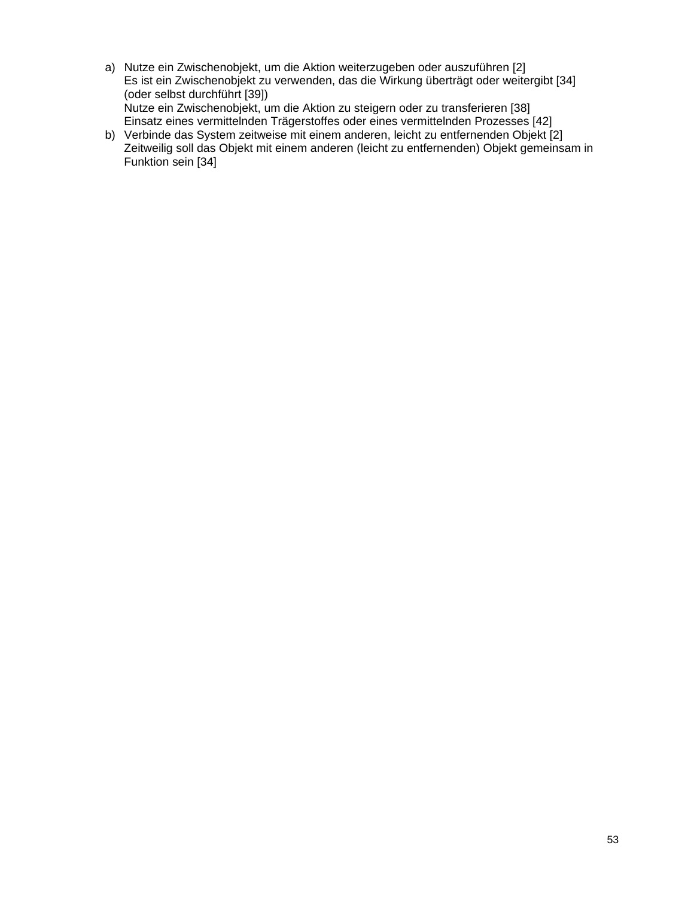- a) Nutze ein Zwischenobjekt, um die Aktion weiterzugeben oder auszuführen [2] Es ist ein Zwischenobjekt zu verwenden, das die Wirkung überträgt oder weitergibt [34] (oder selbst durchführt [39]) Nutze ein Zwischenobjekt, um die Aktion zu steigern oder zu transferieren [38] Einsatz eines vermittelnden Trägerstoffes oder eines vermittelnden Prozesses [42]
- b) Verbinde das System zeitweise mit einem anderen, leicht zu entfernenden Objekt [2] Zeitweilig soll das Objekt mit einem anderen (leicht zu entfernenden) Objekt gemeinsam in Funktion sein [34]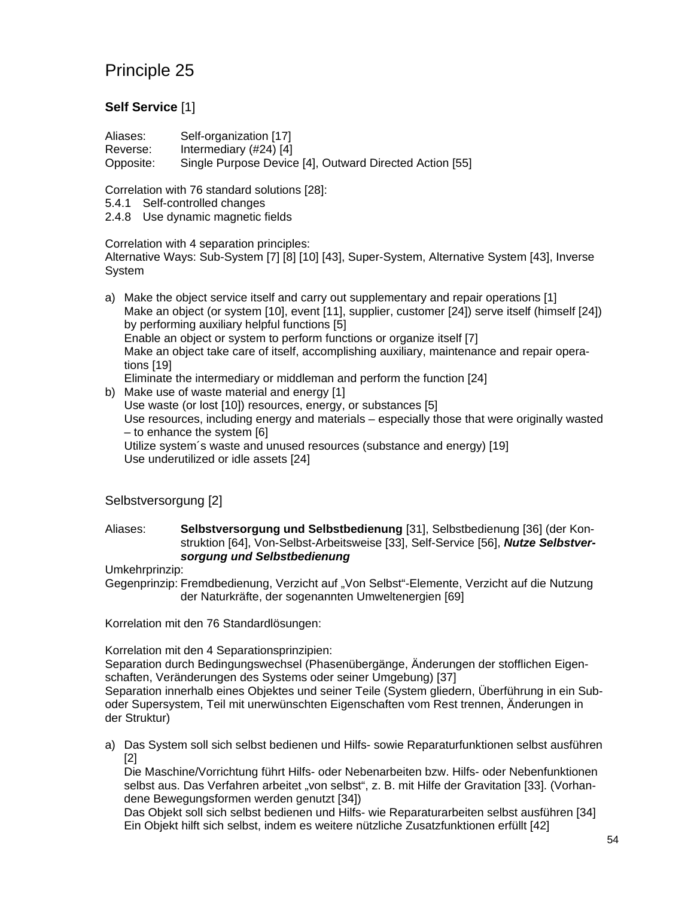### **Self Service** [1]

| Aliases:  | Self-organization [17]                                  |
|-----------|---------------------------------------------------------|
| Reverse:  | Intermediary $(\#24)$ [4]                               |
| Opposite: | Single Purpose Device [4], Outward Directed Action [55] |

Correlation with 76 standard solutions [28]:

- 5.4.1 Self-controlled changes
- 2.4.8 Use dynamic magnetic fields

#### Correlation with 4 separation principles:

Alternative Ways: Sub-System [7] [8] [10] [43], Super-System, Alternative System [43], Inverse System

a) Make the object service itself and carry out supplementary and repair operations [1] Make an object (or system [10], event [11], supplier, customer [24]) serve itself (himself [24]) by performing auxiliary helpful functions [5] Enable an object or system to perform functions or organize itself [7] Make an object take care of itself, accomplishing auxiliary, maintenance and repair operations [19]

Eliminate the intermediary or middleman and perform the function [24]

b) Make use of waste material and energy [1] Use waste (or lost [10]) resources, energy, or substances [5] Use resources, including energy and materials – especially those that were originally wasted – to enhance the system [6] Utilize system´s waste and unused resources (substance and energy) [19] Use underutilized or idle assets [24]

### Selbstversorgung [2]

#### Aliases: **Selbstversorgung und Selbstbedienung** [31], Selbstbedienung [36] (der Konstruktion [64], Von-Selbst-Arbeitsweise [33], Self-Service [56], *Nutze Selbstversorgung und Selbstbedienung*

Umkehrprinzip:

Gegenprinzip: Fremdbedienung, Verzicht auf "Von Selbst"-Elemente, Verzicht auf die Nutzung der Naturkräfte, der sogenannten Umweltenergien [69]

Korrelation mit den 76 Standardlösungen:

Korrelation mit den 4 Separationsprinzipien:

Separation durch Bedingungswechsel (Phasenübergänge, Änderungen der stofflichen Eigenschaften, Veränderungen des Systems oder seiner Umgebung) [37]

Separation innerhalb eines Objektes und seiner Teile (System gliedern, Überführung in ein Suboder Supersystem, Teil mit unerwünschten Eigenschaften vom Rest trennen, Änderungen in der Struktur)

a) Das System soll sich selbst bedienen und Hilfs- sowie Reparaturfunktionen selbst ausführen [2]

Die Maschine/Vorrichtung führt Hilfs- oder Nebenarbeiten bzw. Hilfs- oder Nebenfunktionen selbst aus. Das Verfahren arbeitet "von selbst", z. B. mit Hilfe der Gravitation [33]. (Vorhandene Bewegungsformen werden genutzt [34])

Das Objekt soll sich selbst bedienen und Hilfs- wie Reparaturarbeiten selbst ausführen [34] Ein Objekt hilft sich selbst, indem es weitere nützliche Zusatzfunktionen erfüllt [42]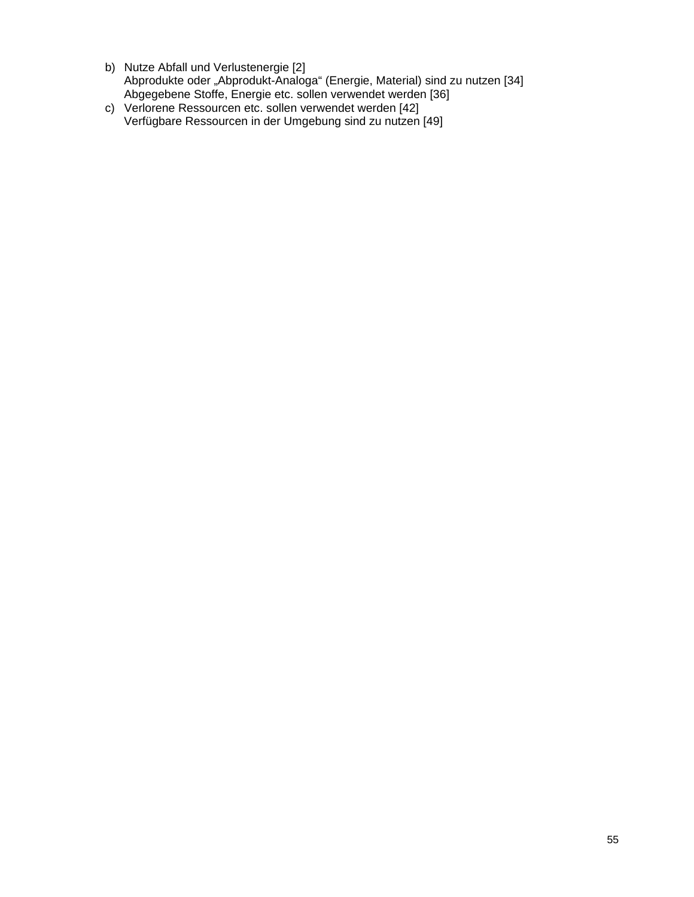- b) Nutze Abfall und Verlustenergie [2] Abprodukte oder "Abprodukt-Analoga" (Energie, Material) sind zu nutzen [34] Abgegebene Stoffe, Energie etc. sollen verwendet werden [36]
- c) Verlorene Ressourcen etc. sollen verwendet werden [42] Verfügbare Ressourcen in der Umgebung sind zu nutzen [49]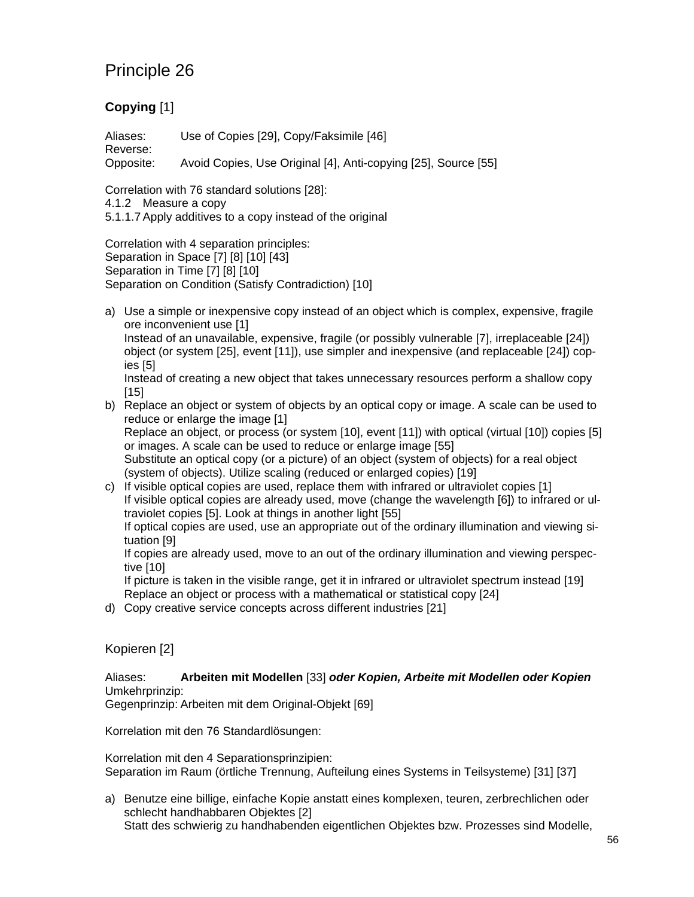### **Copying** [1]

Aliases: Use of Copies [29], Copy/Faksimile [46] Reverse: Opposite: Avoid Copies, Use Original [4], Anti-copying [25], Source [55]

Correlation with 76 standard solutions [28]:

4.1.2 Measure a copy

5.1.1.7 Apply additives to a copy instead of the original

Correlation with 4 separation principles: Separation in Space [7] [8] [10] [43] Separation in Time [7] [8] [10] Separation on Condition (Satisfy Contradiction) [10]

a) Use a simple or inexpensive copy instead of an object which is complex, expensive, fragile ore inconvenient use [1] Instead of an unavailable, expensive, fragile (or possibly vulnerable [7], irreplaceable [24])

object (or system [25], event [11]), use simpler and inexpensive (and replaceable [24]) copies [5]

Instead of creating a new object that takes unnecessary resources perform a shallow copy [15]

- b) Replace an object or system of objects by an optical copy or image. A scale can be used to reduce or enlarge the image [1] Replace an object, or process (or system [10], event [11]) with optical (virtual [10]) copies [5] or images. A scale can be used to reduce or enlarge image [55] Substitute an optical copy (or a picture) of an object (system of objects) for a real object
- (system of objects). Utilize scaling (reduced or enlarged copies) [19] c) If visible optical copies are used, replace them with infrared or ultraviolet copies [1] If visible optical copies are already used, move (change the wavelength [6]) to infrared or ultraviolet copies [5]. Look at things in another light [55] If optical copies are used, use an appropriate out of the ordinary illumination and viewing situation [9]

If copies are already used, move to an out of the ordinary illumination and viewing perspective [10]

If picture is taken in the visible range, get it in infrared or ultraviolet spectrum instead [19] Replace an object or process with a mathematical or statistical copy [24]

d) Copy creative service concepts across different industries [21]

#### Kopieren [2]

Aliases: **Arbeiten mit Modellen** [33] *oder Kopien, Arbeite mit Modellen oder Kopien* Umkehrprinzip:

Gegenprinzip: Arbeiten mit dem Original-Objekt [69]

Korrelation mit den 76 Standardlösungen:

Korrelation mit den 4 Separationsprinzipien: Separation im Raum (örtliche Trennung, Aufteilung eines Systems in Teilsysteme) [31] [37]

a) Benutze eine billige, einfache Kopie anstatt eines komplexen, teuren, zerbrechlichen oder schlecht handhabbaren Objektes [2] Statt des schwierig zu handhabenden eigentlichen Objektes bzw. Prozesses sind Modelle,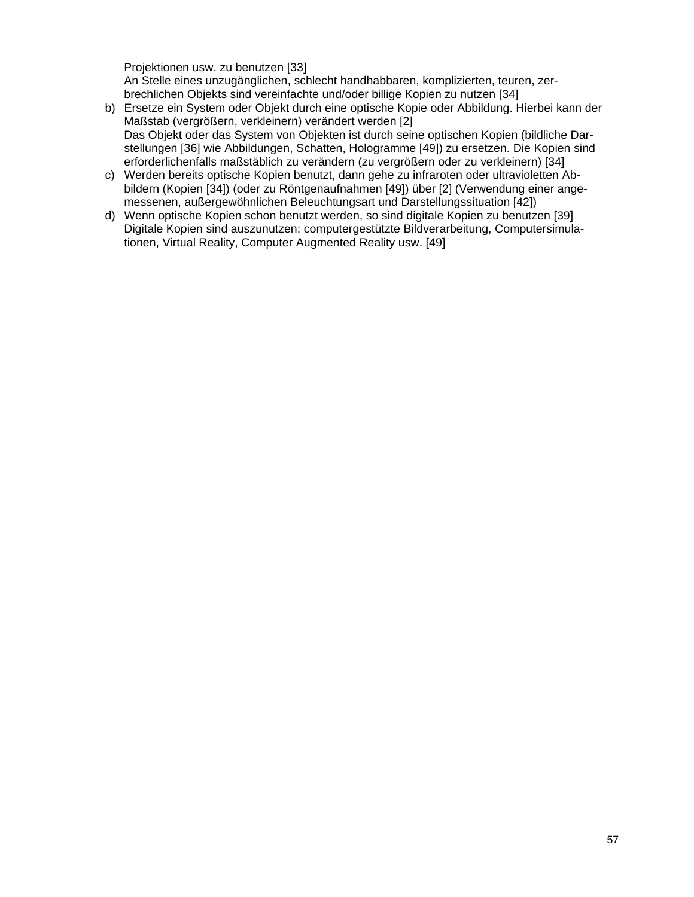Projektionen usw. zu benutzen [33] An Stelle eines unzugänglichen, schlecht handhabbaren, komplizierten, teuren, zerbrechlichen Objekts sind vereinfachte und/oder billige Kopien zu nutzen [34]

- b) Ersetze ein System oder Objekt durch eine optische Kopie oder Abbildung. Hierbei kann der Maßstab (vergrößern, verkleinern) verändert werden [2] Das Objekt oder das System von Objekten ist durch seine optischen Kopien (bildliche Darstellungen [36] wie Abbildungen, Schatten, Hologramme [49]) zu ersetzen. Die Kopien sind erforderlichenfalls maßstäblich zu verändern (zu vergrößern oder zu verkleinern) [34]
- c) Werden bereits optische Kopien benutzt, dann gehe zu infraroten oder ultravioletten Abbildern (Kopien [34]) (oder zu Röntgenaufnahmen [49]) über [2] (Verwendung einer angemessenen, außergewöhnlichen Beleuchtungsart und Darstellungssituation [42])
- d) Wenn optische Kopien schon benutzt werden, so sind digitale Kopien zu benutzen [39] Digitale Kopien sind auszunutzen: computergestützte Bildverarbeitung, Computersimulationen, Virtual Reality, Computer Augmented Reality usw. [49]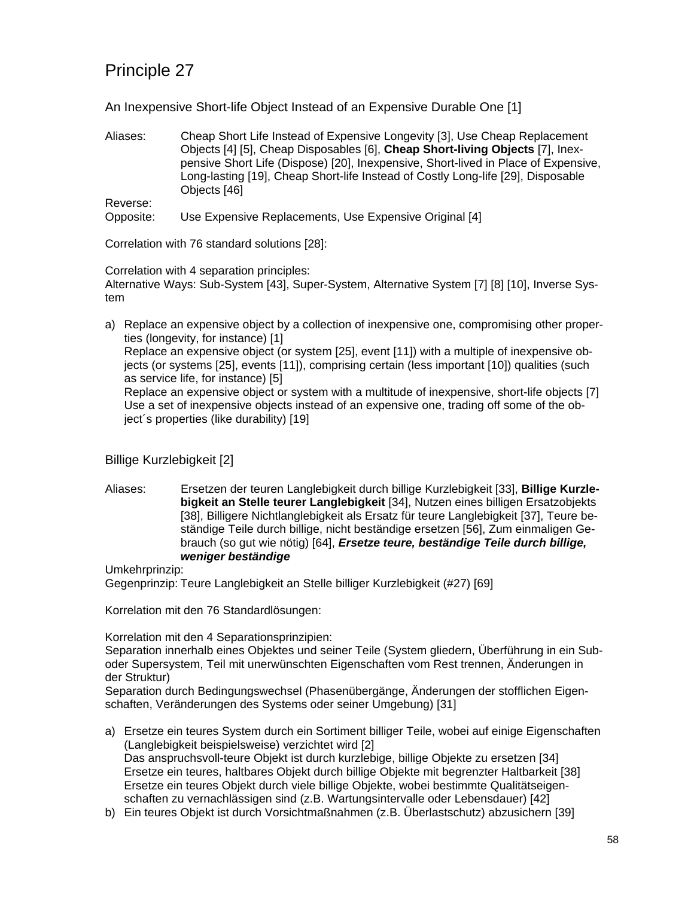An Inexpensive Short-life Object Instead of an Expensive Durable One [1]

Aliases: Cheap Short Life Instead of Expensive Longevity [3], Use Cheap Replacement Objects [4] [5], Cheap Disposables [6], **Cheap Short-living Objects** [7], Inexpensive Short Life (Dispose) [20], Inexpensive, Short-lived in Place of Expensive, Long-lasting [19], Cheap Short-life Instead of Costly Long-life [29], Disposable Objects [46] Reverse:

Opposite: Use Expensive Replacements, Use Expensive Original [4]

Correlation with 76 standard solutions [28]:

Correlation with 4 separation principles:

Alternative Ways: Sub-System [43], Super-System, Alternative System [7] [8] [10], Inverse System

a) Replace an expensive object by a collection of inexpensive one, compromising other properties (longevity, for instance) [1] Replace an expensive object (or system [25], event [11]) with a multiple of inexpensive objects (or systems [25], events [11]), comprising certain (less important [10]) qualities (such as service life, for instance) [5] Replace an expensive object or system with a multitude of inexpensive, short-life objects [7] Use a set of inexpensive objects instead of an expensive one, trading off some of the object´s properties (like durability) [19]

### Billige Kurzlebigkeit [2]

Aliases: Ersetzen der teuren Langlebigkeit durch billige Kurzlebigkeit [33], **Billige Kurzlebigkeit an Stelle teurer Langlebigkeit** [34], Nutzen eines billigen Ersatzobjekts [38], Billigere Nichtlanglebigkeit als Ersatz für teure Langlebigkeit [37], Teure beständige Teile durch billige, nicht beständige ersetzen [56], Zum einmaligen Gebrauch (so gut wie nötig) [64], *Ersetze teure, beständige Teile durch billige, weniger beständige*

Umkehrprinzip:

Gegenprinzip: Teure Langlebigkeit an Stelle billiger Kurzlebigkeit (#27) [69]

Korrelation mit den 76 Standardlösungen:

Korrelation mit den 4 Separationsprinzipien:

Separation innerhalb eines Objektes und seiner Teile (System gliedern, Überführung in ein Suboder Supersystem, Teil mit unerwünschten Eigenschaften vom Rest trennen, Änderungen in der Struktur)

Separation durch Bedingungswechsel (Phasenübergänge, Änderungen der stofflichen Eigenschaften, Veränderungen des Systems oder seiner Umgebung) [31]

- a) Ersetze ein teures System durch ein Sortiment billiger Teile, wobei auf einige Eigenschaften (Langlebigkeit beispielsweise) verzichtet wird [2] Das anspruchsvoll-teure Objekt ist durch kurzlebige, billige Objekte zu ersetzen [34] Ersetze ein teures, haltbares Objekt durch billige Objekte mit begrenzter Haltbarkeit [38] Ersetze ein teures Objekt durch viele billige Objekte, wobei bestimmte Qualitätseigenschaften zu vernachlässigen sind (z.B. Wartungsintervalle oder Lebensdauer) [42]
- b) Ein teures Objekt ist durch Vorsichtmaßnahmen (z.B. Überlastschutz) abzusichern [39]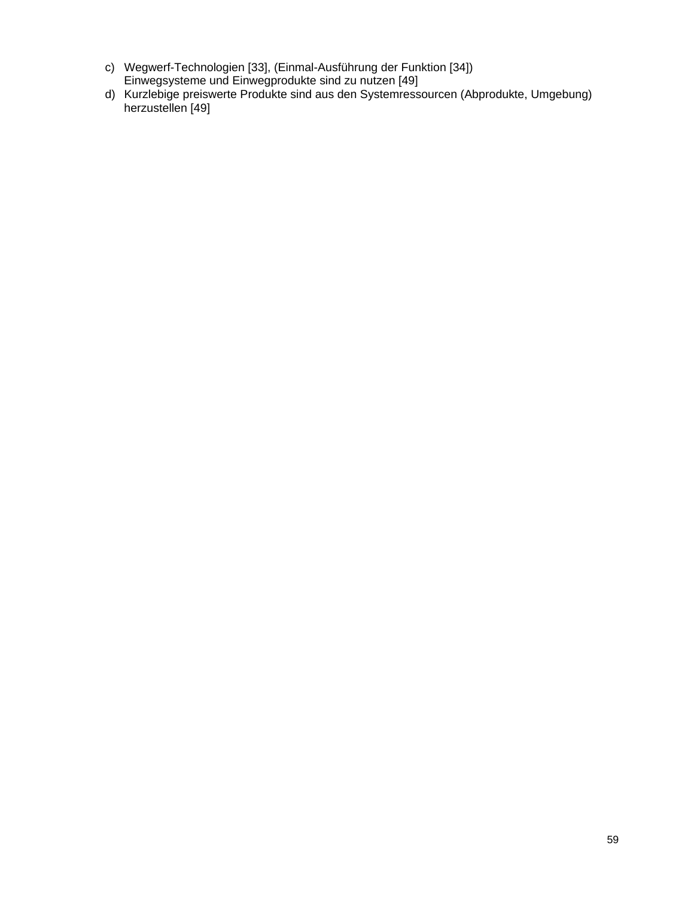- c) Wegwerf-Technologien [33], (Einmal-Ausführung der Funktion [34]) Einwegsysteme und Einwegprodukte sind zu nutzen [49]
- d) Kurzlebige preiswerte Produkte sind aus den Systemressourcen (Abprodukte, Umgebung) herzustellen [49]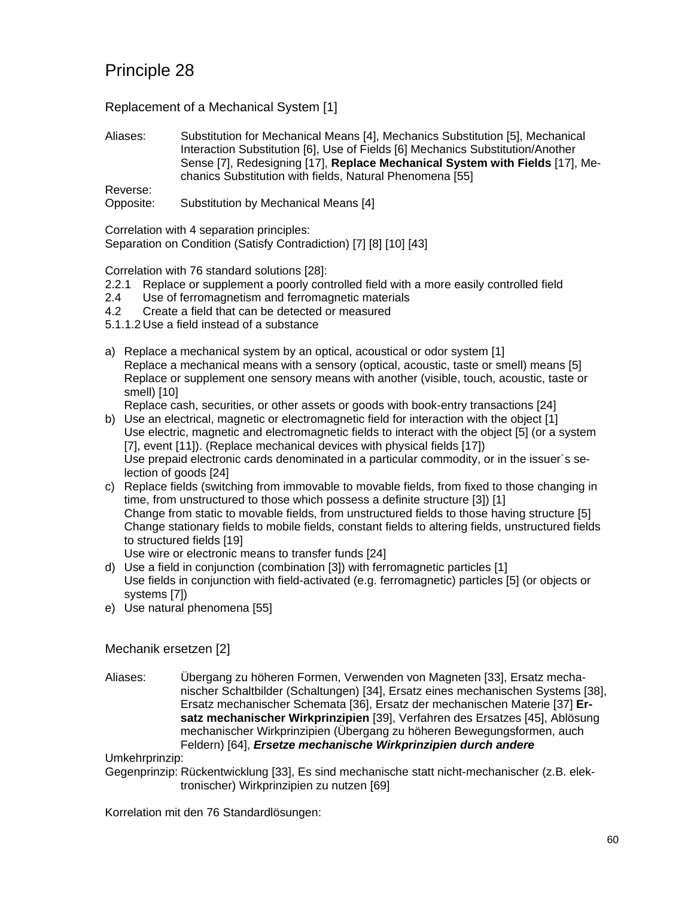Replacement of a Mechanical System [1]

Aliases: Substitution for Mechanical Means [4], Mechanics Substitution [5], Mechanical Interaction Substitution [6], Use of Fields [6] Mechanics Substitution/Another Sense [7], Redesigning [17], **Replace Mechanical System with Fields** [17], Mechanics Substitution with fields, Natural Phenomena [55]

Reverse:

Opposite: Substitution by Mechanical Means [4]

Correlation with 4 separation principles: Separation on Condition (Satisfy Contradiction) [7] [8] [10] [43]

Correlation with 76 standard solutions [28]:

- 2.2.1 Replace or supplement a poorly controlled field with a more easily controlled field
- 2.4 Use of ferromagnetism and ferromagnetic materials
- 4.2 Create a field that can be detected or measured
- 5.1.1.2 Use a field instead of a substance
- a) Replace a mechanical system by an optical, acoustical or odor system [1] Replace a mechanical means with a sensory (optical, acoustic, taste or smell) means [5] Replace or supplement one sensory means with another (visible, touch, acoustic, taste or smell) [10]

Replace cash, securities, or other assets or goods with book-entry transactions [24]

- b) Use an electrical, magnetic or electromagnetic field for interaction with the object [1] Use electric, magnetic and electromagnetic fields to interact with the object [5] (or a system [7], event [11]). (Replace mechanical devices with physical fields [17]) Use prepaid electronic cards denominated in a particular commodity, or in the issuer´s selection of goods [24]
- c) Replace fields (switching from immovable to movable fields, from fixed to those changing in time, from unstructured to those which possess a definite structure [3]) [1] Change from static to movable fields, from unstructured fields to those having structure [5] Change stationary fields to mobile fields, constant fields to altering fields, unstructured fields to structured fields [19]

Use wire or electronic means to transfer funds [24]

- d) Use a field in conjunction (combination [3]) with ferromagnetic particles [1] Use fields in conjunction with field-activated (e.g. ferromagnetic) particles [5] (or objects or systems [7])
- e) Use natural phenomena [55]

Mechanik ersetzen [2]

Aliases: Übergang zu höheren Formen, Verwenden von Magneten [33], Ersatz mechanischer Schaltbilder (Schaltungen) [34], Ersatz eines mechanischen Systems [38], Ersatz mechanischer Schemata [36], Ersatz der mechanischen Materie [37] **Ersatz mechanischer Wirkprinzipien** [39], Verfahren des Ersatzes [45], Ablösung mechanischer Wirkprinzipien (Übergang zu höheren Bewegungsformen, auch Feldern) [64], *Ersetze mechanische Wirkprinzipien durch andere*

Umkehrprinzip:

Gegenprinzip: Rückentwicklung [33], Es sind mechanische statt nicht-mechanischer (z.B. elektronischer) Wirkprinzipien zu nutzen [69]

Korrelation mit den 76 Standardlösungen: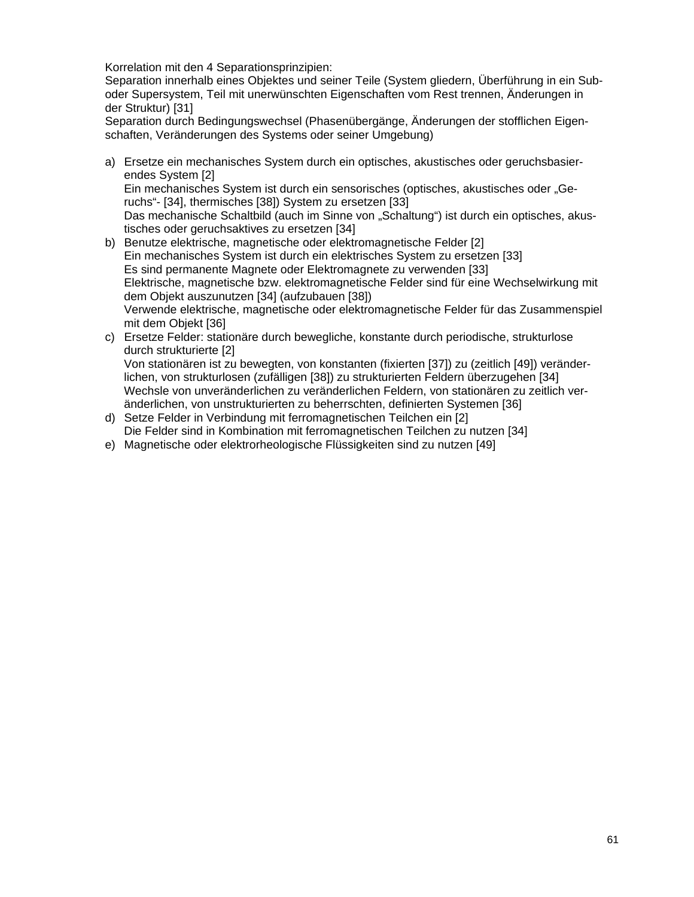Korrelation mit den 4 Separationsprinzipien:

Separation innerhalb eines Objektes und seiner Teile (System gliedern, Überführung in ein Suboder Supersystem, Teil mit unerwünschten Eigenschaften vom Rest trennen, Änderungen in der Struktur) [31]

Separation durch Bedingungswechsel (Phasenübergänge, Änderungen der stofflichen Eigenschaften, Veränderungen des Systems oder seiner Umgebung)

- a) Ersetze ein mechanisches System durch ein optisches, akustisches oder geruchsbasierendes System [2] Ein mechanisches System ist durch ein sensorisches (optisches, akustisches oder "Geruchs"- [34], thermisches [38]) System zu ersetzen [33] Das mechanische Schaltbild (auch im Sinne von "Schaltung") ist durch ein optisches, akustisches oder geruchsaktives zu ersetzen [34]
- b) Benutze elektrische, magnetische oder elektromagnetische Felder [2] Ein mechanisches System ist durch ein elektrisches System zu ersetzen [33] Es sind permanente Magnete oder Elektromagnete zu verwenden [33] Elektrische, magnetische bzw. elektromagnetische Felder sind für eine Wechselwirkung mit dem Objekt auszunutzen [34] (aufzubauen [38]) Verwende elektrische, magnetische oder elektromagnetische Felder für das Zusammenspiel mit dem Objekt [36]
- c) Ersetze Felder: stationäre durch bewegliche, konstante durch periodische, strukturlose durch strukturierte [2] Von stationären ist zu bewegten, von konstanten (fixierten [37]) zu (zeitlich [49]) veränderlichen, von strukturlosen (zufälligen [38]) zu strukturierten Feldern überzugehen [34] Wechsle von unveränderlichen zu veränderlichen Feldern, von stationären zu zeitlich veränderlichen, von unstrukturierten zu beherrschten, definierten Systemen [36]
- d) Setze Felder in Verbindung mit ferromagnetischen Teilchen ein [2] Die Felder sind in Kombination mit ferromagnetischen Teilchen zu nutzen [34]
- e) Magnetische oder elektrorheologische Flüssigkeiten sind zu nutzen [49]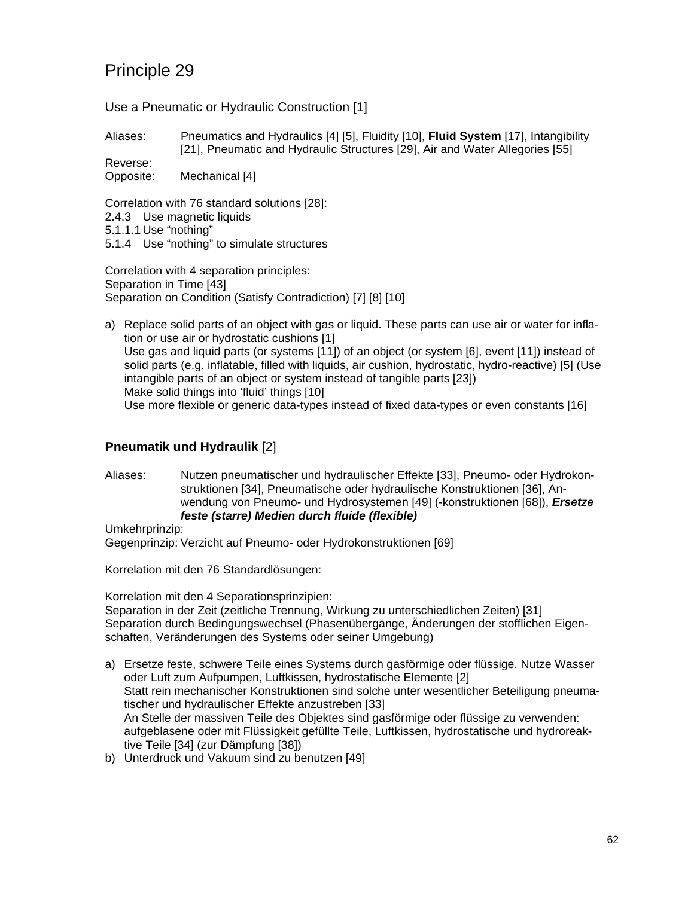Use a Pneumatic or Hydraulic Construction [1]

Aliases: Pneumatics and Hydraulics [4] [5], Fluidity [10], **Fluid System** [17], Intangibility [21], Pneumatic and Hydraulic Structures [29], Air and Water Allegories [55]

Reverse: Opposite: Mechanical [4]

Correlation with 76 standard solutions [28]:

- 2.4.3 Use magnetic liquids
- 5.1.1.1 Use "nothing"
- 5.1.4 Use "nothing" to simulate structures

Correlation with 4 separation principles: Separation in Time [43] Separation on Condition (Satisfy Contradiction) [7] [8] [10]

a) Replace solid parts of an object with gas or liquid. These parts can use air or water for inflation or use air or hydrostatic cushions [1] Use gas and liquid parts (or systems [11]) of an object (or system [6], event [11]) instead of solid parts (e.g. inflatable, filled with liquids, air cushion, hydrostatic, hydro-reactive) [5] (Use intangible parts of an object or system instead of tangible parts [23]) Make solid things into 'fluid' things [10] Use more flexible or generic data-types instead of fixed data-types or even constants [16]

#### **Pneumatik und Hydraulik** [2]

Aliases: Nutzen pneumatischer und hydraulischer Effekte [33], Pneumo- oder Hydrokonstruktionen [34], Pneumatische oder hydraulische Konstruktionen [36], Anwendung von Pneumo- und Hydrosystemen [49] (-konstruktionen [68]), *Ersetze feste (starre) Medien durch fluide (flexible)*

Umkehrprinzip:

Gegenprinzip: Verzicht auf Pneumo- oder Hydrokonstruktionen [69]

Korrelation mit den 76 Standardlösungen:

Korrelation mit den 4 Separationsprinzipien: Separation in der Zeit (zeitliche Trennung, Wirkung zu unterschiedlichen Zeiten) [31] Separation durch Bedingungswechsel (Phasenübergänge, Änderungen der stofflichen Eigenschaften, Veränderungen des Systems oder seiner Umgebung)

- a) Ersetze feste, schwere Teile eines Systems durch gasförmige oder flüssige. Nutze Wasser oder Luft zum Aufpumpen, Luftkissen, hydrostatische Elemente [2] Statt rein mechanischer Konstruktionen sind solche unter wesentlicher Beteiligung pneumatischer und hydraulischer Effekte anzustreben [33] An Stelle der massiven Teile des Objektes sind gasförmige oder flüssige zu verwenden: aufgeblasene oder mit Flüssigkeit gefüllte Teile, Luftkissen, hydrostatische und hydroreaktive Teile [34] (zur Dämpfung [38])
- b) Unterdruck und Vakuum sind zu benutzen [49]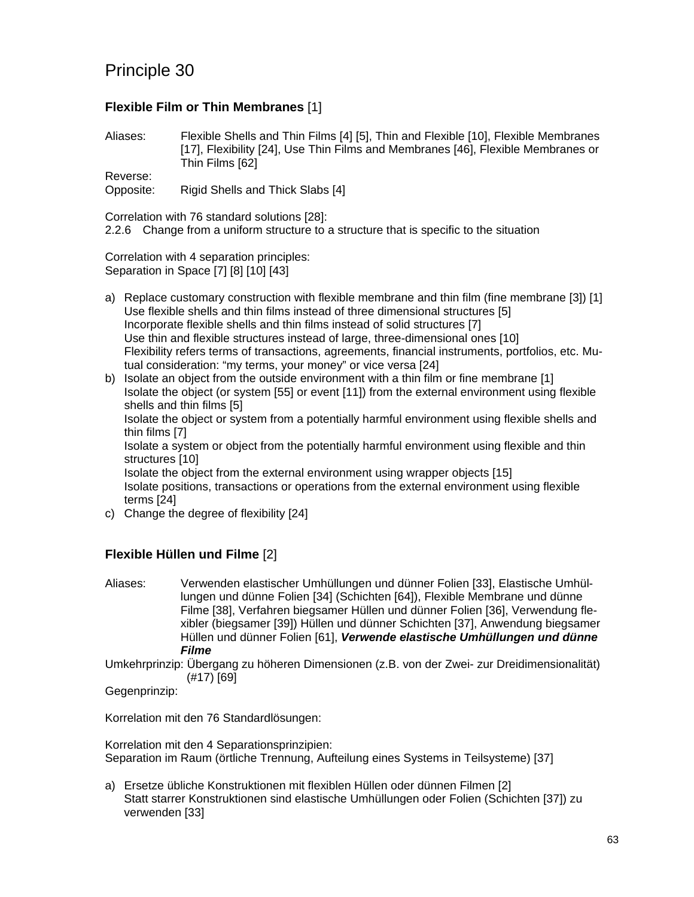### **Flexible Film or Thin Membranes** [1]

Aliases: Flexible Shells and Thin Films [4] [5], Thin and Flexible [10], Flexible Membranes [17], Flexibility [24], Use Thin Films and Membranes [46], Flexible Membranes or Thin Films [62]

Reverse:

Opposite: Rigid Shells and Thick Slabs [4]

Correlation with 76 standard solutions [28]:

2.2.6 Change from a uniform structure to a structure that is specific to the situation

Correlation with 4 separation principles: Separation in Space [7] [8] [10] [43]

- a) Replace customary construction with flexible membrane and thin film (fine membrane [3]) [1] Use flexible shells and thin films instead of three dimensional structures [5] Incorporate flexible shells and thin films instead of solid structures [7] Use thin and flexible structures instead of large, three-dimensional ones [10] Flexibility refers terms of transactions, agreements, financial instruments, portfolios, etc. Mutual consideration: "my terms, your money" or vice versa [24]
- b) Isolate an object from the outside environment with a thin film or fine membrane [1] Isolate the object (or system [55] or event [11]) from the external environment using flexible shells and thin films [5] Isolate the object or system from a potentially harmful environment using flexible shells and thin films [7] Isolate a system or object from the potentially harmful environment using flexible and thin structures [10] Isolate the object from the external environment using wrapper objects [15] Isolate positions, transactions or operations from the external environment using flexible terms [24]
- c) Change the degree of flexibility [24]

### **Flexible Hüllen und Filme** [2]

Aliases: Verwenden elastischer Umhüllungen und dünner Folien [33], Elastische Umhüllungen und dünne Folien [34] (Schichten [64]), Flexible Membrane und dünne Filme [38], Verfahren biegsamer Hüllen und dünner Folien [36], Verwendung flexibler (biegsamer [39]) Hüllen und dünner Schichten [37], Anwendung biegsamer Hüllen und dünner Folien [61], *Verwende elastische Umhüllungen und dünne Filme*

Umkehrprinzip: Übergang zu höheren Dimensionen (z.B. von der Zwei- zur Dreidimensionalität) (#17) [69]

Gegenprinzip:

Korrelation mit den 76 Standardlösungen:

Korrelation mit den 4 Separationsprinzipien: Separation im Raum (örtliche Trennung, Aufteilung eines Systems in Teilsysteme) [37]

a) Ersetze übliche Konstruktionen mit flexiblen Hüllen oder dünnen Filmen [2] Statt starrer Konstruktionen sind elastische Umhüllungen oder Folien (Schichten [37]) zu verwenden [33]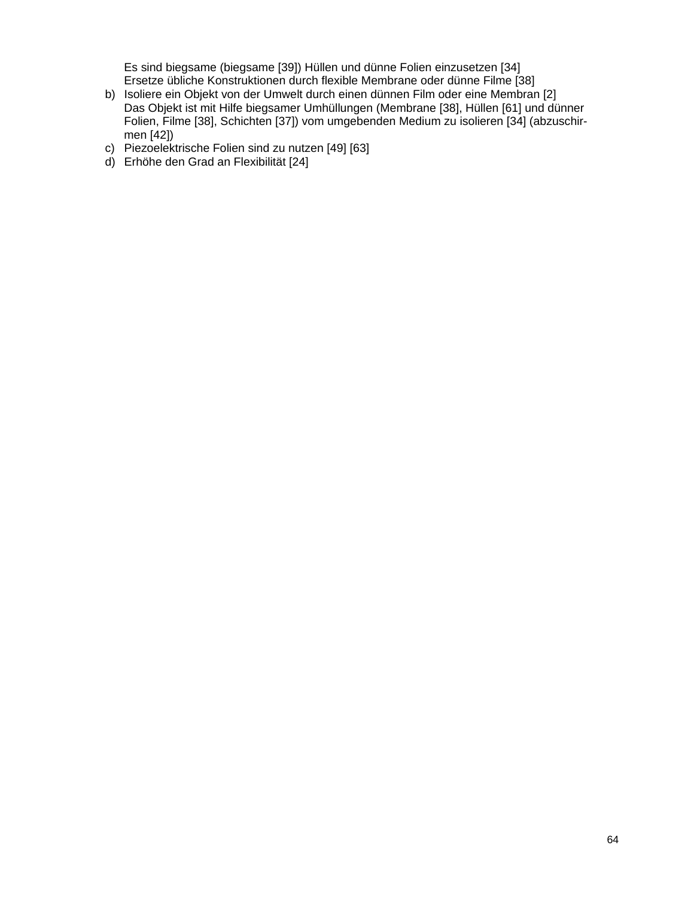Es sind biegsame (biegsame [39]) Hüllen und dünne Folien einzusetzen [34] Ersetze übliche Konstruktionen durch flexible Membrane oder dünne Filme [38]

- b) Isoliere ein Objekt von der Umwelt durch einen dünnen Film oder eine Membran [2] Das Objekt ist mit Hilfe biegsamer Umhüllungen (Membrane [38], Hüllen [61] und dünner Folien, Filme [38], Schichten [37]) vom umgebenden Medium zu isolieren [34] (abzuschirmen [42])
- c) Piezoelektrische Folien sind zu nutzen [49] [63]
- d) Erhöhe den Grad an Flexibilität [24]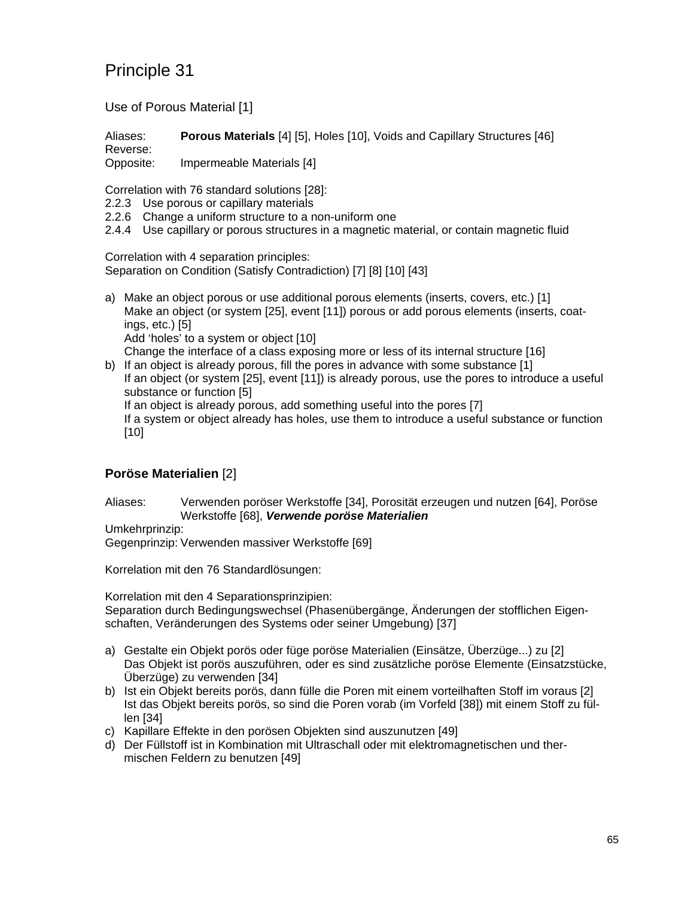Use of Porous Material [1]

Aliases: **Porous Materials** [4] [5], Holes [10], Voids and Capillary Structures [46] Reverse:

Opposite: Impermeable Materials [4]

Correlation with 76 standard solutions [28]:

- 2.2.3 Use porous or capillary materials
- 2.2.6 Change a uniform structure to a non-uniform one
- 2.4.4 Use capillary or porous structures in a magnetic material, or contain magnetic fluid

Correlation with 4 separation principles: Separation on Condition (Satisfy Contradiction) [7] [8] [10] [43]

- a) Make an object porous or use additional porous elements (inserts, covers, etc.) [1] Make an object (or system [25], event [11]) porous or add porous elements (inserts, coatings, etc.) [5] Add 'holes' to a system or object [10] Change the interface of a class exposing more or less of its internal structure [16]
- b) If an object is already porous, fill the pores in advance with some substance [1] If an object (or system [25], event [11]) is already porous, use the pores to introduce a useful substance or function [5] If an object is already porous, add something useful into the pores [7] If a system or object already has holes, use them to introduce a useful substance or function [10]

### **Poröse Materialien** [2]

Aliases: Verwenden poröser Werkstoffe [34], Porosität erzeugen und nutzen [64], Poröse Werkstoffe [68], *Verwende poröse Materialien*

Umkehrprinzip:

Gegenprinzip: Verwenden massiver Werkstoffe [69]

Korrelation mit den 76 Standardlösungen:

Korrelation mit den 4 Separationsprinzipien: Separation durch Bedingungswechsel (Phasenübergänge, Änderungen der stofflichen Eigenschaften, Veränderungen des Systems oder seiner Umgebung) [37]

- a) Gestalte ein Objekt porös oder füge poröse Materialien (Einsätze, Überzüge...) zu [2] Das Objekt ist porös auszuführen, oder es sind zusätzliche poröse Elemente (Einsatzstücke, Überzüge) zu verwenden [34]
- b) Ist ein Objekt bereits porös, dann fülle die Poren mit einem vorteilhaften Stoff im voraus [2] Ist das Objekt bereits porös, so sind die Poren vorab (im Vorfeld [38]) mit einem Stoff zu füllen [34]
- c) Kapillare Effekte in den porösen Objekten sind auszunutzen [49]
- d) Der Füllstoff ist in Kombination mit Ultraschall oder mit elektromagnetischen und thermischen Feldern zu benutzen [49]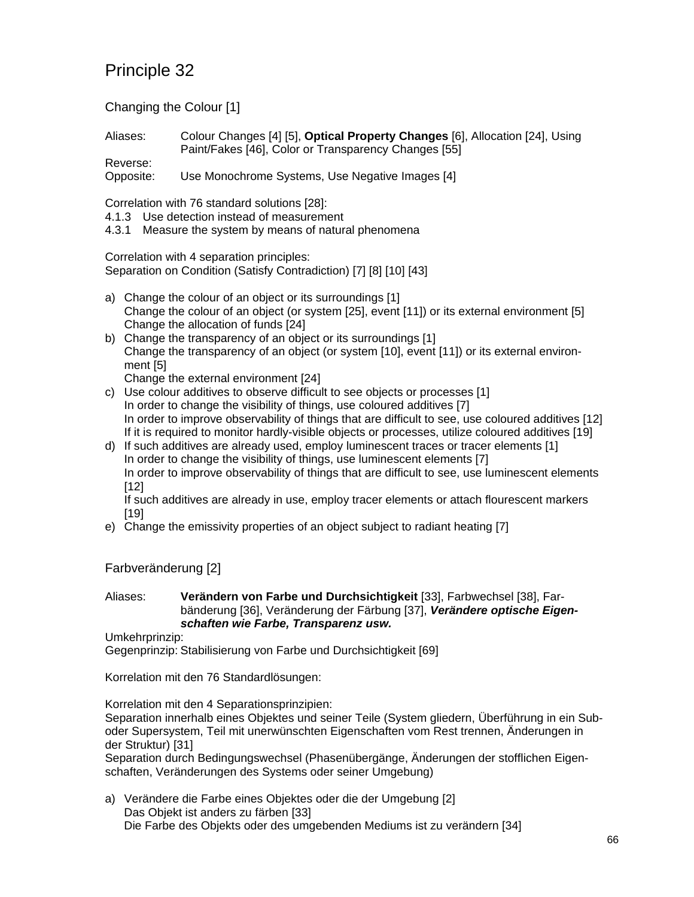Changing the Colour [1]

Aliases: Colour Changes [4] [5], **Optical Property Changes** [6], Allocation [24], Using Paint/Fakes [46], Color or Transparency Changes [55]

Reverse: Opposite: Use Monochrome Systems, Use Negative Images [4]

Correlation with 76 standard solutions [28]:

- 4.1.3 Use detection instead of measurement
- 4.3.1 Measure the system by means of natural phenomena

Correlation with 4 separation principles:

Separation on Condition (Satisfy Contradiction) [7] [8] [10] [43]

- a) Change the colour of an object or its surroundings [1] Change the colour of an object (or system [25], event [11]) or its external environment [5] Change the allocation of funds [24]
- b) Change the transparency of an object or its surroundings [1] Change the transparency of an object (or system [10], event [11]) or its external environment [5]

Change the external environment [24]

- c) Use colour additives to observe difficult to see objects or processes [1] In order to change the visibility of things, use coloured additives [7] In order to improve observability of things that are difficult to see, use coloured additives [12] If it is required to monitor hardly-visible objects or processes, utilize coloured additives [19]
- d) If such additives are already used, employ luminescent traces or tracer elements [1] In order to change the visibility of things, use luminescent elements [7] In order to improve observability of things that are difficult to see, use luminescent elements [12]

If such additives are already in use, employ tracer elements or attach flourescent markers [19]

e) Change the emissivity properties of an object subject to radiant heating [7]

Farbveränderung [2]

#### Aliases: **Verändern von Farbe und Durchsichtigkeit** [33], Farbwechsel [38], Farbänderung [36], Veränderung der Färbung [37], *Verändere optische Eigenschaften wie Farbe, Transparenz usw.*

Umkehrprinzip:

Gegenprinzip: Stabilisierung von Farbe und Durchsichtigkeit [69]

Korrelation mit den 76 Standardlösungen:

Korrelation mit den 4 Separationsprinzipien:

Separation innerhalb eines Objektes und seiner Teile (System gliedern, Überführung in ein Suboder Supersystem, Teil mit unerwünschten Eigenschaften vom Rest trennen, Änderungen in der Struktur) [31]

Separation durch Bedingungswechsel (Phasenübergänge, Änderungen der stofflichen Eigenschaften, Veränderungen des Systems oder seiner Umgebung)

a) Verändere die Farbe eines Objektes oder die der Umgebung [2] Das Objekt ist anders zu färben [33] Die Farbe des Objekts oder des umgebenden Mediums ist zu verändern [34]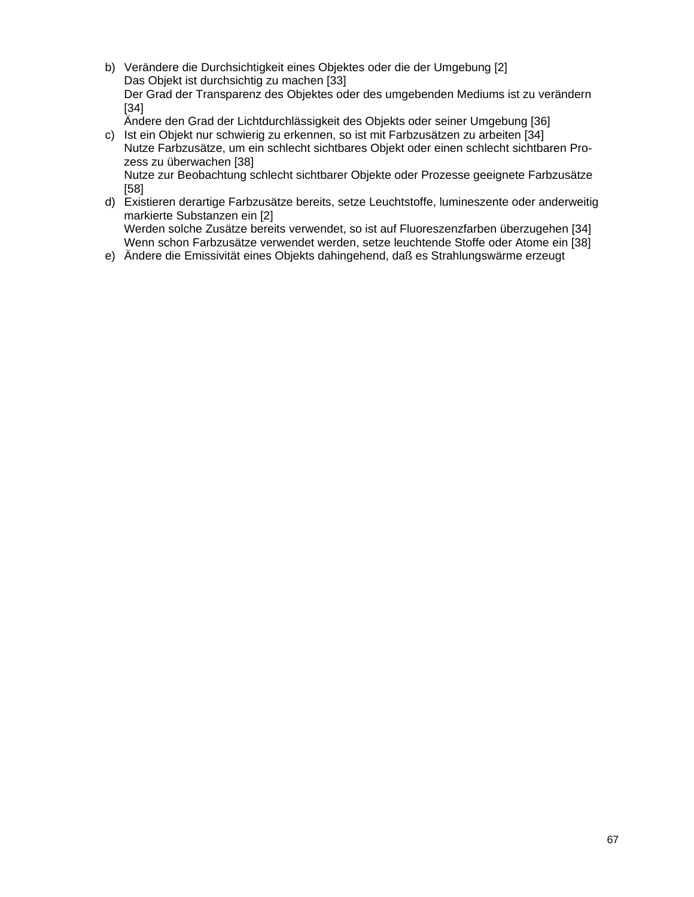b) Verändere die Durchsichtigkeit eines Objektes oder die der Umgebung [2] Das Objekt ist durchsichtig zu machen [33] Der Grad der Transparenz des Objektes oder des umgebenden Mediums ist zu verändern [34]

Ändere den Grad der Lichtdurchlässigkeit des Objekts oder seiner Umgebung [36]

- c) Ist ein Objekt nur schwierig zu erkennen, so ist mit Farbzusätzen zu arbeiten [34] Nutze Farbzusätze, um ein schlecht sichtbares Objekt oder einen schlecht sichtbaren Prozess zu überwachen [38] Nutze zur Beobachtung schlecht sichtbarer Objekte oder Prozesse geeignete Farbzusätze [58]
- d) Existieren derartige Farbzusätze bereits, setze Leuchtstoffe, lumineszente oder anderweitig markierte Substanzen ein [2] Werden solche Zusätze bereits verwendet, so ist auf Fluoreszenzfarben überzugehen [34] Wenn schon Farbzusätze verwendet werden, setze leuchtende Stoffe oder Atome ein [38]
- e) Ändere die Emissivität eines Objekts dahingehend, daß es Strahlungswärme erzeugt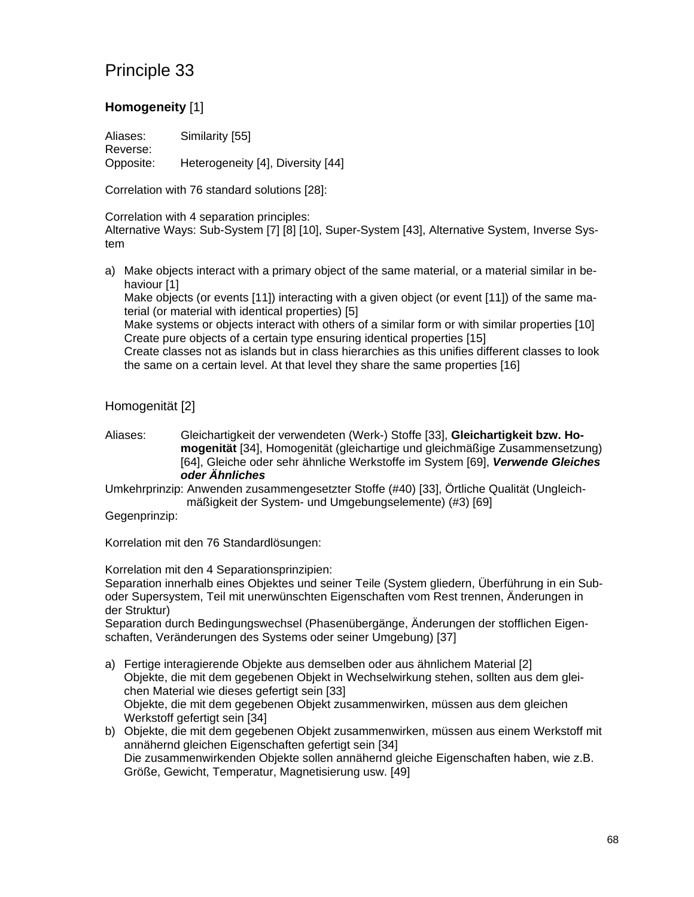### **Homogeneity** [1]

Aliases: Similarity [55] Reverse: Opposite: Heterogeneity [4], Diversity [44]

Correlation with 76 standard solutions [28]:

Correlation with 4 separation principles: Alternative Ways: Sub-System [7] [8] [10], Super-System [43], Alternative System, Inverse System

a) Make objects interact with a primary object of the same material, or a material similar in behaviour [1]

Make objects (or events [11]) interacting with a given object (or event [11]) of the same material (or material with identical properties) [5]

Make systems or objects interact with others of a similar form or with similar properties [10] Create pure objects of a certain type ensuring identical properties [15]

Create classes not as islands but in class hierarchies as this unifies different classes to look the same on a certain level. At that level they share the same properties [16]

#### Homogenität [2]

Aliases: Gleichartigkeit der verwendeten (Werk-) Stoffe [33], **Gleichartigkeit bzw. Homogenität** [34], Homogenität (gleichartige und gleichmäßige Zusammensetzung) [64], Gleiche oder sehr ähnliche Werkstoffe im System [69], *Verwende Gleiches oder Ähnliches*

Umkehrprinzip: Anwenden zusammengesetzter Stoffe (#40) [33], Örtliche Qualität (Ungleichmäßigkeit der System- und Umgebungselemente) (#3) [69]

Gegenprinzip:

Korrelation mit den 76 Standardlösungen:

Korrelation mit den 4 Separationsprinzipien:

Separation innerhalb eines Objektes und seiner Teile (System gliedern, Überführung in ein Suboder Supersystem, Teil mit unerwünschten Eigenschaften vom Rest trennen, Änderungen in der Struktur)

Separation durch Bedingungswechsel (Phasenübergänge, Änderungen der stofflichen Eigenschaften, Veränderungen des Systems oder seiner Umgebung) [37]

- a) Fertige interagierende Objekte aus demselben oder aus ähnlichem Material [2] Objekte, die mit dem gegebenen Objekt in Wechselwirkung stehen, sollten aus dem gleichen Material wie dieses gefertigt sein [33] Objekte, die mit dem gegebenen Objekt zusammenwirken, müssen aus dem gleichen Werkstoff gefertigt sein [34]
- b) Objekte, die mit dem gegebenen Objekt zusammenwirken, müssen aus einem Werkstoff mit annähernd gleichen Eigenschaften gefertigt sein [34] Die zusammenwirkenden Objekte sollen annähernd gleiche Eigenschaften haben, wie z.B. Größe, Gewicht, Temperatur, Magnetisierung usw. [49]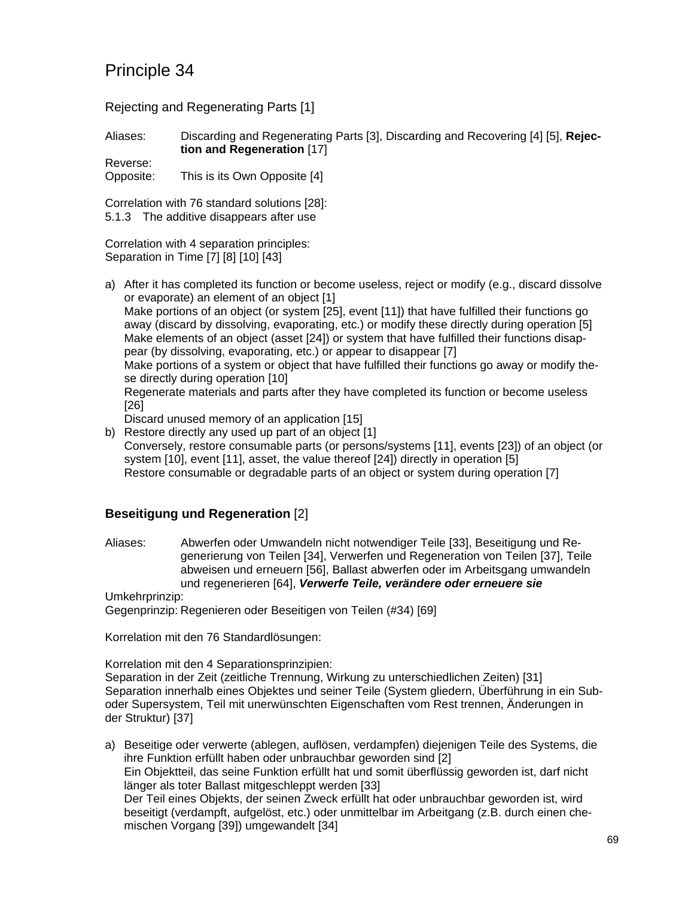Rejecting and Regenerating Parts [1]

Aliases: Discarding and Regenerating Parts [3], Discarding and Recovering [4] [5], **Rejection and Regeneration** [17]

Reverse: Opposite: This is its Own Opposite [4]

Correlation with 76 standard solutions [28]: 5.1.3 The additive disappears after use

Correlation with 4 separation principles: Separation in Time [7] [8] [10] [43]

a) After it has completed its function or become useless, reject or modify (e.g., discard dissolve or evaporate) an element of an object [1] Make portions of an object (or system [25], event [11]) that have fulfilled their functions go away (discard by dissolving, evaporating, etc.) or modify these directly during operation [5] Make elements of an object (asset [24]) or system that have fulfilled their functions disappear (by dissolving, evaporating, etc.) or appear to disappear [7] Make portions of a system or object that have fulfilled their functions go away or modify these directly during operation [10] Regenerate materials and parts after they have completed its function or become useless [26]

Discard unused memory of an application [15]

b) Restore directly any used up part of an object [1] Conversely, restore consumable parts (or persons/systems [11], events [23]) of an object (or system [10], event [11], asset, the value thereof [24]) directly in operation [5] Restore consumable or degradable parts of an object or system during operation [7]

### **Beseitigung und Regeneration** [2]

Aliases: Abwerfen oder Umwandeln nicht notwendiger Teile [33], Beseitigung und Regenerierung von Teilen [34], Verwerfen und Regeneration von Teilen [37], Teile abweisen und erneuern [56], Ballast abwerfen oder im Arbeitsgang umwandeln und regenerieren [64], *Verwerfe Teile, verändere oder erneuere sie*

Umkehrprinzip: Gegenprinzip: Regenieren oder Beseitigen von Teilen (#34) [69]

Korrelation mit den 76 Standardlösungen:

Korrelation mit den 4 Separationsprinzipien:

Separation in der Zeit (zeitliche Trennung, Wirkung zu unterschiedlichen Zeiten) [31] Separation innerhalb eines Objektes und seiner Teile (System gliedern, Überführung in ein Suboder Supersystem, Teil mit unerwünschten Eigenschaften vom Rest trennen, Änderungen in der Struktur) [37]

a) Beseitige oder verwerte (ablegen, auflösen, verdampfen) diejenigen Teile des Systems, die ihre Funktion erfüllt haben oder unbrauchbar geworden sind [2] Ein Objektteil, das seine Funktion erfüllt hat und somit überflüssig geworden ist, darf nicht länger als toter Ballast mitgeschleppt werden [33] Der Teil eines Objekts, der seinen Zweck erfüllt hat oder unbrauchbar geworden ist, wird beseitigt (verdampft, aufgelöst, etc.) oder unmittelbar im Arbeitgang (z.B. durch einen chemischen Vorgang [39]) umgewandelt [34]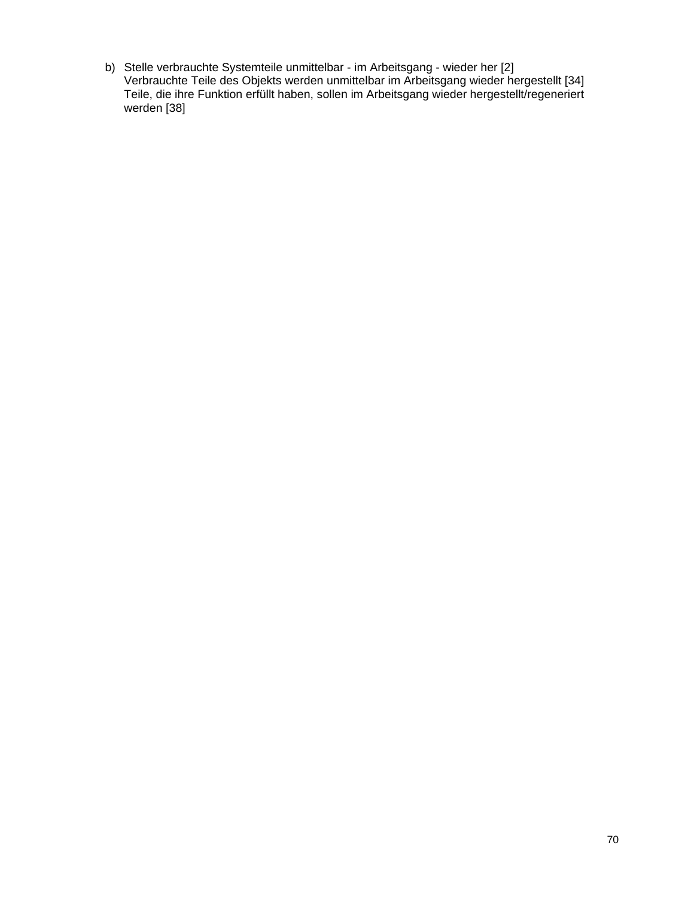b) Stelle verbrauchte Systemteile unmittelbar - im Arbeitsgang - wieder her [2] Verbrauchte Teile des Objekts werden unmittelbar im Arbeitsgang wieder hergestellt [34] Teile, die ihre Funktion erfüllt haben, sollen im Arbeitsgang wieder hergestellt/regeneriert werden [38]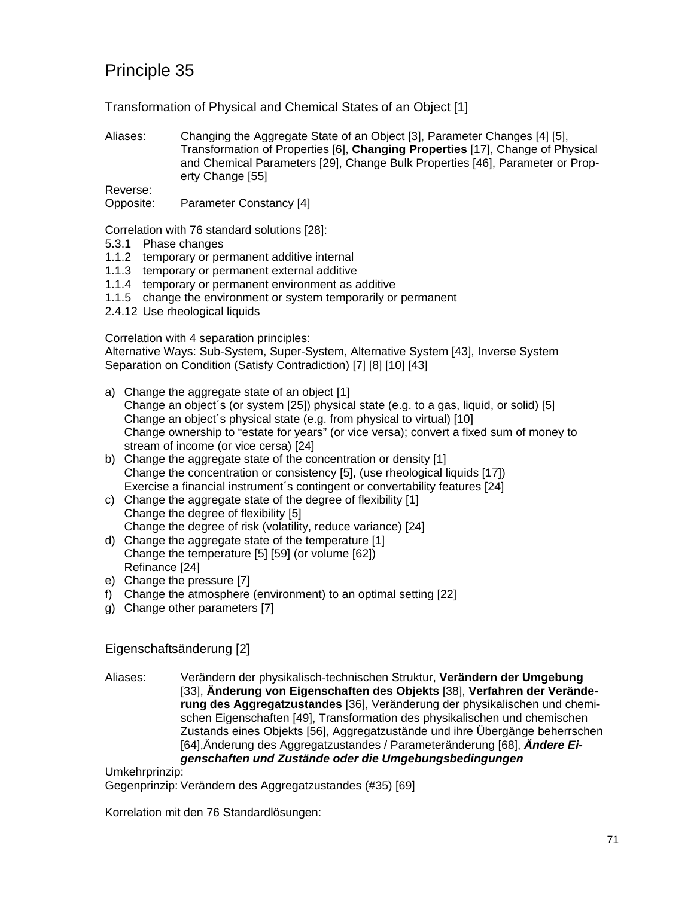Transformation of Physical and Chemical States of an Object [1]

Aliases: Changing the Aggregate State of an Object [3], Parameter Changes [4] [5], Transformation of Properties [6], **Changing Properties** [17], Change of Physical and Chemical Parameters [29], Change Bulk Properties [46], Parameter or Property Change [55]

Reverse:

Opposite: Parameter Constancy [4]

Correlation with 76 standard solutions [28]:

- 5.3.1 Phase changes
- 1.1.2 temporary or permanent additive internal
- 1.1.3 temporary or permanent external additive
- 1.1.4 temporary or permanent environment as additive
- 1.1.5 change the environment or system temporarily or permanent
- 2.4.12 Use rheological liquids

Correlation with 4 separation principles:

Alternative Ways: Sub-System, Super-System, Alternative System [43], Inverse System Separation on Condition (Satisfy Contradiction) [7] [8] [10] [43]

- a) Change the aggregate state of an object [1] Change an object´s (or system [25]) physical state (e.g. to a gas, liquid, or solid) [5] Change an object´s physical state (e.g. from physical to virtual) [10] Change ownership to "estate for years" (or vice versa); convert a fixed sum of money to stream of income (or vice cersa) [24]
- b) Change the aggregate state of the concentration or density [1] Change the concentration or consistency [5], (use rheological liquids [17]) Exercise a financial instrument´s contingent or convertability features [24]
- c) Change the aggregate state of the degree of flexibility [1] Change the degree of flexibility [5] Change the degree of risk (volatility, reduce variance) [24]
- d) Change the aggregate state of the temperature [1] Change the temperature [5] [59] (or volume [62]) Refinance [24]
- e) Change the pressure [7]
- f) Change the atmosphere (environment) to an optimal setting [22]
- g) Change other parameters [7]

Eigenschaftsänderung [2]

Aliases: Verändern der physikalisch-technischen Struktur, **Verändern der Umgebung** [33], **Änderung von Eigenschaften des Objekts** [38], **Verfahren der Veränderung des Aggregatzustandes** [36], Veränderung der physikalischen und chemischen Eigenschaften [49], Transformation des physikalischen und chemischen Zustands eines Objekts [56], Aggregatzustände und ihre Übergänge beherrschen [64],Änderung des Aggregatzustandes / Parameteränderung [68], *Ändere Eigenschaften und Zustände oder die Umgebungsbedingungen*

Umkehrprinzip:

Gegenprinzip: Verändern des Aggregatzustandes (#35) [69]

Korrelation mit den 76 Standardlösungen: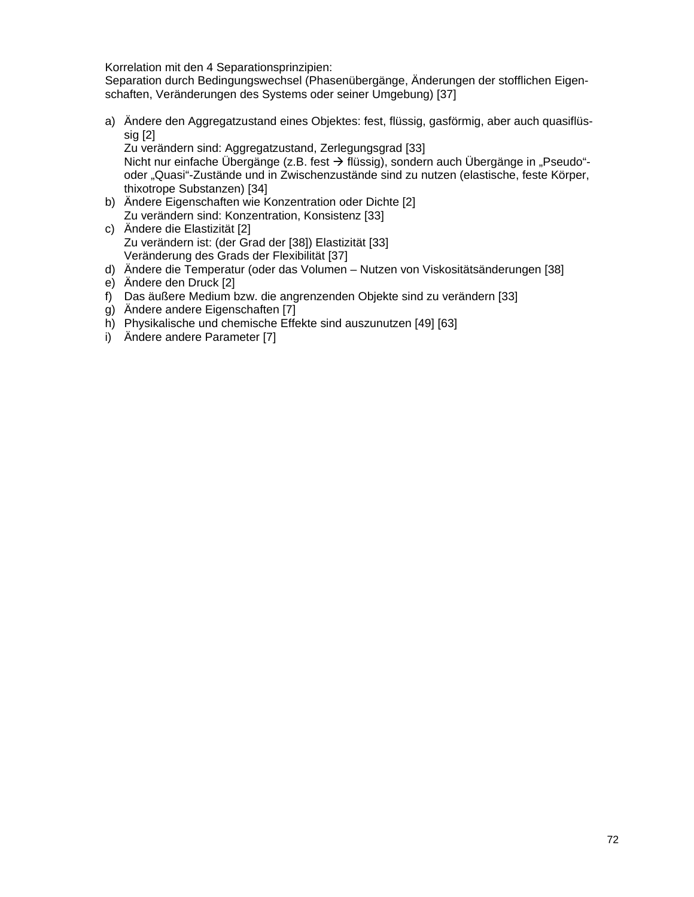Korrelation mit den 4 Separationsprinzipien:

Separation durch Bedingungswechsel (Phasenübergänge, Änderungen der stofflichen Eigenschaften, Veränderungen des Systems oder seiner Umgebung) [37]

a) Ändere den Aggregatzustand eines Objektes: fest, flüssig, gasförmig, aber auch quasiflüssig [2]

Zu verändern sind: Aggregatzustand, Zerlegungsgrad [33] Nicht nur einfache Übergänge (z.B. fest  $\rightarrow$  flüssig), sondern auch Übergänge in "Pseudo"oder "Quasi"-Zustände und in Zwischenzustände sind zu nutzen (elastische, feste Körper, thixotrope Substanzen) [34]

- b) Ändere Eigenschaften wie Konzentration oder Dichte [2] Zu verändern sind: Konzentration, Konsistenz [33]
- c) Ändere die Elastizität [2] Zu verändern ist: (der Grad der [38]) Elastizität [33] Veränderung des Grads der Flexibilität [37]
- d) Ändere die Temperatur (oder das Volumen Nutzen von Viskositätsänderungen [38]
- e) Ändere den Druck [2]
- f) Das äußere Medium bzw. die angrenzenden Objekte sind zu verändern [33]
- g) Ändere andere Eigenschaften [7]
- h) Physikalische und chemische Effekte sind auszunutzen [49] [63]
- i) Ändere andere Parameter [7]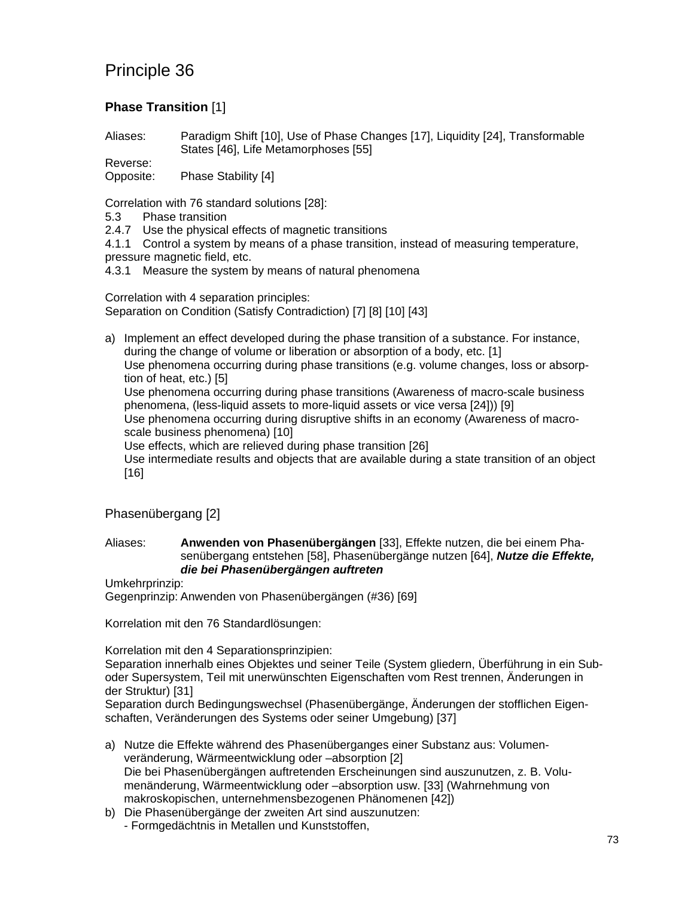## **Phase Transition** [1]

Aliases: Paradigm Shift [10], Use of Phase Changes [17], Liquidity [24], Transformable States [46], Life Metamorphoses [55]

Reverse: Opposite: Phase Stability [4]

Correlation with 76 standard solutions [28]:

- 5.3 Phase transition
- 2.4.7 Use the physical effects of magnetic transitions
- 4.1.1 Control a system by means of a phase transition, instead of measuring temperature, pressure magnetic field, etc.
- 4.3.1 Measure the system by means of natural phenomena

Correlation with 4 separation principles: Separation on Condition (Satisfy Contradiction) [7] [8] [10] [43]

a) Implement an effect developed during the phase transition of a substance. For instance, during the change of volume or liberation or absorption of a body, etc. [1] Use phenomena occurring during phase transitions (e.g. volume changes, loss or absorption of heat, etc.) [5] Use phenomena occurring during phase transitions (Awareness of macro-scale business phenomena, (less-liquid assets to more-liquid assets or vice versa [24])) [9] Use phenomena occurring during disruptive shifts in an economy (Awareness of macroscale business phenomena) [10] Use effects, which are relieved during phase transition [26] Use intermediate results and objects that are available during a state transition of an object [16]

Phasenübergang [2]

Aliases: **Anwenden von Phasenübergängen** [33], Effekte nutzen, die bei einem Phasenübergang entstehen [58], Phasenübergänge nutzen [64], *Nutze die Effekte, die bei Phasenübergängen auftreten*

Umkehrprinzip:

Gegenprinzip: Anwenden von Phasenübergängen (#36) [69]

Korrelation mit den 76 Standardlösungen:

Korrelation mit den 4 Separationsprinzipien:

Separation innerhalb eines Objektes und seiner Teile (System gliedern, Überführung in ein Suboder Supersystem, Teil mit unerwünschten Eigenschaften vom Rest trennen, Änderungen in der Struktur) [31]

Separation durch Bedingungswechsel (Phasenübergänge, Änderungen der stofflichen Eigenschaften, Veränderungen des Systems oder seiner Umgebung) [37]

- a) Nutze die Effekte während des Phasenüberganges einer Substanz aus: Volumenveränderung, Wärmeentwicklung oder –absorption [2] Die bei Phasenübergängen auftretenden Erscheinungen sind auszunutzen, z. B. Volumenänderung, Wärmeentwicklung oder –absorption usw. [33] (Wahrnehmung von makroskopischen, unternehmensbezogenen Phänomenen [42])
- b) Die Phasenübergänge der zweiten Art sind auszunutzen: - Formgedächtnis in Metallen und Kunststoffen,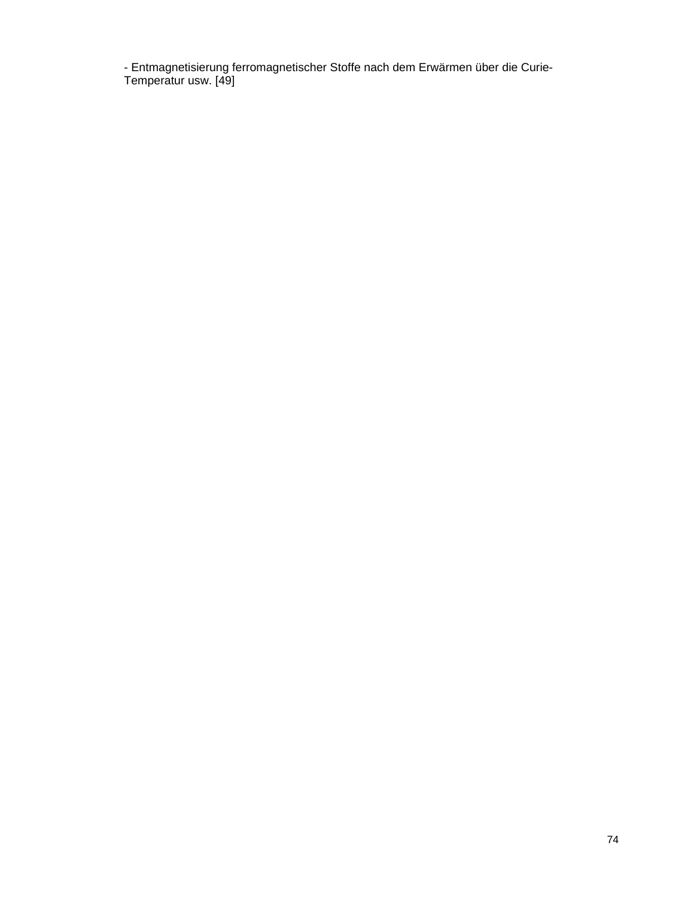- Entmagnetisierung ferromagnetischer Stoffe nach dem Erwärmen über die Curie-Temperatur usw. [49]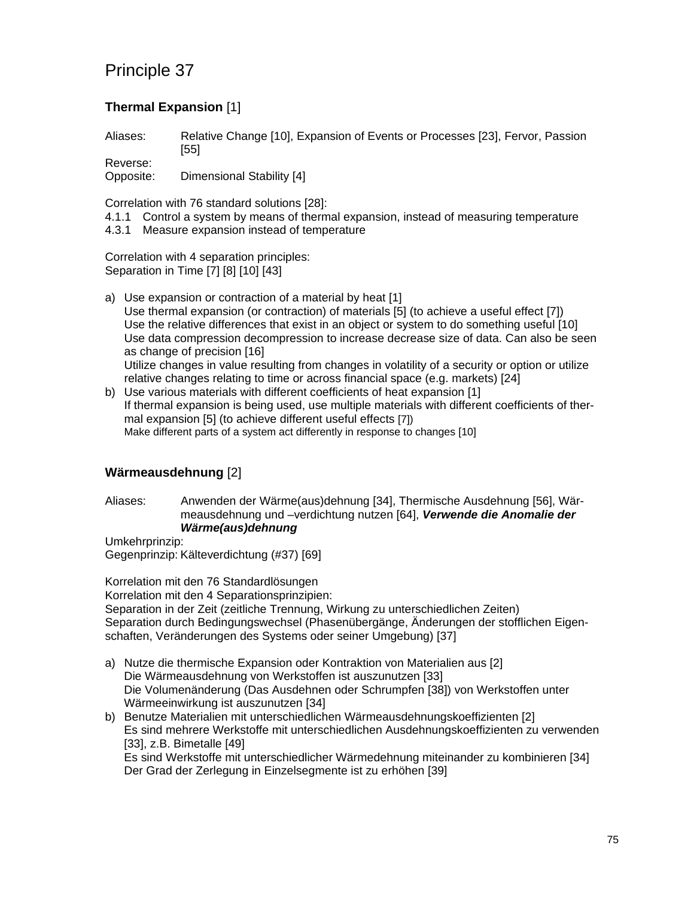## **Thermal Expansion** [1]

Aliases: Relative Change [10], Expansion of Events or Processes [23], Fervor, Passion [55]

Reverse: Opposite: Dimensional Stability [4]

Correlation with 76 standard solutions [28]:

- 4.1.1 Control a system by means of thermal expansion, instead of measuring temperature
- 4.3.1 Measure expansion instead of temperature

Correlation with 4 separation principles: Separation in Time [7] [8] [10] [43]

- a) Use expansion or contraction of a material by heat [1] Use thermal expansion (or contraction) of materials [5] (to achieve a useful effect [7]) Use the relative differences that exist in an object or system to do something useful [10] Use data compression decompression to increase decrease size of data. Can also be seen as change of precision [16] Utilize changes in value resulting from changes in volatility of a security or option or utilize relative changes relating to time or across financial space (e.g. markets) [24]
- b) Use various materials with different coefficients of heat expansion [1] If thermal expansion is being used, use multiple materials with different coefficients of thermal expansion [5] (to achieve different useful effects [7]) Make different parts of a system act differently in response to changes [10]

### **Wärmeausdehnung** [2]

Aliases: Anwenden der Wärme(aus)dehnung [34], Thermische Ausdehnung [56], Wärmeausdehnung und –verdichtung nutzen [64], *Verwende die Anomalie der Wärme(aus)dehnung*

Umkehrprinzip: Gegenprinzip: Kälteverdichtung (#37) [69]

Korrelation mit den 76 Standardlösungen Korrelation mit den 4 Separationsprinzipien: Separation in der Zeit (zeitliche Trennung, Wirkung zu unterschiedlichen Zeiten) Separation durch Bedingungswechsel (Phasenübergänge, Änderungen der stofflichen Eigenschaften, Veränderungen des Systems oder seiner Umgebung) [37]

- a) Nutze die thermische Expansion oder Kontraktion von Materialien aus [2] Die Wärmeausdehnung von Werkstoffen ist auszunutzen [33] Die Volumenänderung (Das Ausdehnen oder Schrumpfen [38]) von Werkstoffen unter Wärmeeinwirkung ist auszunutzen [34]
- b) Benutze Materialien mit unterschiedlichen Wärmeausdehnungskoeffizienten [2] Es sind mehrere Werkstoffe mit unterschiedlichen Ausdehnungskoeffizienten zu verwenden [33], z.B. Bimetalle [49] Es sind Werkstoffe mit unterschiedlicher Wärmedehnung miteinander zu kombinieren [34] Der Grad der Zerlegung in Einzelsegmente ist zu erhöhen [39]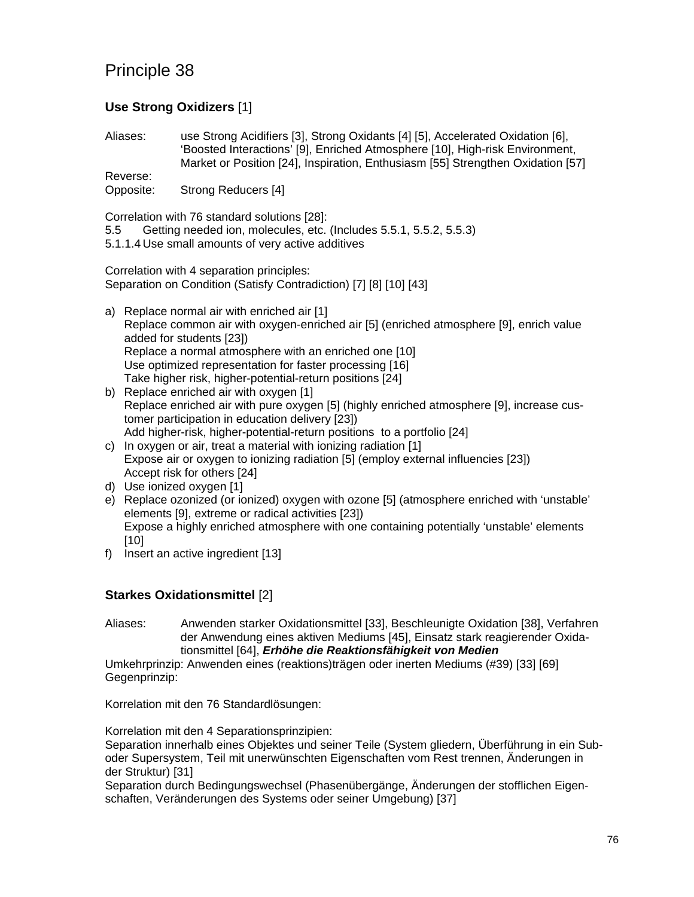## **Use Strong Oxidizers** [1]

Aliases: use Strong Acidifiers [3], Strong Oxidants [4] [5], Accelerated Oxidation [6], 'Boosted Interactions' [9], Enriched Atmosphere [10], High-risk Environment, Market or Position [24], Inspiration, Enthusiasm [55] Strengthen Oxidation [57] Reverse:

Opposite: Strong Reducers [4]

Correlation with 76 standard solutions [28]:

- 5.5 Getting needed ion, molecules, etc. (Includes 5.5.1, 5.5.2, 5.5.3)
- 5.1.1.4 Use small amounts of very active additives

Correlation with 4 separation principles: Separation on Condition (Satisfy Contradiction) [7] [8] [10] [43]

- a) Replace normal air with enriched air [1] Replace common air with oxygen-enriched air [5] (enriched atmosphere [9], enrich value added for students [23]) Replace a normal atmosphere with an enriched one [10] Use optimized representation for faster processing [16] Take higher risk, higher-potential-return positions [24]
- b) Replace enriched air with oxygen [1] Replace enriched air with pure oxygen [5] (highly enriched atmosphere [9], increase customer participation in education delivery [23]) Add higher-risk, higher-potential-return positions to a portfolio [24]
- c) In oxygen or air, treat a material with ionizing radiation [1] Expose air or oxygen to ionizing radiation [5] (employ external influencies [23]) Accept risk for others [24]
- d) Use ionized oxygen [1]
- e) Replace ozonized (or ionized) oxygen with ozone [5] (atmosphere enriched with 'unstable' elements [9], extreme or radical activities [23]) Expose a highly enriched atmosphere with one containing potentially 'unstable' elements [10]
- f) Insert an active ingredient [13]

#### **Starkes Oxidationsmittel** [2]

Aliases: Anwenden starker Oxidationsmittel [33], Beschleunigte Oxidation [38], Verfahren der Anwendung eines aktiven Mediums [45], Einsatz stark reagierender Oxidationsmittel [64], *Erhöhe die Reaktionsfähigkeit von Medien*

Umkehrprinzip: Anwenden eines (reaktions)trägen oder inerten Mediums (#39) [33] [69] Gegenprinzip:

Korrelation mit den 76 Standardlösungen:

Korrelation mit den 4 Separationsprinzipien:

Separation innerhalb eines Objektes und seiner Teile (System gliedern, Überführung in ein Suboder Supersystem, Teil mit unerwünschten Eigenschaften vom Rest trennen, Änderungen in der Struktur) [31]

Separation durch Bedingungswechsel (Phasenübergänge, Änderungen der stofflichen Eigenschaften, Veränderungen des Systems oder seiner Umgebung) [37]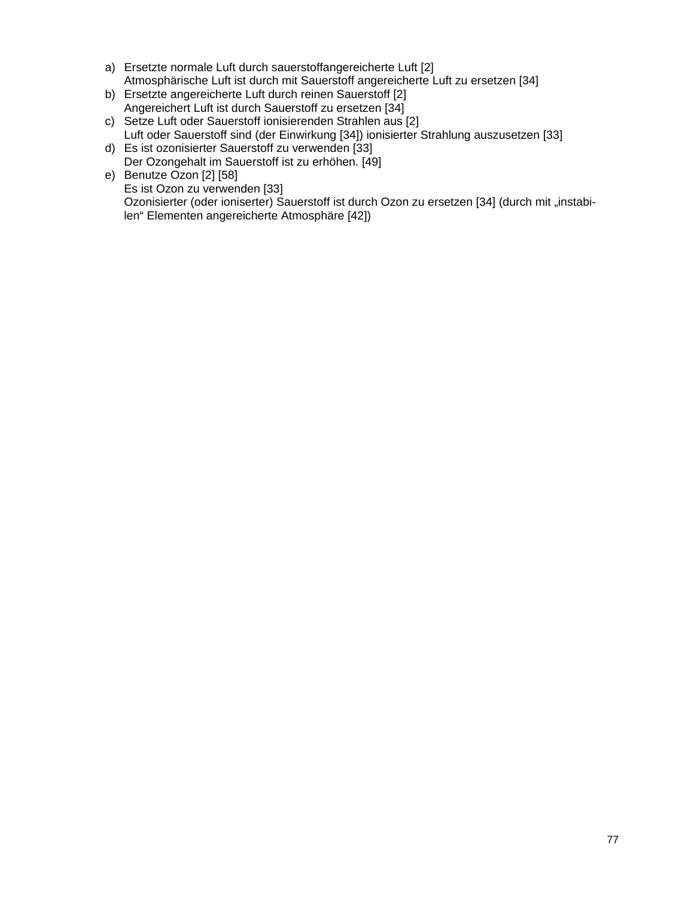- a) Ersetzte normale Luft durch sauerstoffangereicherte Luft [2] Atmosphärische Luft ist durch mit Sauerstoff angereicherte Luft zu ersetzen [34]
- b) Ersetzte angereicherte Luft durch reinen Sauerstoff [2] Angereichert Luft ist durch Sauerstoff zu ersetzen [34]
- c) Setze Luft oder Sauerstoff ionisierenden Strahlen aus [2] Luft oder Sauerstoff sind (der Einwirkung [34]) ionisierter Strahlung auszusetzen [33]
- d) Es ist ozonisierter Sauerstoff zu verwenden [33] Der Ozongehalt im Sauerstoff ist zu erhöhen. [49]
- e) Benutze Ozon [2] [58] Es ist Ozon zu verwenden [33] Ozonisierter (oder ioniserter) Sauerstoff ist durch Ozon zu ersetzen [34] (durch mit "instabilen" Elementen angereicherte Atmosphäre [42])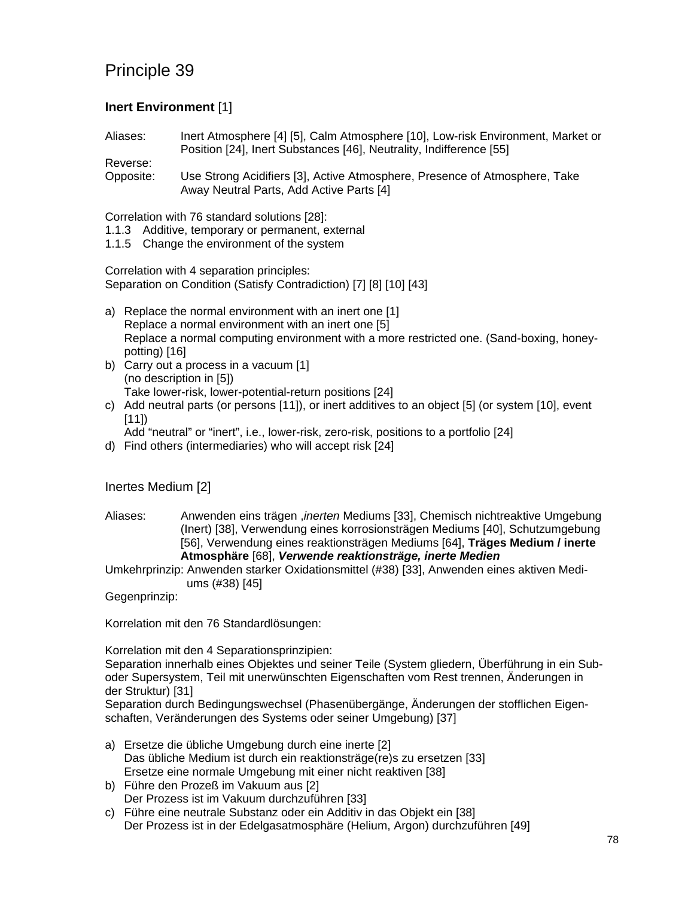### **Inert Environment** [1]

Aliases: Inert Atmosphere [4] [5], Calm Atmosphere [10], Low-risk Environment, Market or Position [24], Inert Substances [46], Neutrality, Indifference [55]

Reverse: Opposite: Use Strong Acidifiers [3], Active Atmosphere, Presence of Atmosphere, Take Away Neutral Parts, Add Active Parts [4]

Correlation with 76 standard solutions [28]:

- 1.1.3 Additive, temporary or permanent, external
- 1.1.5 Change the environment of the system

Correlation with 4 separation principles: Separation on Condition (Satisfy Contradiction) [7] [8] [10] [43]

- a) Replace the normal environment with an inert one [1] Replace a normal environment with an inert one [5] Replace a normal computing environment with a more restricted one. (Sand-boxing, honeypotting) [16]
- b) Carry out a process in a vacuum [1] (no description in [5]) Take lower-risk, lower-potential-return positions [24]
- c) Add neutral parts (or persons [11]), or inert additives to an object [5] (or system [10], event [11])

Add "neutral" or "inert", i.e., lower-risk, zero-risk, positions to a portfolio [24]

d) Find others (intermediaries) who will accept risk [24]

#### Inertes Medium [2]

Aliases: Anwenden eins trägen ,*inerten* Mediums [33], Chemisch nichtreaktive Umgebung (Inert) [38], Verwendung eines korrosionsträgen Mediums [40], Schutzumgebung [56], Verwendung eines reaktionsträgen Mediums [64], **Träges Medium / inerte Atmosphäre** [68], *Verwende reaktionsträge, inerte Medien*

Umkehrprinzip: Anwenden starker Oxidationsmittel (#38) [33], Anwenden eines aktiven Mediums (#38) [45]

Gegenprinzip:

Korrelation mit den 76 Standardlösungen:

Korrelation mit den 4 Separationsprinzipien:

Separation innerhalb eines Objektes und seiner Teile (System gliedern, Überführung in ein Suboder Supersystem, Teil mit unerwünschten Eigenschaften vom Rest trennen, Änderungen in der Struktur) [31]

Separation durch Bedingungswechsel (Phasenübergänge, Änderungen der stofflichen Eigenschaften, Veränderungen des Systems oder seiner Umgebung) [37]

- a) Ersetze die übliche Umgebung durch eine inerte [2] Das übliche Medium ist durch ein reaktionsträge(re)s zu ersetzen [33] Ersetze eine normale Umgebung mit einer nicht reaktiven [38]
- b) Führe den Prozeß im Vakuum aus [2] Der Prozess ist im Vakuum durchzuführen [33]
- c) Führe eine neutrale Substanz oder ein Additiv in das Objekt ein [38] Der Prozess ist in der Edelgasatmosphäre (Helium, Argon) durchzuführen [49]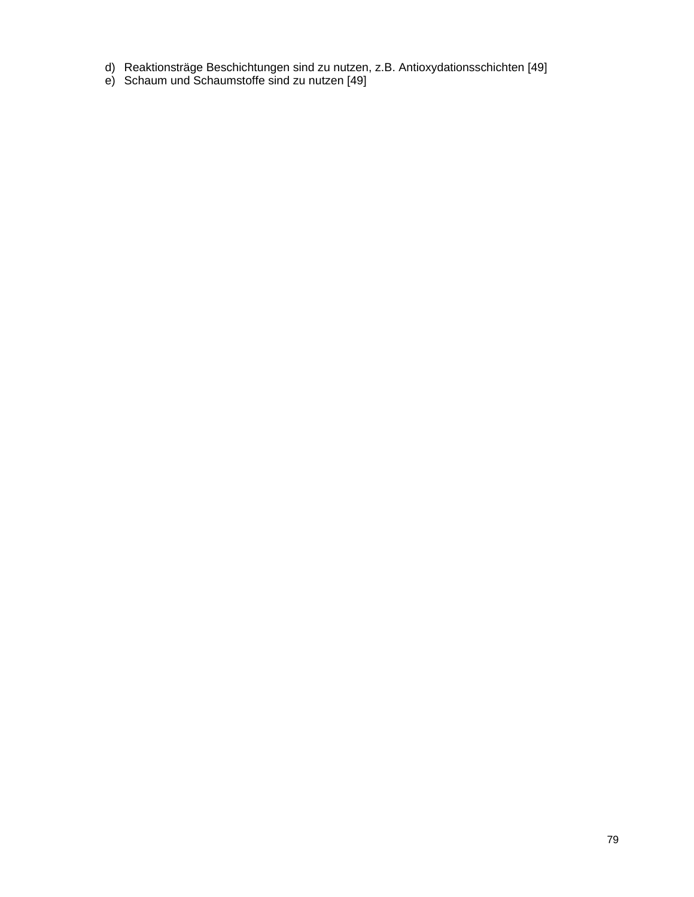- d) Reaktionsträge Beschichtungen sind zu nutzen, z.B. Antioxydationsschichten [49]
- e) Schaum und Schaumstoffe sind zu nutzen [49]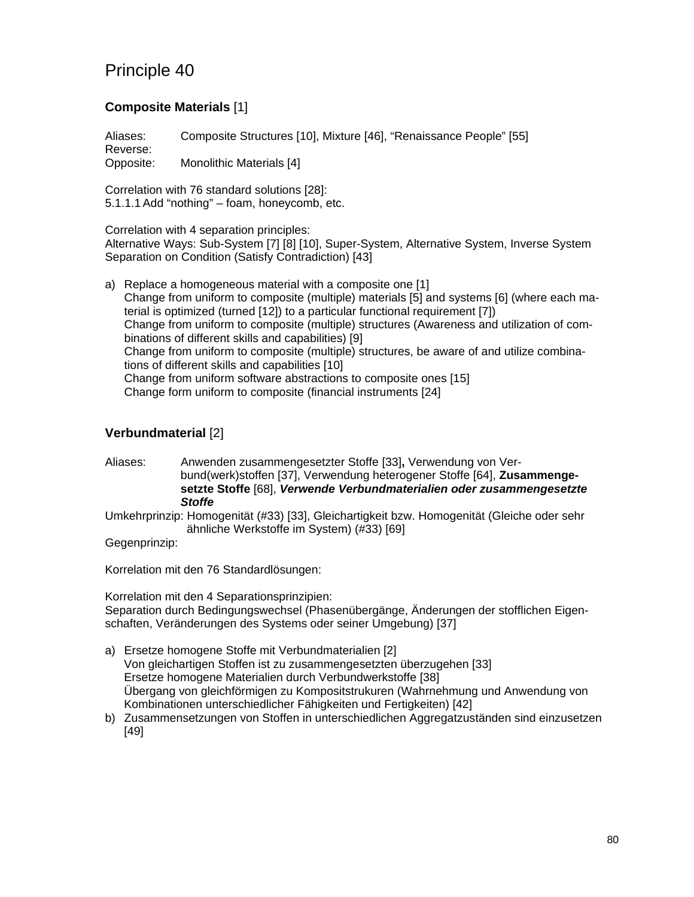### **Composite Materials** [1]

Aliases: Composite Structures [10], Mixture [46], "Renaissance People" [55] Reverse:

Opposite: Monolithic Materials [4]

Correlation with 76 standard solutions [28]: 5.1.1.1 Add "nothing" – foam, honeycomb, etc.

Correlation with 4 separation principles:

Alternative Ways: Sub-System [7] [8] [10], Super-System, Alternative System, Inverse System Separation on Condition (Satisfy Contradiction) [43]

a) Replace a homogeneous material with a composite one [1] Change from uniform to composite (multiple) materials [5] and systems [6] (where each material is optimized (turned [12]) to a particular functional requirement [7]) Change from uniform to composite (multiple) structures (Awareness and utilization of combinations of different skills and capabilities) [9] Change from uniform to composite (multiple) structures, be aware of and utilize combinations of different skills and capabilities [10] Change from uniform software abstractions to composite ones [15] Change form uniform to composite (financial instruments [24]

## **Verbundmaterial** [2]

Aliases: Anwenden zusammengesetzter Stoffe [33]**,** Verwendung von Verbund(werk)stoffen [37], Verwendung heterogener Stoffe [64], **Zusammengesetzte Stoffe** [68], *Verwende Verbundmaterialien oder zusammengesetzte Stoffe*

Umkehrprinzip: Homogenität (#33) [33], Gleichartigkeit bzw. Homogenität (Gleiche oder sehr ähnliche Werkstoffe im System) (#33) [69]

Gegenprinzip:

Korrelation mit den 76 Standardlösungen:

Korrelation mit den 4 Separationsprinzipien: Separation durch Bedingungswechsel (Phasenübergänge, Änderungen der stofflichen Eigenschaften, Veränderungen des Systems oder seiner Umgebung) [37]

- a) Ersetze homogene Stoffe mit Verbundmaterialien [2] Von gleichartigen Stoffen ist zu zusammengesetzten überzugehen [33] Ersetze homogene Materialien durch Verbundwerkstoffe [38] Übergang von gleichförmigen zu Kompositstrukuren (Wahrnehmung und Anwendung von Kombinationen unterschiedlicher Fähigkeiten und Fertigkeiten) [42]
- b) Zusammensetzungen von Stoffen in unterschiedlichen Aggregatzuständen sind einzusetzen [49]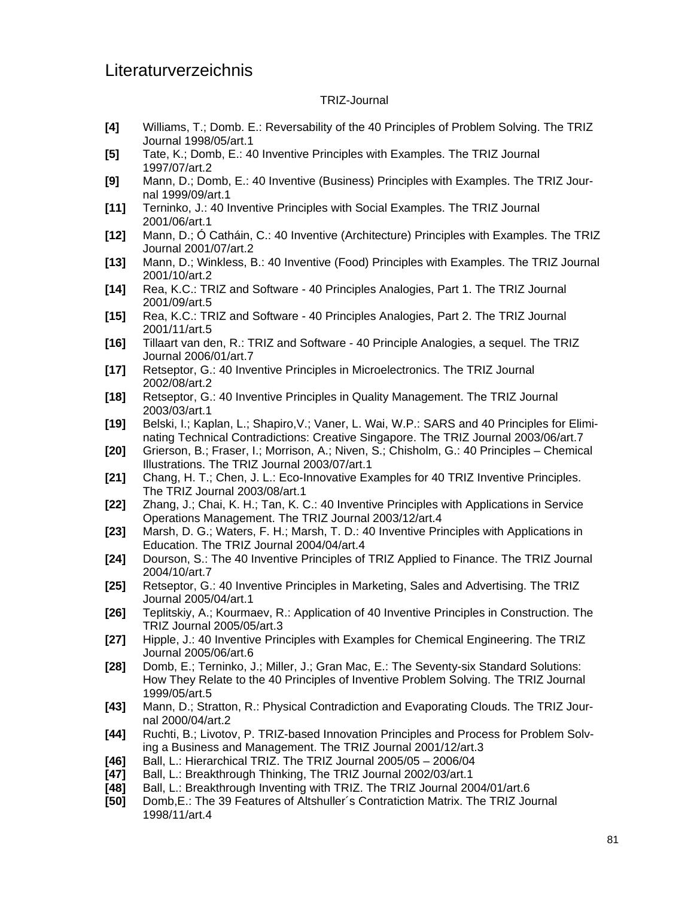# Literaturverzeichnis

#### TRIZ-Journal

- **[4]** Williams, T.; Domb. E.: Reversability of the 40 Principles of Problem Solving. The TRIZ Journal 1998/05/art.1
- **[5]** Tate, K.; Domb, E.: 40 Inventive Principles with Examples. The TRIZ Journal 1997/07/art.2
- **[9]** Mann, D.; Domb, E.: 40 Inventive (Business) Principles with Examples. The TRIZ Journal 1999/09/art.1
- **[11]** Terninko, J.: 40 Inventive Principles with Social Examples. The TRIZ Journal 2001/06/art.1
- **[12]** Mann, D.; Ó Catháin, C.: 40 Inventive (Architecture) Principles with Examples. The TRIZ Journal 2001/07/art.2
- **[13]** Mann, D.; Winkless, B.: 40 Inventive (Food) Principles with Examples. The TRIZ Journal 2001/10/art.2
- **[14]** Rea, K.C.: TRIZ and Software 40 Principles Analogies, Part 1. The TRIZ Journal 2001/09/art.5
- **[15]** Rea, K.C.: TRIZ and Software 40 Principles Analogies, Part 2. The TRIZ Journal 2001/11/art.5
- **[16]** Tillaart van den, R.: TRIZ and Software 40 Principle Analogies, a sequel. The TRIZ Journal 2006/01/art.7
- **[17]** Retseptor, G.: 40 Inventive Principles in Microelectronics. The TRIZ Journal 2002/08/art.2
- **[18]** Retseptor, G.: 40 Inventive Principles in Quality Management. The TRIZ Journal 2003/03/art.1
- **[19]** Belski, I.; Kaplan, L.; Shapiro,V.; Vaner, L. Wai, W.P.: SARS and 40 Principles for Eliminating Technical Contradictions: Creative Singapore. The TRIZ Journal 2003/06/art.7
- **[20]** Grierson, B.; Fraser, I.; Morrison, A.; Niven, S.; Chisholm, G.: 40 Principles Chemical Illustrations. The TRIZ Journal 2003/07/art.1
- **[21]** Chang, H. T.; Chen, J. L.: Eco-Innovative Examples for 40 TRIZ Inventive Principles. The TRIZ Journal 2003/08/art.1
- **[22]** Zhang, J.; Chai, K. H.; Tan, K. C.: 40 Inventive Principles with Applications in Service Operations Management. The TRIZ Journal 2003/12/art.4
- **[23]** Marsh, D. G.; Waters, F. H.; Marsh, T. D.: 40 Inventive Principles with Applications in Education. The TRIZ Journal 2004/04/art.4
- **[24]** Dourson, S.: The 40 Inventive Principles of TRIZ Applied to Finance. The TRIZ Journal 2004/10/art.7
- **[25]** Retseptor, G.: 40 Inventive Principles in Marketing, Sales and Advertising. The TRIZ Journal 2005/04/art.1
- **[26]** Teplitskiy, A.; Kourmaev, R.: Application of 40 Inventive Principles in Construction. The TRIZ Journal 2005/05/art.3
- **[27]** Hipple, J.: 40 Inventive Principles with Examples for Chemical Engineering. The TRIZ Journal 2005/06/art.6
- **[28]** Domb, E.; Terninko, J.; Miller, J.; Gran Mac, E.: The Seventy-six Standard Solutions: How They Relate to the 40 Principles of Inventive Problem Solving. The TRIZ Journal 1999/05/art.5
- **[43]** Mann, D.; Stratton, R.: Physical Contradiction and Evaporating Clouds. The TRIZ Journal 2000/04/art.2
- **[44]** Ruchti, B.; Livotov, P. TRIZ-based Innovation Principles and Process for Problem Solving a Business and Management. The TRIZ Journal 2001/12/art.3
- **[46]** Ball, L.: Hierarchical TRIZ. The TRIZ Journal 2005/05 2006/04
- **[47]** Ball, L.: Breakthrough Thinking, The TRIZ Journal 2002/03/art.1
- **[48]** Ball, L.: Breakthrough Inventing with TRIZ. The TRIZ Journal 2004/01/art.6
- **[50]** Domb,E.: The 39 Features of Altshuller´s Contratiction Matrix. The TRIZ Journal 1998/11/art.4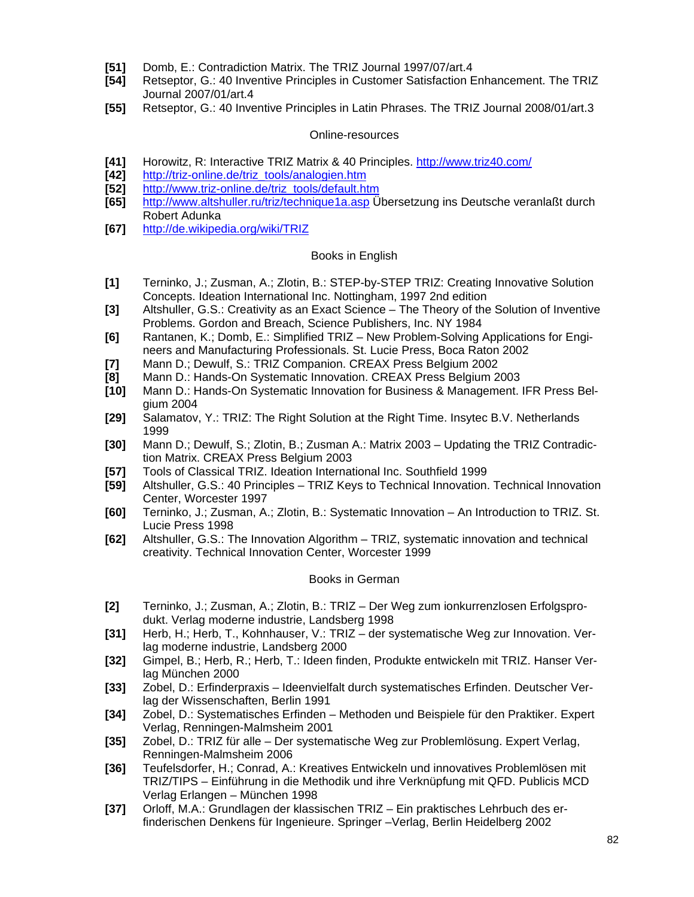- **[51]** Domb, E.: Contradiction Matrix. The TRIZ Journal 1997/07/art.4
- **[54]** Retseptor, G.: 40 Inventive Principles in Customer Satisfaction Enhancement. The TRIZ Journal 2007/01/art.4
- **[55]** Retseptor, G.: 40 Inventive Principles in Latin Phrases. The TRIZ Journal 2008/01/art.3

#### Online-resources

- **[41]** Horowitz, R: Interactive TRIZ Matrix & 40 Principles. http://www.triz40.com/
- **[42]** http://triz-online.de/triz\_tools/analogien.htm
- **[52]** http://www.triz-online.de/triz\_tools/default.htm
- **[65]** http://www.altshuller.ru/triz/technique1a.asp Übersetzung ins Deutsche veranlaßt durch Robert Adunka
- **[67]** http://de.wikipedia.org/wiki/TRIZ

#### Books in English

- **[1]** Terninko, J.; Zusman, A.; Zlotin, B.: STEP-by-STEP TRIZ: Creating Innovative Solution Concepts. Ideation International Inc. Nottingham, 1997 2nd edition
- **[3]** Altshuller, G.S.: Creativity as an Exact Science The Theory of the Solution of Inventive Problems. Gordon and Breach, Science Publishers, Inc. NY 1984
- **[6]** Rantanen, K.; Domb, E.: Simplified TRIZ New Problem-Solving Applications for Engineers and Manufacturing Professionals. St. Lucie Press, Boca Raton 2002
- **[7]** Mann D.; Dewulf, S.: TRIZ Companion. CREAX Press Belgium 2002
- **[8]** Mann D.: Hands-On Systematic Innovation. CREAX Press Belgium 2003
- **[10]** Mann D.: Hands-On Systematic Innovation for Business & Management. IFR Press Belgium 2004
- **[29]** Salamatov, Y.: TRIZ: The Right Solution at the Right Time. Insytec B.V. Netherlands 1999
- **[30]** Mann D.; Dewulf, S.; Zlotin, B.; Zusman A.: Matrix 2003 Updating the TRIZ Contradiction Matrix. CREAX Press Belgium 2003
- **[57]** Tools of Classical TRIZ. Ideation International Inc. Southfield 1999
- **[59]** Altshuller, G.S.: 40 Principles TRIZ Keys to Technical Innovation. Technical Innovation Center, Worcester 1997
- **[60]** Terninko, J.; Zusman, A.; Zlotin, B.: Systematic Innovation An Introduction to TRIZ. St. Lucie Press 1998
- **[62]** Altshuller, G.S.: The Innovation Algorithm TRIZ, systematic innovation and technical creativity. Technical Innovation Center, Worcester 1999

#### Books in German

- **[2]** Terninko, J.; Zusman, A.; Zlotin, B.: TRIZ Der Weg zum ionkurrenzlosen Erfolgsprodukt. Verlag moderne industrie, Landsberg 1998
- **[31]** Herb, H.; Herb, T., Kohnhauser, V.: TRIZ der systematische Weg zur Innovation. Verlag moderne industrie, Landsberg 2000
- **[32]** Gimpel, B.; Herb, R.; Herb, T.: Ideen finden, Produkte entwickeln mit TRIZ. Hanser Verlag München 2000
- **[33]** Zobel, D.: Erfinderpraxis Ideenvielfalt durch systematisches Erfinden. Deutscher Verlag der Wissenschaften, Berlin 1991
- **[34]** Zobel, D.: Systematisches Erfinden Methoden und Beispiele für den Praktiker. Expert Verlag, Renningen-Malmsheim 2001
- **[35]** Zobel, D.: TRIZ für alle Der systematische Weg zur Problemlösung. Expert Verlag, Renningen-Malmsheim 2006
- **[36]** Teufelsdorfer, H.; Conrad, A.: Kreatives Entwickeln und innovatives Problemlösen mit TRIZ/TIPS – Einführung in die Methodik und ihre Verknüpfung mit QFD. Publicis MCD Verlag Erlangen – München 1998
- **[37]** Orloff, M.A.: Grundlagen der klassischen TRIZ Ein praktisches Lehrbuch des erfinderischen Denkens für Ingenieure. Springer –Verlag, Berlin Heidelberg 2002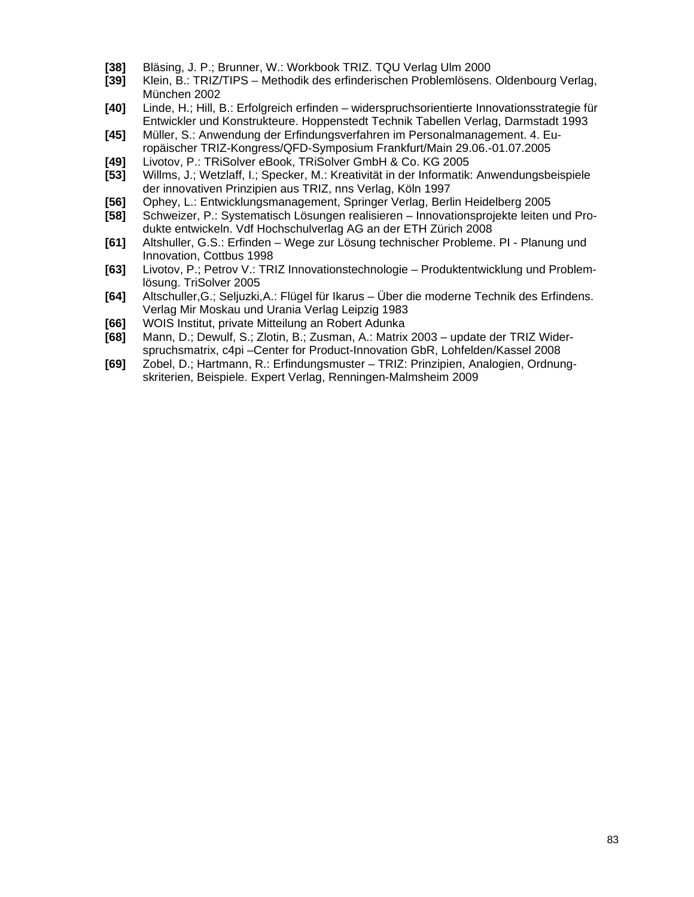- **[38]** Bläsing, J. P.; Brunner, W.: Workbook TRIZ. TQU Verlag Ulm 2000
- **[39]** Klein, B.: TRIZ/TIPS Methodik des erfinderischen Problemlösens. Oldenbourg Verlag, München 2002
- **[40]** Linde, H.; Hill, B.: Erfolgreich erfinden widerspruchsorientierte Innovationsstrategie für Entwickler und Konstrukteure. Hoppenstedt Technik Tabellen Verlag, Darmstadt 1993
- **[45]** Müller, S.: Anwendung der Erfindungsverfahren im Personalmanagement. 4. Europäischer TRIZ-Kongress/QFD-Symposium Frankfurt/Main 29.06.-01.07.2005
- **[49]** Livotov, P.: TRiSolver eBook, TRiSolver GmbH & Co. KG 2005
- **[53]** Willms, J.; Wetzlaff, I.; Specker, M.: Kreativität in der Informatik: Anwendungsbeispiele der innovativen Prinzipien aus TRIZ, nns Verlag, Köln 1997
- **[56]** Ophey, L.: Entwicklungsmanagement, Springer Verlag, Berlin Heidelberg 2005
- **[58]** Schweizer, P.: Systematisch Lösungen realisieren Innovationsprojekte leiten und Produkte entwickeln. Vdf Hochschulverlag AG an der ETH Zürich 2008
- **[61]** Altshuller, G.S.: Erfinden Wege zur Lösung technischer Probleme. PI Planung und Innovation, Cottbus 1998
- **[63]** Livotov, P.; Petrov V.: TRIZ Innovationstechnologie Produktentwicklung und Problemlösung. TriSolver 2005
- **[64]** Altschuller,G.; Seljuzki,A.: Flügel für Ikarus Über die moderne Technik des Erfindens. Verlag Mir Moskau und Urania Verlag Leipzig 1983
- **[66]** WOIS Institut, private Mitteilung an Robert Adunka
- **[68]** Mann, D.; Dewulf, S.; Zlotin, B.; Zusman, A.: Matrix 2003 update der TRIZ Widerspruchsmatrix, c4pi –Center for Product-Innovation GbR, Lohfelden/Kassel 2008
- **[69]** Zobel, D.; Hartmann, R.: Erfindungsmuster TRIZ: Prinzipien, Analogien, Ordnungskriterien, Beispiele. Expert Verlag, Renningen-Malmsheim 2009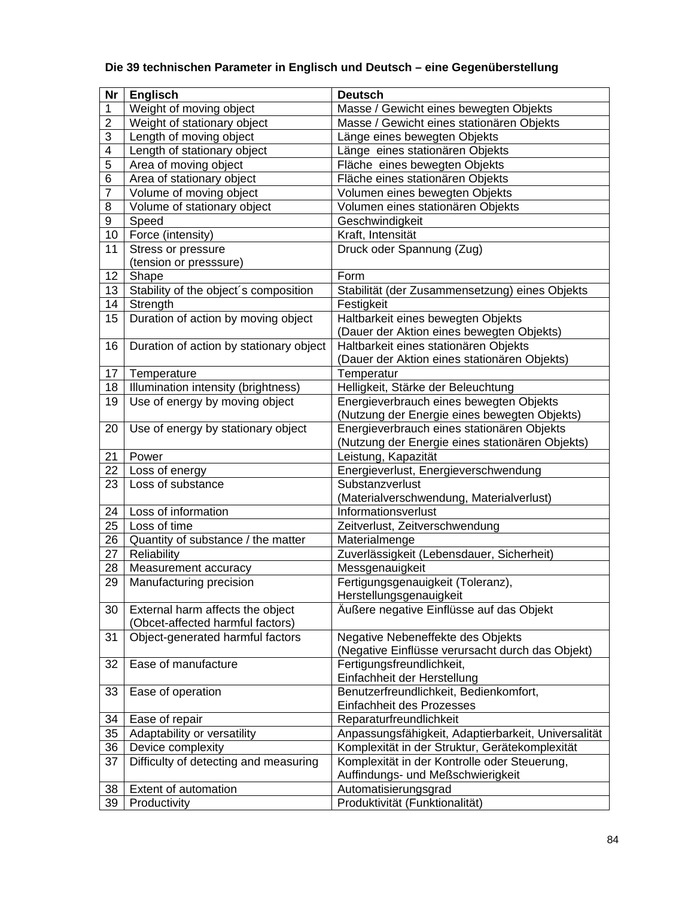## **Die 39 technischen Parameter in Englisch und Deutsch – eine Gegenüberstellung**

| Nr             | <b>Englisch</b>                         | <b>Deutsch</b>                                      |
|----------------|-----------------------------------------|-----------------------------------------------------|
| 1              | Weight of moving object                 | Masse / Gewicht eines bewegten Objekts              |
| $\overline{2}$ | Weight of stationary object             | Masse / Gewicht eines stationären Objekts           |
| 3              | Length of moving object                 | Länge eines bewegten Objekts                        |
| 4              | Length of stationary object             | Länge eines stationären Objekts                     |
| 5              | Area of moving object                   | Fläche eines bewegten Objekts                       |
| 6              | Area of stationary object               | Fläche eines stationären Objekts                    |
| 7              | Volume of moving object                 | Volumen eines bewegten Objekts                      |
| 8              | Volume of stationary object             | Volumen eines stationären Objekts                   |
| 9              | Speed                                   | Geschwindigkeit                                     |
| 10             | Force (intensity)                       | Kraft, Intensität                                   |
| 11             | Stress or pressure                      | Druck oder Spannung (Zug)                           |
|                | (tension or presssure)                  |                                                     |
| 12             | Shape                                   | Form                                                |
| 13             | Stability of the object's composition   | Stabilität (der Zusammensetzung) eines Objekts      |
| 14             | Strength                                | Festigkeit                                          |
| 15             | Duration of action by moving object     | Haltbarkeit eines bewegten Objekts                  |
|                |                                         | (Dauer der Aktion eines bewegten Objekts)           |
| 16             | Duration of action by stationary object | Haltbarkeit eines stationären Objekts               |
|                |                                         | (Dauer der Aktion eines stationären Objekts)        |
| 17             | Temperature                             | Temperatur                                          |
| 18             | Illumination intensity (brightness)     | Helligkeit, Stärke der Beleuchtung                  |
| 19             | Use of energy by moving object          | Energieverbrauch eines bewegten Objekts             |
|                |                                         | (Nutzung der Energie eines bewegten Objekts)        |
| 20             | Use of energy by stationary object      | Energieverbrauch eines stationären Objekts          |
|                |                                         | (Nutzung der Energie eines stationären Objekts)     |
| 21             | Power                                   | Leistung, Kapazität                                 |
| 22             | Loss of energy                          | Energieverlust, Energieverschwendung                |
| 23             | Loss of substance                       | Substanzverlust                                     |
|                |                                         | (Materialverschwendung, Materialverlust)            |
| 24             | Loss of information                     | Informationsverlust                                 |
| 25             | Loss of time                            | Zeitverlust, Zeitverschwendung                      |
| 26             | Quantity of substance / the matter      | Materialmenge                                       |
| 27             | Reliability                             | Zuverlässigkeit (Lebensdauer, Sicherheit)           |
| 28             | Measurement accuracy                    | Messgenauigkeit                                     |
| 29             | Manufacturing precision                 | Fertigungsgenauigkeit (Toleranz),                   |
|                |                                         | Herstellungsgenauigkeit                             |
| 30             | External harm affects the object        | Äußere negative Einflüsse auf das Objekt            |
|                | (Obcet-affected harmful factors)        |                                                     |
| 31             | Object-generated harmful factors        | Negative Nebeneffekte des Objekts                   |
|                |                                         | (Negative Einflüsse verursacht durch das Objekt)    |
| 32             | Ease of manufacture                     | Fertigungsfreundlichkeit,                           |
|                |                                         | Einfachheit der Herstellung                         |
| 33             | Ease of operation                       | Benutzerfreundlichkeit, Bedienkomfort,              |
|                |                                         | Einfachheit des Prozesses                           |
| 34             | Ease of repair                          | Reparaturfreundlichkeit                             |
| 35             | Adaptability or versatility             | Anpassungsfähigkeit, Adaptierbarkeit, Universalität |
| 36             | Device complexity                       | Komplexität in der Struktur, Gerätekomplexität      |
| 37             | Difficulty of detecting and measuring   | Komplexität in der Kontrolle oder Steuerung,        |
|                |                                         | Auffindungs- und Meßschwierigkeit                   |
| 38             | Extent of automation                    | Automatisierungsgrad                                |
| 39             | Productivity                            | Produktivität (Funktionalität)                      |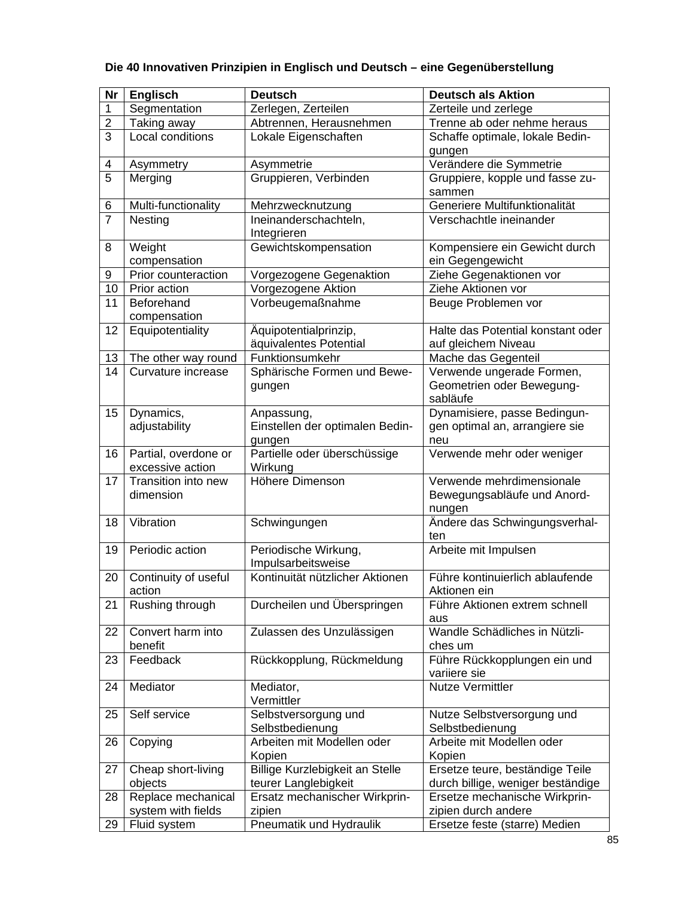## **Die 40 Innovativen Prinzipien in Englisch und Deutsch – eine Gegenüberstellung**

| <b>Nr</b>      | <b>Englisch</b>      | <b>Deutsch</b>                  | <b>Deutsch als Aktion</b>         |
|----------------|----------------------|---------------------------------|-----------------------------------|
| 1              | Segmentation         | Zerlegen, Zerteilen             | Zerteile und zerlege              |
| $\overline{2}$ | Taking away          | Abtrennen, Herausnehmen         | Trenne ab oder nehme heraus       |
| 3              | Local conditions     | Lokale Eigenschaften            | Schaffe optimale, lokale Bedin-   |
|                |                      |                                 | gungen                            |
| 4              | Asymmetry            | Asymmetrie                      | Verändere die Symmetrie           |
| $\overline{5}$ | Merging              | Gruppieren, Verbinden           | Gruppiere, kopple und fasse zu-   |
|                |                      |                                 | sammen                            |
| 6              | Multi-functionality  | Mehrzwecknutzung                | Generiere Multifunktionalität     |
| $\overline{7}$ | Nesting              | Ineinanderschachteln,           | Verschachtle ineinander           |
|                |                      | Integrieren                     |                                   |
| 8              | Weight               | Gewichtskompensation            | Kompensiere ein Gewicht durch     |
|                | compensation         |                                 | ein Gegengewicht                  |
| 9              | Prior counteraction  | Vorgezogene Gegenaktion         | Ziehe Gegenaktionen vor           |
| 10             | Prior action         | Vorgezogene Aktion              | Ziehe Aktionen vor                |
| 11             | Beforehand           | Vorbeugemaßnahme                | Beuge Problemen vor               |
|                | compensation         |                                 |                                   |
| 12             | Equipotentiality     | Äquipotentialprinzip,           | Halte das Potential konstant oder |
|                |                      | äquivalentes Potential          | auf gleichem Niveau               |
| 13             | The other way round  | Funktionsumkehr                 | Mache das Gegenteil               |
| 14             | Curvature increase   | Sphärische Formen und Bewe-     | Verwende ungerade Formen,         |
|                |                      | gungen                          | Geometrien oder Bewegung-         |
|                |                      |                                 | sabläufe                          |
| 15             | Dynamics,            | Anpassung,                      | Dynamisiere, passe Bedingun-      |
|                | adjustability        | Einstellen der optimalen Bedin- | gen optimal an, arrangiere sie    |
|                |                      | gungen                          | neu                               |
| 16             | Partial, overdone or | Partielle oder überschüssige    | Verwende mehr oder weniger        |
|                | excessive action     | Wirkung                         |                                   |
| 17             | Transition into new  | Höhere Dimenson                 | Verwende mehrdimensionale         |
|                | dimension            |                                 | Bewegungsabläufe und Anord-       |
|                |                      |                                 | nungen                            |
| 18             | Vibration            | Schwingungen                    | Ändere das Schwingungsverhal-     |
| 19             | Periodic action      | Periodische Wirkung,            | ten                               |
|                |                      | Impulsarbeitsweise              | Arbeite mit Impulsen              |
| 20             | Continuity of useful | Kontinuität nützlicher Aktionen | Führe kontinuierlich ablaufende   |
|                | action               |                                 | Aktionen ein                      |
| 21             | Rushing through      | Durcheilen und Überspringen     | Führe Aktionen extrem schnell     |
|                |                      |                                 | aus                               |
| 22             | Convert harm into    | Zulassen des Unzulässigen       | Wandle Schädliches in Nützli-     |
|                | benefit              |                                 | ches um                           |
| 23             | Feedback             | Rückkopplung, Rückmeldung       | Führe Rückkopplungen ein und      |
|                |                      |                                 | variiere sie                      |
| 24             | Mediator             | Mediator,                       | <b>Nutze Vermittler</b>           |
|                |                      | Vermittler                      |                                   |
| 25             | Self service         | Selbstversorgung und            | Nutze Selbstversorgung und        |
|                |                      | Selbstbedienung                 | Selbstbedienung                   |
| 26             | Copying              | Arbeiten mit Modellen oder      | Arbeite mit Modellen oder         |
|                |                      | Kopien                          | Kopien                            |
| 27             | Cheap short-living   | Billige Kurzlebigkeit an Stelle | Ersetze teure, beständige Teile   |
|                | objects              | teurer Langlebigkeit            | durch billige, weniger beständige |
| 28             | Replace mechanical   | Ersatz mechanischer Wirkprin-   | Ersetze mechanische Wirkprin-     |
|                | system with fields   | zipien                          | zipien durch andere               |
| 29             | Fluid system         | Pneumatik und Hydraulik         | Ersetze feste (starre) Medien     |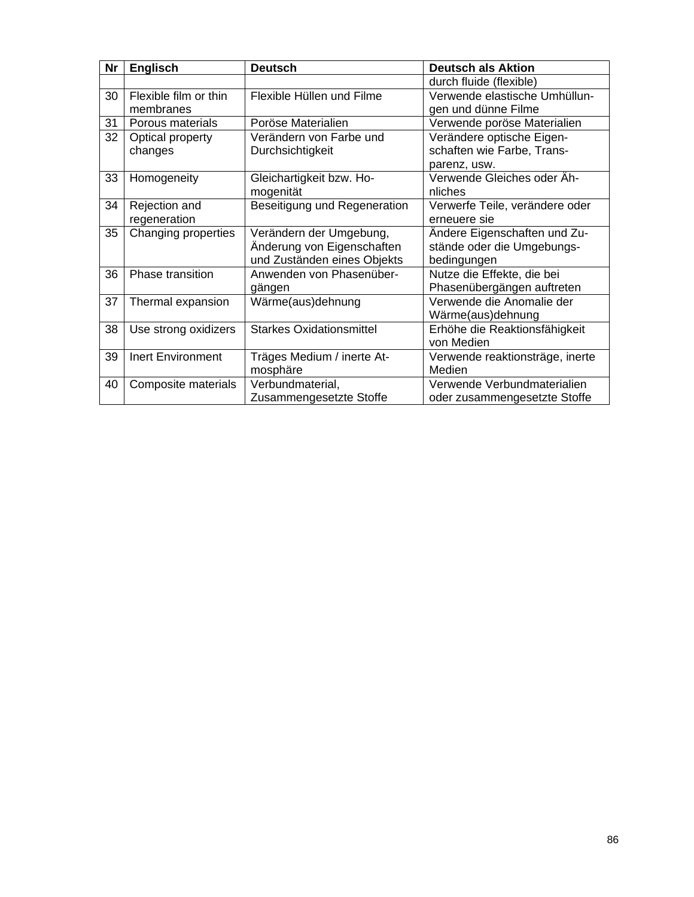| <b>Nr</b> | <b>Englisch</b>          | <b>Deutsch</b>                  | <b>Deutsch als Aktion</b>       |
|-----------|--------------------------|---------------------------------|---------------------------------|
|           |                          |                                 | durch fluide (flexible)         |
| 30        | Flexible film or thin    | Flexible Hüllen und Filme       | Verwende elastische Umhüllun-   |
|           | membranes                |                                 | gen und dünne Filme             |
| 31        | Porous materials         | Poröse Materialien              | Verwende poröse Materialien     |
| 32        | Optical property         | Verändern von Farbe und         | Verändere optische Eigen-       |
|           | changes                  | Durchsichtigkeit                | schaften wie Farbe, Trans-      |
|           |                          |                                 | parenz, usw.                    |
| 33        | Homogeneity              | Gleichartigkeit bzw. Ho-        | Verwende Gleiches oder Äh-      |
|           |                          | mogenität                       | nliches                         |
| 34        | Rejection and            | Beseitigung und Regeneration    | Verwerfe Teile, verändere oder  |
|           | regeneration             |                                 | erneuere sie                    |
| 35        | Changing properties      | Verändern der Umgebung,         | Ändere Eigenschaften und Zu-    |
|           |                          | Änderung von Eigenschaften      | stände oder die Umgebungs-      |
|           |                          | und Zuständen eines Objekts     | bedingungen                     |
| 36        | Phase transition         | Anwenden von Phasenüber-        | Nutze die Effekte, die bei      |
|           |                          | gängen                          | Phasenübergängen auftreten      |
| 37        | Thermal expansion        | Wärme(aus)dehnung               | Verwende die Anomalie der       |
|           |                          |                                 | Wärme(aus)dehnung               |
| 38        | Use strong oxidizers     | <b>Starkes Oxidationsmittel</b> | Erhöhe die Reaktionsfähigkeit   |
|           |                          |                                 | von Medien                      |
| 39        | <b>Inert Environment</b> | Träges Medium / inerte At-      | Verwende reaktionsträge, inerte |
|           |                          | mosphäre                        | Medien                          |
| 40        | Composite materials      | Verbundmaterial,                | Verwende Verbundmaterialien     |
|           |                          | Zusammengesetzte Stoffe         | oder zusammengesetzte Stoffe    |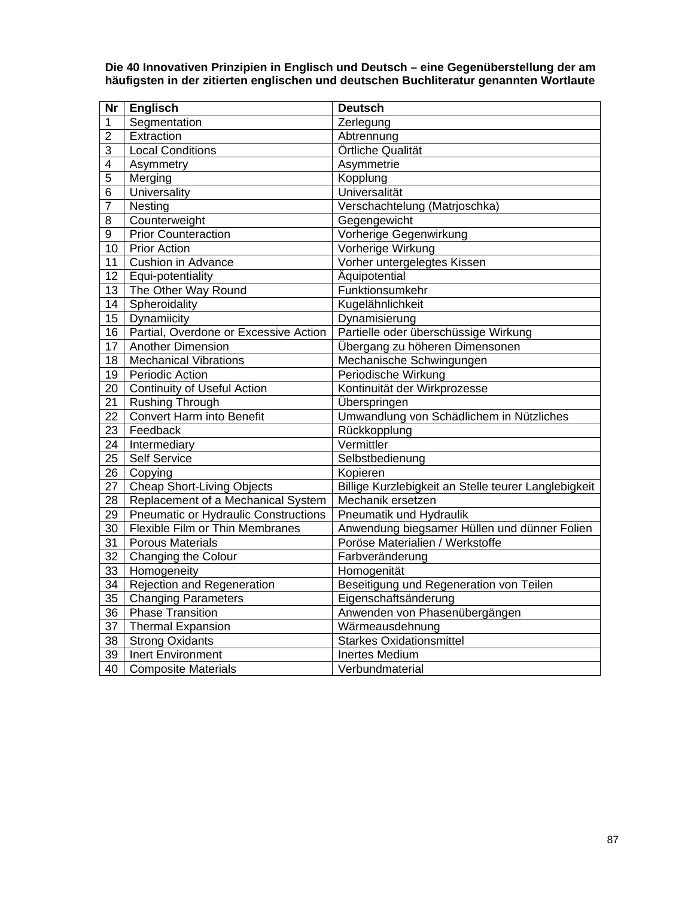**Die 40 Innovativen Prinzipien in Englisch und Deutsch – eine Gegenüberstellung der am häufigsten in der zitierten englischen und deutschen Buchliteratur genannten Wortlaute** 

| $\overline{\mathsf{Nr}}$ | <b>Englisch</b>                       | <b>Deutsch</b>                                       |
|--------------------------|---------------------------------------|------------------------------------------------------|
| 1                        | Segmentation                          | Zerlegung                                            |
| $\overline{2}$           | Extraction                            | Abtrennung                                           |
| 3                        | Local Conditions                      | Örtliche Qualität                                    |
| $\overline{\mathbf{4}}$  | Asymmetry                             | Asymmetrie                                           |
| 5                        | Merging                               | Kopplung                                             |
| 6                        | <b>Universality</b>                   | <b>Universalität</b>                                 |
| 7                        | Nesting                               | Verschachtelung (Matrjoschka)                        |
| 8                        | Counterweight                         | Gegengewicht                                         |
| 9                        | <b>Prior Counteraction</b>            | Vorherige Gegenwirkung                               |
| 10                       | <b>Prior Action</b>                   | Vorherige Wirkung                                    |
| 11                       | <b>Cushion in Advance</b>             | Vorher untergelegtes Kissen                          |
| 12                       | Equi-potentiality                     | Äquipotential                                        |
| 13                       | The Other Way Round                   | Funktionsumkehr                                      |
| 14                       | Spheroidality                         | Kugelähnlichkeit                                     |
| 15                       | Dynamiicity                           | Dynamisierung                                        |
| 16                       | Partial, Overdone or Excessive Action | Partielle oder überschüssige Wirkung                 |
| 17                       | Another Dimension                     | Übergang zu höheren Dimensonen                       |
| 18                       | <b>Mechanical Vibrations</b>          | Mechanische Schwingungen                             |
| 19                       | <b>Periodic Action</b>                | Periodische Wirkung                                  |
| 20                       | <b>Continuity of Useful Action</b>    | Kontinuität der Wirkprozesse                         |
| 21                       | Rushing Through                       | <b>Überspringen</b>                                  |
| 22                       | <b>Convert Harm into Benefit</b>      | Umwandlung von Schädlichem in Nützliches             |
| 23                       | Feedback                              | Rückkopplung                                         |
| 24                       | Intermediary                          | Vermittler                                           |
| $\overline{25}$          | <b>Self Service</b>                   | Selbstbedienung                                      |
| 26                       | Copying                               | Kopieren                                             |
| 27                       | <b>Cheap Short-Living Objects</b>     | Billige Kurzlebigkeit an Stelle teurer Langlebigkeit |
| 28                       | Replacement of a Mechanical System    | Mechanik ersetzen                                    |
| 29                       | Pneumatic or Hydraulic Constructions  | Pneumatik und Hydraulik                              |
| 30                       | Flexible Film or Thin Membranes       | Anwendung biegsamer Hüllen und dünner Folien         |
| 31                       | <b>Porous Materials</b>               | Poröse Materialien / Werkstoffe                      |
| 32                       | <b>Changing the Colour</b>            | Farbveränderung                                      |
| 33                       | Homogeneity                           | Homogenität                                          |
| 34                       | <b>Rejection and Regeneration</b>     | Beseitigung und Regeneration von Teilen              |
| 35                       | <b>Changing Parameters</b>            | Eigenschaftsänderung                                 |
| 36                       | <b>Phase Transition</b>               | Anwenden von Phasenübergängen                        |
| 37                       | <b>Thermal Expansion</b>              | Wärmeausdehnung                                      |
| 38                       | <b>Strong Oxidants</b>                | <b>Starkes Oxidationsmittel</b>                      |
| 39                       | <b>Inert Environment</b>              | <b>Inertes Medium</b>                                |
| 40                       | <b>Composite Materials</b>            | Verbundmaterial                                      |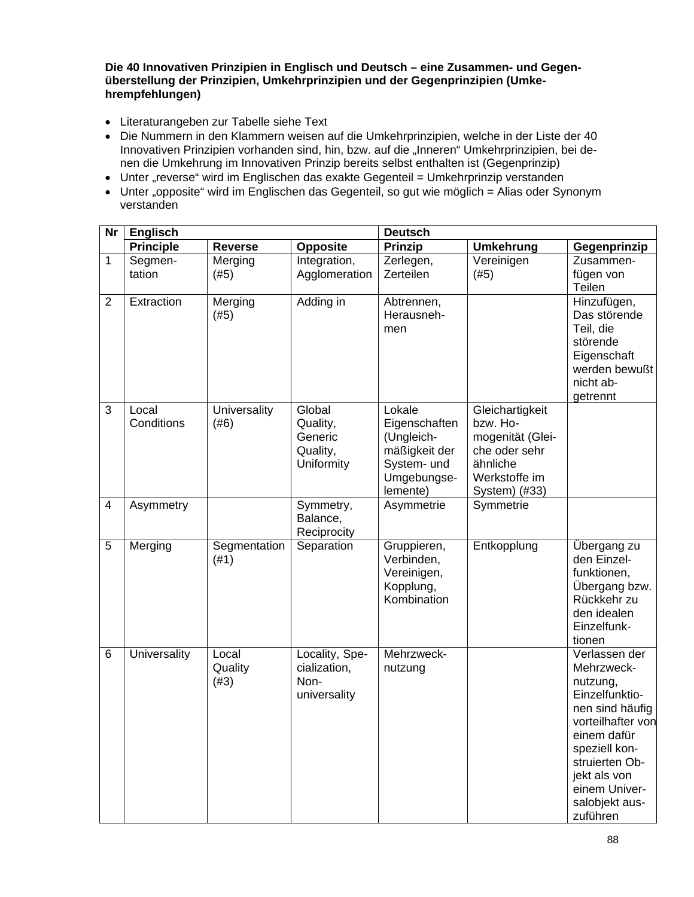**Die 40 Innovativen Prinzipien in Englisch und Deutsch – eine Zusammen- und Gegenüberstellung der Prinzipien, Umkehrprinzipien und der Gegenprinzipien (Umkehrempfehlungen)** 

- Literaturangeben zur Tabelle siehe Text
- Die Nummern in den Klammern weisen auf die Umkehrprinzipien, welche in der Liste der 40 Innovativen Prinzipien vorhanden sind, hin, bzw. auf die "Inneren" Umkehrprinzipien, bei denen die Umkehrung im Innovativen Prinzip bereits selbst enthalten ist (Gegenprinzip)
- Unter "reverse" wird im Englischen das exakte Gegenteil = Umkehrprinzip verstanden
- Unter "opposite" wird im Englischen das Gegenteil, so gut wie möglich = Alias oder Synonym verstanden

| Nr                      | <b>Englisch</b>     |                             |                                                         | <b>Deutsch</b>                                                                                   |                                                                                                                |                                                                                                                                                                                                                    |  |
|-------------------------|---------------------|-----------------------------|---------------------------------------------------------|--------------------------------------------------------------------------------------------------|----------------------------------------------------------------------------------------------------------------|--------------------------------------------------------------------------------------------------------------------------------------------------------------------------------------------------------------------|--|
|                         | <b>Principle</b>    | <b>Reverse</b>              | <b>Opposite</b>                                         | <b>Prinzip</b>                                                                                   | <b>Umkehrung</b>                                                                                               | Gegenprinzip                                                                                                                                                                                                       |  |
| 1                       | Segmen-<br>tation   | Merging<br>(#5)             | Integration,<br>Agglomeration                           | Zerlegen,<br>Zerteilen                                                                           | Vereinigen<br>(#5)                                                                                             | Zusammen-<br>fügen von<br>Teilen                                                                                                                                                                                   |  |
| $\overline{2}$          | Extraction          | Merging<br>(#5)             | Adding in                                               | Abtrennen,<br>Herausneh-<br>men                                                                  |                                                                                                                | Hinzufügen,<br>Das störende<br>Teil, die<br>störende<br>Eigenschaft<br>werden bewußt<br>nicht ab-<br>getrennt                                                                                                      |  |
| 3                       | Local<br>Conditions | <b>Universality</b><br>(#6) | Global<br>Quality,<br>Generic<br>Quality,<br>Uniformity | Lokale<br>Eigenschaften<br>(Ungleich-<br>mäßigkeit der<br>System- und<br>Umgebungse-<br>lemente) | Gleichartigkeit<br>bzw. Ho-<br>mogenität (Glei-<br>che oder sehr<br>ähnliche<br>Werkstoffe im<br>System) (#33) |                                                                                                                                                                                                                    |  |
| $\overline{\mathbf{4}}$ | Asymmetry           |                             | Symmetry,<br>Balance,<br>Reciprocity                    | Asymmetrie                                                                                       | Symmetrie                                                                                                      |                                                                                                                                                                                                                    |  |
| 5                       | Merging             | Segmentation<br>(#1)        | Separation                                              | Gruppieren,<br>Verbinden,<br>Vereinigen,<br>Kopplung,<br>Kombination                             | Entkopplung                                                                                                    | Übergang zu<br>den Einzel-<br>funktionen,<br>Übergang bzw.<br>Rückkehr zu<br>den idealen<br>Einzelfunk-<br>tionen                                                                                                  |  |
| $6\phantom{1}$          | Universality        | Local<br>Quality<br>(#3)    | Locality, Spe-<br>cialization,<br>Non-<br>universality  | Mehrzweck-<br>nutzung                                                                            |                                                                                                                | Verlassen der<br>Mehrzweck-<br>nutzung,<br>Einzelfunktio-<br>nen sind häufig<br>vorteilhafter von<br>einem dafür<br>speziell kon-<br>struierten Ob-<br>jekt als von<br>einem Univer-<br>salobjekt aus-<br>zuführen |  |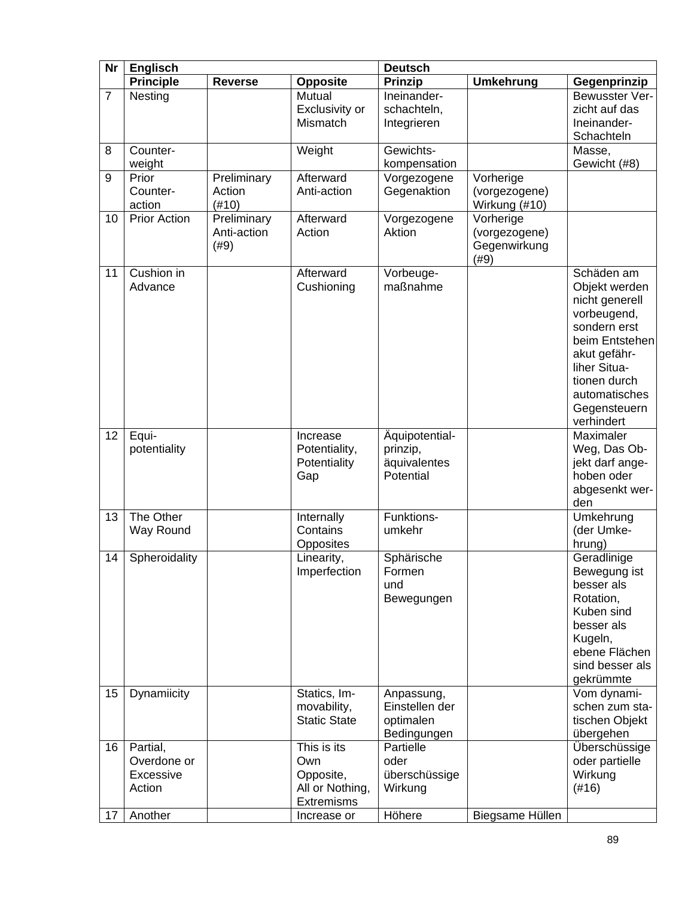| <b>Nr</b>      | <b>Englisch</b>     |                |                     | <b>Deutsch</b> |                  |                               |
|----------------|---------------------|----------------|---------------------|----------------|------------------|-------------------------------|
|                | <b>Principle</b>    | <b>Reverse</b> | <b>Opposite</b>     | <b>Prinzip</b> | <b>Umkehrung</b> | Gegenprinzip                  |
| $\overline{7}$ | Nesting             |                | Mutual              | Ineinander-    |                  | Bewusster Ver-                |
|                |                     |                | Exclusivity or      | schachteln,    |                  | zicht auf das                 |
|                |                     |                | Mismatch            | Integrieren    |                  | Ineinander-                   |
|                |                     |                |                     |                |                  | Schachteln                    |
| 8              | Counter-            |                | Weight              | Gewichts-      |                  | Masse,                        |
|                | weight              |                |                     | kompensation   |                  | Gewicht (#8)                  |
| 9              | Prior               | Preliminary    | Afterward           | Vorgezogene    | Vorherige        |                               |
|                | Counter-            | Action         | Anti-action         | Gegenaktion    | (vorgezogene)    |                               |
|                | action              | (#10)          |                     |                | Wirkung (#10)    |                               |
| 10             | <b>Prior Action</b> | Preliminary    | Afterward           | Vorgezogene    | Vorherige        |                               |
|                |                     | Anti-action    | Action              | Aktion         | (vorgezogene)    |                               |
|                |                     | (#9)           |                     |                | Gegenwirkung     |                               |
|                |                     |                |                     |                | (#9)             |                               |
| 11             | Cushion in          |                | Afterward           | Vorbeuge-      |                  | Schäden am                    |
|                | Advance             |                | Cushioning          | maßnahme       |                  | Objekt werden                 |
|                |                     |                |                     |                |                  | nicht generell<br>vorbeugend, |
|                |                     |                |                     |                |                  | sondern erst                  |
|                |                     |                |                     |                |                  | beim Entstehen                |
|                |                     |                |                     |                |                  | akut gefähr-                  |
|                |                     |                |                     |                |                  | liher Situa-                  |
|                |                     |                |                     |                |                  | tionen durch                  |
|                |                     |                |                     |                |                  | automatisches                 |
|                |                     |                |                     |                |                  | Gegensteuern                  |
|                |                     |                |                     |                |                  | verhindert                    |
| 12             | Equi-               |                | Increase            | Äquipotential- |                  | Maximaler                     |
|                | potentiality        |                | Potentiality,       | prinzip,       |                  | Weg, Das Ob-                  |
|                |                     |                | Potentiality        | äquivalentes   |                  | jekt darf ange-               |
|                |                     |                | Gap                 | Potential      |                  | hoben oder                    |
|                |                     |                |                     |                |                  | abgesenkt wer-                |
|                |                     |                |                     |                |                  | den                           |
| 13             | The Other           |                | Internally          | Funktions-     |                  | Umkehrung                     |
|                | Way Round           |                | Contains            | umkehr         |                  | (der Umke-                    |
|                |                     |                | Opposites           |                |                  | hrung)                        |
| 14             | Spheroidality       |                | Linearity,          | Sphärische     |                  | Geradlinige                   |
|                |                     |                | Imperfection        | Formen         |                  | Bewegung ist                  |
|                |                     |                |                     | und            |                  | besser als<br>Rotation,       |
|                |                     |                |                     | Bewegungen     |                  | Kuben sind                    |
|                |                     |                |                     |                |                  | besser als                    |
|                |                     |                |                     |                |                  | Kugeln,                       |
|                |                     |                |                     |                |                  | ebene Flächen                 |
|                |                     |                |                     |                |                  | sind besser als               |
|                |                     |                |                     |                |                  | gekrümmte                     |
| 15             | Dynamiicity         |                | Statics, Im-        | Anpassung,     |                  | Vom dynami-                   |
|                |                     |                | movability,         | Einstellen der |                  | schen zum sta-                |
|                |                     |                | <b>Static State</b> | optimalen      |                  | tischen Objekt                |
|                |                     |                |                     | Bedingungen    |                  | übergehen                     |
| 16             | Partial,            |                | This is its         | Partielle      |                  | <b>Überschüssige</b>          |
|                | Overdone or         |                | Own                 | oder           |                  | oder partielle                |
|                | Excessive           |                | Opposite,           | überschüssige  |                  | Wirkung                       |
|                | Action              |                | All or Nothing,     | Wirkung        |                  | (#16)                         |
|                |                     |                | <b>Extremisms</b>   |                |                  |                               |
| 17             | Another             |                | Increase or         | Höhere         | Biegsame Hüllen  |                               |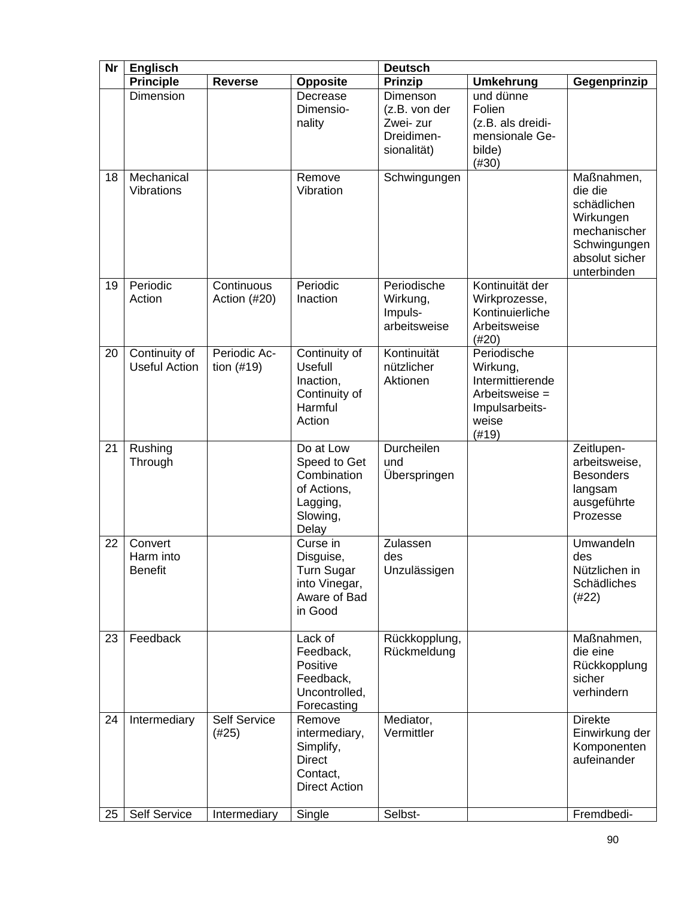| <b>Nr</b> | <b>Englisch</b>                        |                            |                                                                                           | <b>Deutsch</b>                                                      |                                                                                                   |                                                                                                                    |
|-----------|----------------------------------------|----------------------------|-------------------------------------------------------------------------------------------|---------------------------------------------------------------------|---------------------------------------------------------------------------------------------------|--------------------------------------------------------------------------------------------------------------------|
|           | <b>Principle</b>                       | <b>Reverse</b>             | <b>Opposite</b>                                                                           | <b>Prinzip</b>                                                      | <b>Umkehrung</b>                                                                                  | Gegenprinzip                                                                                                       |
|           | Dimension                              |                            | Decrease<br>Dimensio-<br>nality                                                           | Dimenson<br>(z.B. von der<br>Zwei- zur<br>Dreidimen-<br>sionalität) | und dünne<br>Folien<br>(z.B. als dreidi-<br>mensionale Ge-<br>bilde)<br>(#30)                     |                                                                                                                    |
| 18        | Mechanical<br>Vibrations               |                            | Remove<br>Vibration                                                                       | Schwingungen                                                        |                                                                                                   | Maßnahmen,<br>die die<br>schädlichen<br>Wirkungen<br>mechanischer<br>Schwingungen<br>absolut sicher<br>unterbinden |
| 19        | Periodic<br>Action                     | Continuous<br>Action (#20) | Periodic<br>Inaction                                                                      | Periodische<br>Wirkung,<br>Impuls-<br>arbeitsweise                  | Kontinuität der<br>Wirkprozesse,<br>Kontinuierliche<br>Arbeitsweise<br>(#20)                      |                                                                                                                    |
| 20        | Continuity of<br><b>Useful Action</b>  | Periodic Ac-<br>tion (#19) | Continuity of<br>Usefull<br>Inaction,<br>Continuity of<br>Harmful<br>Action               | Kontinuität<br>nützlicher<br>Aktionen                               | Periodische<br>Wirkung,<br>Intermittierende<br>Arbeitsweise =<br>Impulsarbeits-<br>weise<br>(#19) |                                                                                                                    |
| 21        | Rushing<br>Through                     |                            | Do at Low<br>Speed to Get<br>Combination<br>of Actions,<br>Lagging,<br>Slowing,<br>Delay  | Durcheilen<br>und<br>Überspringen                                   |                                                                                                   | Zeitlupen-<br>arbeitsweise,<br><b>Besonders</b><br>langsam<br>ausgeführte<br>Prozesse                              |
| 22        | Convert<br>Harm into<br><b>Benefit</b> |                            | Curse in<br>Disguise,<br>Turn Sugar<br>into Vinegar,<br>Aware of Bad<br>in Good           | Zulassen<br>des<br>Unzulässigen                                     |                                                                                                   | Umwandeln<br>des<br>Nützlichen in<br>Schädliches<br>(#22)                                                          |
| 23        | Feedback                               |                            | Lack of<br>Feedback,<br>Positive<br>Feedback,<br>Uncontrolled,<br>Forecasting             | Rückkopplung,<br>Rückmeldung                                        |                                                                                                   | Maßnahmen,<br>die eine<br>Rückkopplung<br>sicher<br>verhindern                                                     |
| 24        | Intermediary                           | Self Service<br>(#25)      | Remove<br>intermediary,<br>Simplify,<br><b>Direct</b><br>Contact,<br><b>Direct Action</b> | Mediator,<br>Vermittler                                             |                                                                                                   | <b>Direkte</b><br>Einwirkung der<br>Komponenten<br>aufeinander                                                     |
| 25        | <b>Self Service</b>                    | Intermediary               | Single                                                                                    | Selbst-                                                             |                                                                                                   | Fremdbedi-                                                                                                         |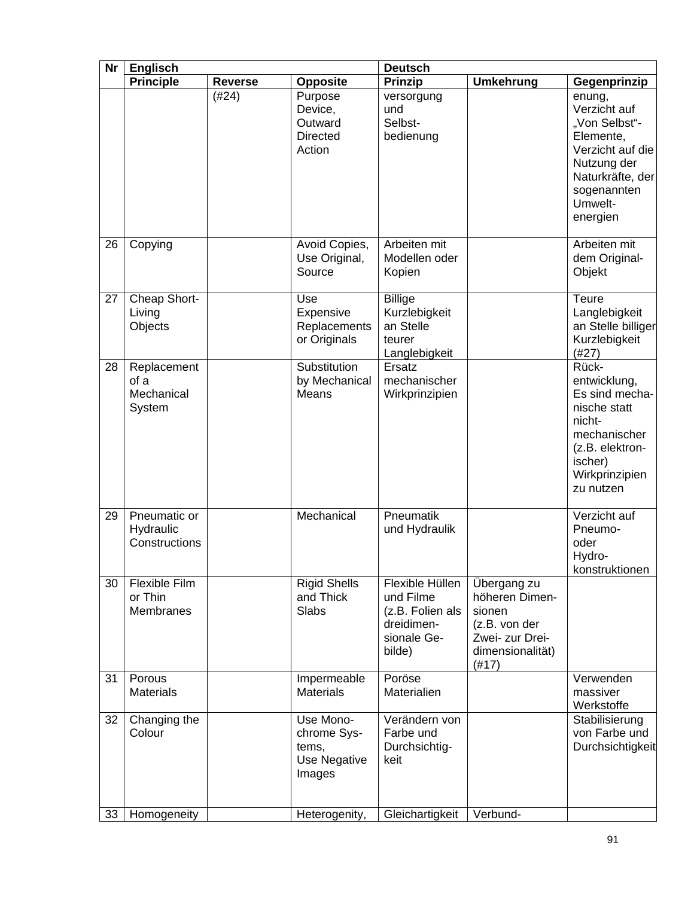| <b>Nr</b> | <b>Englisch</b>                             |                |                                                             | <b>Deutsch</b>                                                                          |                                                                                                          |                                                                                                                                                   |
|-----------|---------------------------------------------|----------------|-------------------------------------------------------------|-----------------------------------------------------------------------------------------|----------------------------------------------------------------------------------------------------------|---------------------------------------------------------------------------------------------------------------------------------------------------|
|           | <b>Principle</b>                            | <b>Reverse</b> | <b>Opposite</b>                                             | <b>Prinzip</b>                                                                          | <b>Umkehrung</b>                                                                                         | Gegenprinzip                                                                                                                                      |
|           |                                             | (#24)          | Purpose<br>Device,<br>Outward<br><b>Directed</b><br>Action  | versorgung<br>und<br>Selbst-<br>bedienung                                               |                                                                                                          | enung,<br>Verzicht auf<br>"Von Selbst"-<br>Elemente,<br>Verzicht auf die<br>Nutzung der<br>Naturkräfte, der<br>sogenannten<br>Umwelt-<br>energien |
| 26        | Copying                                     |                | Avoid Copies,<br>Use Original,<br>Source                    | Arbeiten mit<br>Modellen oder<br>Kopien                                                 |                                                                                                          | Arbeiten mit<br>dem Original-<br>Objekt                                                                                                           |
| 27        | Cheap Short-<br>Living<br>Objects           |                | Use<br>Expensive<br>Replacements<br>or Originals            | <b>Billige</b><br>Kurzlebigkeit<br>an Stelle<br>teurer<br>Langlebigkeit                 |                                                                                                          | <b>Teure</b><br>Langlebigkeit<br>an Stelle billiger<br>Kurzlebigkeit<br>(#27)                                                                     |
| 28        | Replacement<br>of a<br>Mechanical<br>System |                | Substitution<br>by Mechanical<br>Means                      | Ersatz<br>mechanischer<br>Wirkprinzipien                                                |                                                                                                          | Rück-<br>entwicklung,<br>Es sind mecha-<br>nische statt<br>nicht-<br>mechanischer<br>(z.B. elektron-<br>ischer)<br>Wirkprinzipien<br>zu nutzen    |
| 29        | Pneumatic or<br>Hydraulic<br>Constructions  |                | Mechanical                                                  | Pneumatik<br>und Hydraulik                                                              |                                                                                                          | Verzicht auf<br>Pneumo-<br>oder<br>Hydro-<br>konstruktionen                                                                                       |
| 30        | Flexible Film<br>or Thin<br>Membranes       |                | <b>Rigid Shells</b><br>and Thick<br>Slabs                   | Flexible Hüllen<br>und Filme<br>(z.B. Folien als<br>dreidimen-<br>sionale Ge-<br>bilde) | Übergang zu<br>höheren Dimen-<br>sionen<br>(z.B. von der<br>Zwei- zur Drei-<br>dimensionalität)<br>(#17) |                                                                                                                                                   |
| 31        | Porous<br><b>Materials</b>                  |                | Impermeable<br><b>Materials</b>                             | Poröse<br>Materialien                                                                   |                                                                                                          | Verwenden<br>massiver<br>Werkstoffe                                                                                                               |
| 32        | Changing the<br>Colour                      |                | Use Mono-<br>chrome Sys-<br>tems,<br>Use Negative<br>Images | Verändern von<br>Farbe und<br>Durchsichtig-<br>keit                                     |                                                                                                          | Stabilisierung<br>von Farbe und<br>Durchsichtigkeit                                                                                               |
| 33        | Homogeneity                                 |                | Heterogenity,                                               | Gleichartigkeit                                                                         | Verbund-                                                                                                 |                                                                                                                                                   |